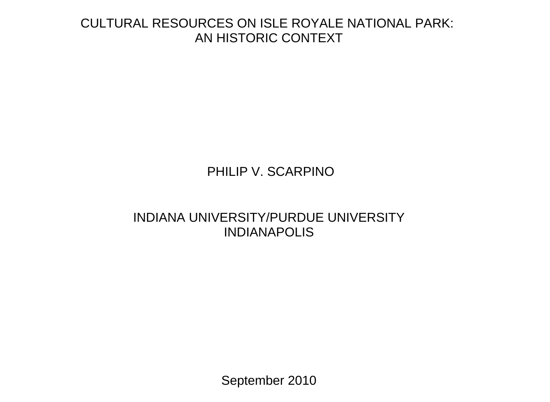# CULTURAL RESOURCES ON ISLE ROYALE NATIONAL PARK: AN HISTORIC CONTEXT

# PHILIP V. SCARPINO

# INDIANA UNIVERSITY/PURDUE UNIVERSITY **INDIANAPOLIS**

September 2010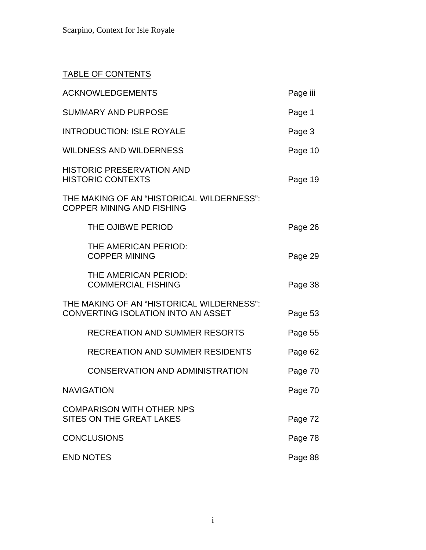### TABLE OF CONTENTS

| <b>ACKNOWLEDGEMENTS</b>                                                                | Page iii |
|----------------------------------------------------------------------------------------|----------|
| <b>SUMMARY AND PURPOSE</b>                                                             | Page 1   |
| <b>INTRODUCTION: ISLE ROYALE</b>                                                       | Page 3   |
| <b>WILDNESS AND WILDERNESS</b>                                                         | Page 10  |
| <b>HISTORIC PRESERVATION AND</b><br><b>HISTORIC CONTEXTS</b>                           | Page 19  |
| THE MAKING OF AN "HISTORICAL WILDERNESS":<br><b>COPPER MINING AND FISHING</b>          |          |
| THE OJIBWE PERIOD                                                                      | Page 26  |
| THE AMERICAN PERIOD:<br><b>COPPER MINING</b>                                           | Page 29  |
| THE AMERICAN PERIOD:<br><b>COMMERCIAL FISHING</b>                                      | Page 38  |
| THE MAKING OF AN "HISTORICAL WILDERNESS":<br><b>CONVERTING ISOLATION INTO AN ASSET</b> | Page 53  |
| <b>RECREATION AND SUMMER RESORTS</b>                                                   | Page 55  |
| <b>RECREATION AND SUMMER RESIDENTS</b>                                                 | Page 62  |
| <b>CONSERVATION AND ADMINISTRATION</b>                                                 | Page 70  |
| <b>NAVIGATION</b>                                                                      | Page 70  |
| <b>COMPARISON WITH OTHER NPS</b><br>SITES ON THE GREAT LAKES                           | Page 72  |
| <b>CONCLUSIONS</b>                                                                     | Page 78  |
| <b>END NOTES</b>                                                                       | Page 88  |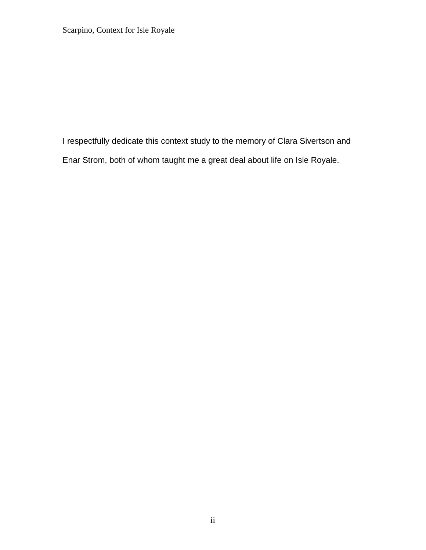I respectfully dedicate this context study to the memory of Clara Sivertson and Enar Strom, both of whom taught me a great deal about life on Isle Royale.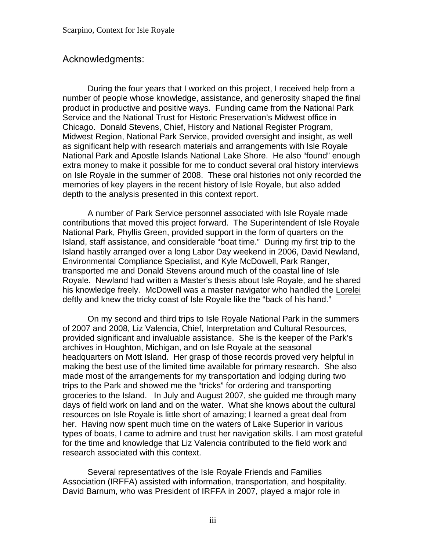## <span id="page-3-0"></span>Acknowledgments:

During the four years that I worked on this project, I received help from a number of people whose knowledge, assistance, and generosity shaped the final product in productive and positive ways. Funding came from the National Park Service and the National Trust for Historic Preservation's Midwest office in Chicago. Donald Stevens, Chief, History and National Register Program, Midwest Region, National Park Service, provided oversight and insight, as well as significant help with research materials and arrangements with Isle Royale National Park and Apostle Islands National Lake Shore. He also "found" enough extra money to make it possible for me to conduct several oral history interviews on Isle Royale in the summer of 2008. These oral histories not only recorded the memories of key players in the recent history of Isle Royale, but also added depth to the analysis presented in this context report.

A number of Park Service personnel associated with Isle Royale made contributions that moved this project forward. The Superintendent of Isle Royale National Park, Phyllis Green, provided support in the form of quarters on the Island, staff assistance, and considerable "boat time." During my first trip to the Island hastily arranged over a long Labor Day weekend in 2006, David Newland, Environmental Compliance Specialist, and Kyle McDowell, Park Ranger, transported me and Donald Stevens around much of the coastal line of Isle Royale. Newland had written a Master's thesis about Isle Royale, and he shared his knowledge freely. McDowell was a master navigator who handled the Lorelei deftly and knew the tricky coast of Isle Royale like the "back of his hand."

On my second and third trips to Isle Royale National Park in the summers of 2007 and 2008, Liz Valencia, Chief, Interpretation and Cultural Resources, provided significant and invaluable assistance. She is the keeper of the Park's archives in Houghton, Michigan, and on Isle Royale at the seasonal headquarters on Mott Island. Her grasp of those records proved very helpful in making the best use of the limited time available for primary research. She also made most of the arrangements for my transportation and lodging during two trips to the Park and showed me the "tricks" for ordering and transporting groceries to the Island. In July and August 2007, she guided me through many days of field work on land and on the water. What she knows about the cultural resources on Isle Royale is little short of amazing; I learned a great deal from her. Having now spent much time on the waters of Lake Superior in various types of boats, I came to admire and trust her navigation skills. I am most grateful for the time and knowledge that Liz Valencia contributed to the field work and research associated with this context.

Several representatives of the Isle Royale Friends and Families Association (IRFFA) assisted with information, transportation, and hospitality. David Barnum, who was President of IRFFA in 2007, played a major role in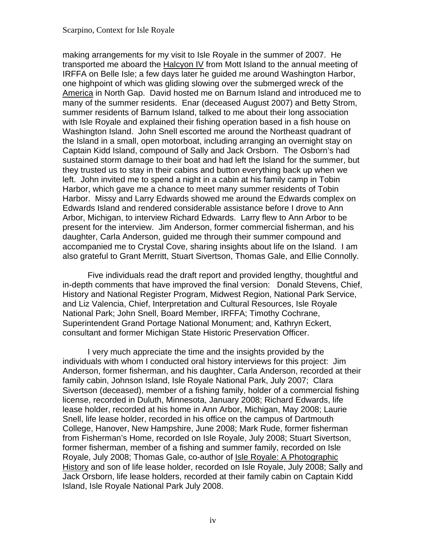making arrangements for my visit to Isle Royale in the summer of 2007. He transported me aboard the **Halcyon IV** from Mott Island to the annual meeting of IRFFA on Belle Isle; a few days later he guided me around Washington Harbor, one highpoint of which was gliding slowing over the submerged wreck of the America in North Gap. David hosted me on Barnum Island and introduced me to many of the summer residents. Enar (deceased August 2007) and Betty Strom, summer residents of Barnum Island, talked to me about their long association with Isle Royale and explained their fishing operation based in a fish house on Washington Island. John Snell escorted me around the Northeast quadrant of the Island in a small, open motorboat, including arranging an overnight stay on Captain Kidd Island, compound of Sally and Jack Orsborn. The Osborn's had sustained storm damage to their boat and had left the Island for the summer, but they trusted us to stay in their cabins and button everything back up when we left. John invited me to spend a night in a cabin at his family camp in Tobin Harbor, which gave me a chance to meet many summer residents of Tobin Harbor. Missy and Larry Edwards showed me around the Edwards complex on Edwards Island and rendered considerable assistance before I drove to Ann Arbor, Michigan, to interview Richard Edwards. Larry flew to Ann Arbor to be present for the interview. Jim Anderson, former commercial fisherman, and his daughter, Carla Anderson, guided me through their summer compound and accompanied me to Crystal Cove, sharing insights about life on the Island. I am also grateful to Grant Merritt, Stuart Sivertson, Thomas Gale, and Ellie Connolly.

Five individuals read the draft report and provided lengthy, thoughtful and in-depth comments that have improved the final version: Donald Stevens, Chief, History and National Register Program, Midwest Region, National Park Service, and Liz Valencia, Chief, Interpretation and Cultural Resources, Isle Royale National Park; John Snell, Board Member, IRFFA; Timothy Cochrane, Superintendent Grand Portage National Monument; and, Kathryn Eckert, consultant and former Michigan State Historic Preservation Officer.

I very much appreciate the time and the insights provided by the individuals with whom I conducted oral history interviews for this project: Jim Anderson, former fisherman, and his daughter, Carla Anderson, recorded at their family cabin, Johnson Island, Isle Royale National Park, July 2007; Clara Sivertson (deceased), member of a fishing family, holder of a commercial fishing license, recorded in Duluth, Minnesota, January 2008; Richard Edwards, life lease holder, recorded at his home in Ann Arbor, Michigan, May 2008; Laurie Snell, life lease holder, recorded in his office on the campus of Dartmouth College, Hanover, New Hampshire, June 2008; Mark Rude, former fisherman from Fisherman's Home, recorded on Isle Royale, July 2008; Stuart Sivertson, former fisherman, member of a fishing and summer family, recorded on Isle Royale, July 2008; Thomas Gale, co-author of Isle Royale: A Photographic History and son of life lease holder, recorded on Isle Royale, July 2008; Sally and Jack Orsborn, life lease holders, recorded at their family cabin on Captain Kidd Island, Isle Royale National Park July 2008.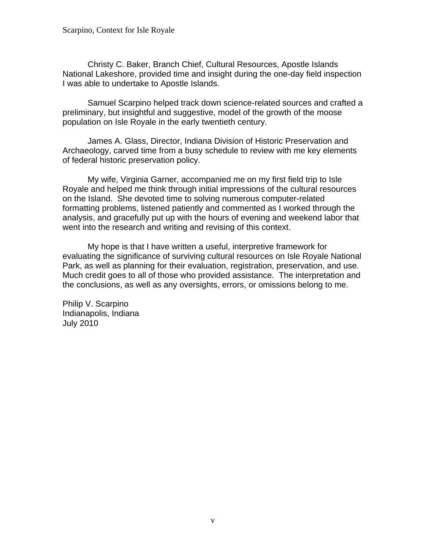Christy C. Baker, Branch Chief, Cultural Resources, Apostle Islands National Lakeshore, provided time and insight during the one-day field inspection I was able to undertake to Apostle Islands.

Samuel Scarpino helped track down science-related sources and crafted a preliminary, but insightful and suggestive, model of the growth of the moose population on Isle Royale in the early twentieth century.

James A. Glass, Director, Indiana Division of Historic Preservation and Archaeology, carved time from a busy schedule to review with me key elements of federal historic preservation policy.

My wife, Virginia Garner, accompanied me on my first field trip to Isle Royale and helped me think through initial impressions of the cultural resources on the Island. She devoted time to solving numerous computer-related formatting problems, listened patiently and commented as I worked through the analysis, and gracefully put up with the hours of evening and weekend labor that went into the research and writing and revising of this context.

My hope is that I have written a useful, interpretive framework for evaluating the significance of surviving cultural resources on Isle Royale National Park, as well as planning for their evaluation, registration, preservation, and use. Much credit goes to all of those who provided assistance. The interpretation and the conclusions, as well as any oversights, errors, or omissions belong to me.

Philip V. Scarpino Indianapolis, Indiana July 2010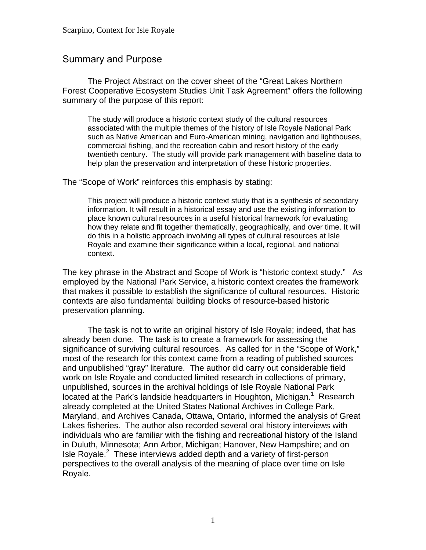# <span id="page-6-0"></span>Summary and Purpose

The Project Abstract on the cover sheet of the "Great Lakes Northern Forest Cooperative Ecosystem Studies Unit Task Agreement" offers the following summary of the purpose of this report:

The study will produce a historic context study of the cultural resources associated with the multiple themes of the history of Isle Royale National Park such as Native American and Euro-American mining, navigation and lighthouses, commercial fishing, and the recreation cabin and resort history of the early twentieth century. The study will provide park management with baseline data to help plan the preservation and interpretation of these historic properties.

The "Scope of Work" reinforces this emphasis by stating:

This project will produce a historic context study that is a synthesis of secondary information. It will result in a historical essay and use the existing information to place known cultural resources in a useful historical framework for evaluating how they relate and fit together thematically, geographically, and over time. It will do this in a holistic approach involving all types of cultural resources at Isle Royale and examine their significance within a local, regional, and national context.

The key phrase in the Abstract and Scope of Work is "historic context study." As employed by the National Park Service, a historic context creates the framework that makes it possible to establish the significance of cultural resources. Historic contexts are also fundamental building blocks of resource-based historic preservation planning.

The task is not to write an original history of Isle Royale; indeed, that has already been done. The task is to create a framework for assessing the significance of surviving cultural resources. As called for in the "Scope of Work," most of the research for this context came from a reading of published sources and unpublished "gray" literature. The author did carry out considerable field work on Isle Royale and conducted limited research in collections of primary, unpublished, sources in the archival holdings of Isle Royale National Park located at the Park's landside headquarters in Houghton, Michigan.<sup>[1](#page-93-0)</sup> Research already completed at the United States National Archives in College Park, Maryland, and Archives Canada, Ottawa, Ontario, informed the analysis of Great Lakes fisheries. The author also recorded several oral history interviews with individuals who are familiar with the fishing and recreational history of the Island in Duluth, Minnesota; Ann Arbor, Michigan; Hanover, New Hampshire; and on Isle Royale. $2$  These interviews added depth and a variety of first-person perspectives to the overall analysis of the meaning of place over time on Isle Royale.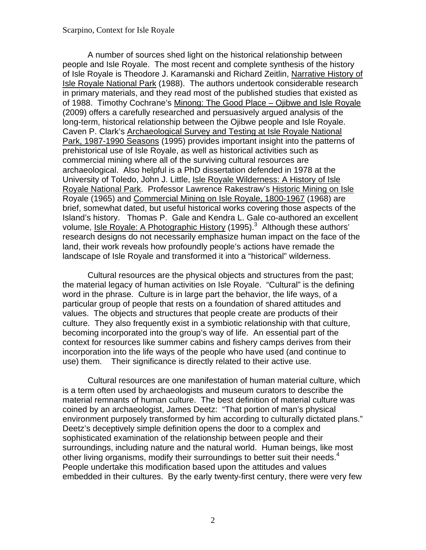A number of sources shed light on the historical relationship between people and Isle Royale. The most recent and complete synthesis of the history of Isle Royale is Theodore J. Karamanski and Richard Zeitlin, Narrative History of Isle Royale National Park (1988). The authors undertook considerable research in primary materials, and they read most of the published studies that existed as of 1988. Timothy Cochrane's Minong: The Good Place – Ojibwe and Isle Royale (2009) offers a carefully researched and persuasively argued analysis of the long-term, historical relationship between the Ojibwe people and Isle Royale. Caven P. Clark's Archaeological Survey and Testing at Isle Royale National Park, 1987-1990 Seasons (1995) provides important insight into the patterns of prehistorical use of Isle Royale, as well as historical activities such as commercial mining where all of the surviving cultural resources are archaeological. Also helpful is a PhD dissertation defended in 1978 at the University of Toledo, John J. Little, Isle Royale Wilderness: A History of Isle Royale National Park. Professor Lawrence Rakestraw's Historic Mining on Isle Royale (1965) and Commercial Mining on Isle Royale, 1800-1967 (1968) are brief, somewhat dated, but useful historical works covering those aspects of the Island's history. Thomas P. Gale and Kendra L. Gale co-authored an excellent volume, Isle Royale: A Photographic History (1995).<sup>3</sup> Although these authors' research designs do not necessarily emphasize human impact on the face of the land, their work reveals how profoundly people's actions have remade the landscape of Isle Royale and transformed it into a "historical" wilderness.

 use) them. Their significance is directly related to their active use. Cultural resources are the physical objects and structures from the past; the material legacy of human activities on Isle Royale. "Cultural" is the defining word in the phrase. Culture is in large part the behavior, the life ways, of a particular group of people that rests on a foundation of shared attitudes and values. The objects and structures that people create are products of their culture. They also frequently exist in a symbiotic relationship with that culture, becoming incorporated into the group's way of life. An essential part of the context for resources like summer cabins and fishery camps derives from their incorporation into the life ways of the people who have used (and continue to

other living organisms, modify their surroundings to better suit their needs.<sup>4</sup> Cultural resources are one manifestation of human material culture, which is a term often used by archaeologists and museum curators to describe the material remnants of human culture. The best definition of material culture was coined by an archaeologist, James Deetz: "That portion of man's physical environment purposely transformed by him according to culturally dictated plans." Deetz's deceptively simple definition opens the door to a complex and sophisticated examination of the relationship between people and their surroundings, including nature and the natural world. Human beings, like most People undertake this modification based upon the attitudes and values embedded in their cultures. By the early twenty-first century, there were very few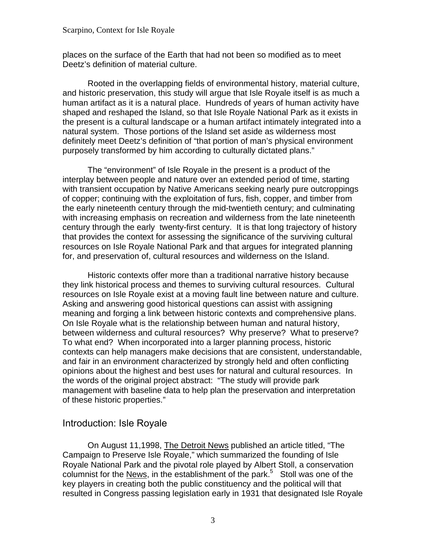<span id="page-8-0"></span>places on the surface of the Earth that had not been so modified as to meet Deetz's definition of material culture.

Rooted in the overlapping fields of environmental history, material culture, and historic preservation, this study will argue that Isle Royale itself is as much a human artifact as it is a natural place. Hundreds of years of human activity have shaped and reshaped the Island, so that Isle Royale National Park as it exists in the present is a cultural landscape or a human artifact intimately integrated into a natural system. Those portions of the Island set aside as wilderness most definitely meet Deetz's definition of "that portion of man's physical environment purposely transformed by him according to culturally dictated plans."

The "environment" of Isle Royale in the present is a product of the interplay between people and nature over an extended period of time, starting with transient occupation by Native Americans seeking nearly pure outcroppings of copper; continuing with the exploitation of furs, fish, copper, and timber from the early nineteenth century through the mid-twentieth century; and culminating with increasing emphasis on recreation and wilderness from the late nineteenth century through the early twenty-first century. It is that long trajectory of history that provides the context for assessing the significance of the surviving cultural resources on Isle Royale National Park and that argues for integrated planning for, and preservation of, cultural resources and wilderness on the Island.

Historic contexts offer more than a traditional narrative history because they link historical process and themes to surviving cultural resources. Cultural resources on Isle Royale exist at a moving fault line between nature and culture. Asking and answering good historical questions can assist with assigning meaning and forging a link between historic contexts and comprehensive plans. On Isle Royale what is the relationship between human and natural history, between wilderness and cultural resources? Why preserve? What to preserve? To what end? When incorporated into a larger planning process, historic contexts can help managers make decisions that are consistent, understandable, and fair in an environment characterized by strongly held and often conflicting opinions about the highest and best uses for natural and cultural resources. In the words of the original project abstract: "The study will provide park management with baseline data to help plan the preservation and interpretation of these historic properties."

## Introduction: Isle Royale

On August 11,1998, The Detroit News published an article titled, "The Campaign to Preserve Isle Royale," which summarized the founding of Isle Royale National Park and the pivotal role played by Albert Stoll, a conservation columnist for the News, in the establishment of the park. $5$  Stoll was one of the key players in creating both the public constituency and the political will that resulted in Congress passing legislation early in 1931 that designated Isle Royale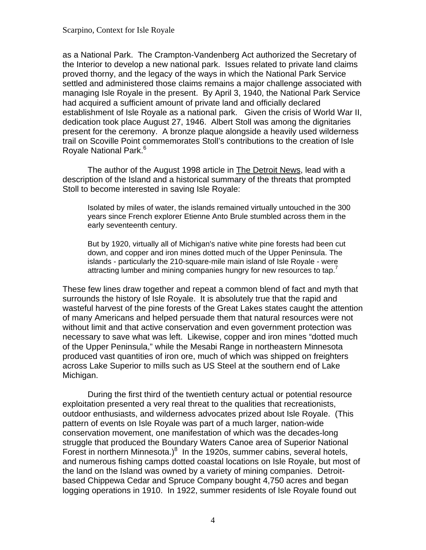as a National Park. The Crampton-Vandenberg Act authorized the Secretary of the Interior to develop a new national park. Issues related to private land claims proved thorny, and the legacy of the ways in which the National Park Service settled and administered those claims remains a major challenge associated with managing Isle Royale in the present. By April 3, 1940, the National Park Service had acquired a sufficient amount of private land and officially declared establishment of Isle Royale as a national park. Given the crisis of World War II, dedication took place August 27, 1946. Albert Stoll was among the dignitaries present for the ceremony. A bronze plaque alongside a heavily used wilderness trail on Scoville Point commemorates Stoll's contributions to the creation of Isle Rovale National Park.<sup>[6](#page-94-0)</sup>

The author of the August 1998 article in The Detroit News, lead with a description of the Island and a historical summary of the threats that prompted Stoll to become interested in saving Isle Royale:

Isolated by miles of water, the islands remained virtually untouched in the 300 years since French explorer Etienne Anto Brule stumbled across them in the early seventeenth century.

But by 1920, virtually all of Michigan's native white pine forests had been cut down, and copper and iron mines dotted much of the Upper Peninsula. The islands - particularly the 210-square-mile main island of Isle Royale - were attracting lumber and mining companies hungry for new resources to tap.<sup>7</sup>

These few lines draw together and repeat a common blend of fact and myth that surrounds the history of Isle Royale. It is absolutely true that the rapid and wasteful harvest of the pine forests of the Great Lakes states caught the attention of many Americans and helped persuade them that natural resources were not without limit and that active conservation and even government protection was necessary to save what was left. Likewise, copper and iron mines "dotted much of the Upper Peninsula," while the Mesabi Range in northeastern Minnesota produced vast quantities of iron ore, much of which was shipped on freighters across Lake Superior to mills such as US Steel at the southern end of Lake Michigan.

During the first third of the twentieth century actual or potential resource exploitation presented a very real threat to the qualities that recreationists, outdoor enthusiasts, and wilderness advocates prized about Isle Royale. (This pattern of events on Isle Royale was part of a much larger, nation-wide conservation movement, one manifestation of which was the decades-long struggle that produced the Boundary Waters Canoe area of Superior National Forest in northern Minnesota.) $8$  In the 1920s, summer cabins, several hotels, and numerous fishing camps dotted coastal locations on Isle Royale, but most of the land on the Island was owned by a variety of mining companies. Detroitbased Chippewa Cedar and Spruce Company bought 4,750 acres and began logging operations in 1910. In 1922, summer residents of Isle Royale found out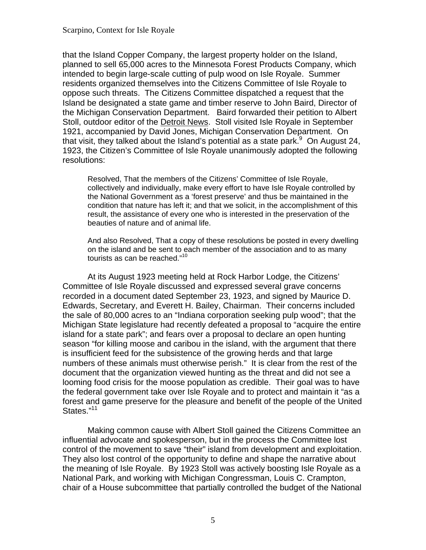that the Island Copper Company, the largest property holder on the Island, planned to sell 65,000 acres to the Minnesota Forest Products Company, which intended to begin large-scale cutting of pulp wood on Isle Royale. Summer residents organized themselves into the Citizens Committee of Isle Royale to oppose such threats. The Citizens Committee dispatched a request that the Island be designated a state game and timber reserve to John Baird, Director of the Michigan Conservation Department. Baird forwarded their petition to Albert Stoll, outdoor editor of the Detroit News. Stoll visited Isle Royale in September 1921, accompanied by David Jones, Michigan Conservation Department. On that visit, they talked about the Island's potential as a state park. $9$  On August 24, 1923, the Citizen's Committee of Isle Royale unanimously adopted the following resolutions:

Resolved, That the members of the Citizens' Committee of Isle Royale, collectively and individually, make every effort to have Isle Royale controlled by the National Government as a 'forest preserve' and thus be maintained in the condition that nature has left it; and that we solicit, in the accomplishment of this result, the assistance of every one who is interested in the preservation of the beauties of nature and of animal life.

And also Resolved, That a copy of these resolutions be posted in every dwelling on the island and be sent to each member of the association and to as many tourists as can be reached."<sup>10</sup>

At its August 1923 meeting held at Rock Harbor Lodge, the Citizens' Committee of Isle Royale discussed and expressed several grave concerns recorded in a document dated September 23, 1923, and signed by Maurice D. Edwards, Secretary, and Everett H. Bailey, Chairman. Their concerns included the sale of 80,000 acres to an "Indiana corporation seeking pulp wood"; that the Michigan State legislature had recently defeated a proposal to "acquire the entire island for a state park"; and fears over a proposal to declare an open hunting season "for killing moose and caribou in the island, with the argument that there is insufficient feed for the subsistence of the growing herds and that large numbers of these animals must otherwise perish." It is clear from the rest of the document that the organization viewed hunting as the threat and did not see a looming food crisis for the moose population as credible. Their goal was to have the federal government take over Isle Royale and to protect and maintain it "as a forest and game preserve for the pleasure and benefit of the people of the United States."<sup>11</sup>

Making common cause with Albert Stoll gained the Citizens Committee an influential advocate and spokesperson, but in the process the Committee lost control of the movement to save "their" island from development and exploitation. They also lost control of the opportunity to define and shape the narrative about the meaning of Isle Royale. By 1923 Stoll was actively boosting Isle Royale as a National Park, and working with Michigan Congressman, Louis C. Crampton, chair of a House subcommittee that partially controlled the budget of the National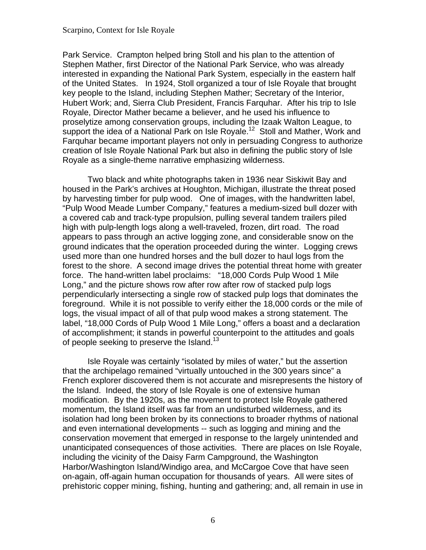Park Service. Crampton helped bring Stoll and his plan to the attention of Stephen Mather, first Director of the National Park Service, who was already interested in expanding the National Park System, especially in the eastern half of the United States. In 1924, Stoll organized a tour of Isle Royale that brought key people to the Island, including Stephen Mather; Secretary of the Interior, Hubert Work; and, Sierra Club President, Francis Farquhar. After his trip to Isle Royale, Director Mather became a believer, and he used his influence to proselytize among conservation groups, including the Izaak Walton League, to support the idea of a National Park on Isle Royale.<sup>[12](#page-95-0)</sup> Stoll and Mather, Work and Farquhar became important players not only in persuading Congress to authorize creation of Isle Royale National Park but also in defining the public story of Isle Royale as a single-theme narrative emphasizing wilderness.

Two black and white photographs taken in 1936 near Siskiwit Bay and housed in the Park's archives at Houghton, Michigan, illustrate the threat posed by harvesting timber for pulp wood. One of images, with the handwritten label, "Pulp Wood Meade Lumber Company," features a medium-sized bull dozer with a covered cab and track-type propulsion, pulling several tandem trailers piled high with pulp-length logs along a well-traveled, frozen, dirt road. The road appears to pass through an active logging zone, and considerable snow on the ground indicates that the operation proceeded during the winter. Logging crews used more than one hundred horses and the bull dozer to haul logs from the forest to the shore. A second image drives the potential threat home with greater force. The hand-written label proclaims: "18,000 Cords Pulp Wood 1 Mile Long," and the picture shows row after row after row of stacked pulp logs perpendicularly intersecting a single row of stacked pulp logs that dominates the foreground. While it is not possible to verify either the 18,000 cords or the mile of logs, the visual impact of all of that pulp wood makes a strong statement. The label, "18,000 Cords of Pulp Wood 1 Mile Long," offers a boast and a declaration of accomplishment; it stands in powerful counterpoint to the attitudes and goals of people seeking to preserve the Island.<sup>13</sup>

Isle Royale was certainly "isolated by miles of water," but the assertion that the archipelago remained "virtually untouched in the 300 years since" a French explorer discovered them is not accurate and misrepresents the history of the Island. Indeed, the story of Isle Royale is one of extensive human modification. By the 1920s, as the movement to protect Isle Royale gathered momentum, the Island itself was far from an undisturbed wilderness, and its isolation had long been broken by its connections to broader rhythms of national and even international developments -- such as logging and mining and the conservation movement that emerged in response to the largely unintended and unanticipated consequences of those activities. There are places on Isle Royale, including the vicinity of the Daisy Farm Campground, the Washington Harbor/Washington Island/Windigo area, and McCargoe Cove that have seen on-again, off-again human occupation for thousands of years. All were sites of prehistoric copper mining, fishing, hunting and gathering; and, all remain in use in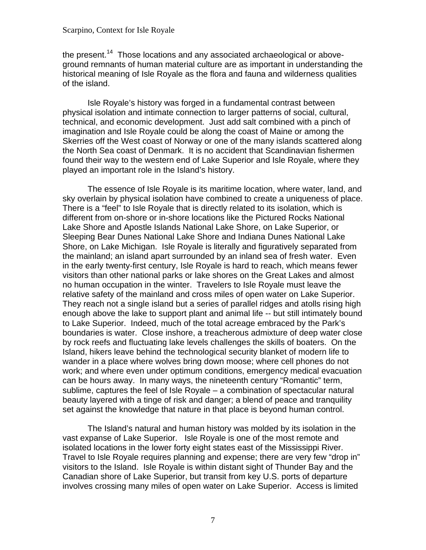the present.<sup>[14](#page-95-0)</sup> Those locations and any associated archaeological or aboveground remnants of human material culture are as important in understanding the historical meaning of Isle Royale as the flora and fauna and wilderness qualities of the island.

Isle Royale's history was forged in a fundamental contrast between physical isolation and intimate connection to larger patterns of social, cultural, technical, and economic development. Just add salt combined with a pinch of imagination and Isle Royale could be along the coast of Maine or among the Skerries off the West coast of Norway or one of the many islands scattered along the North Sea coast of Denmark. It is no accident that Scandinavian fishermen found their way to the western end of Lake Superior and Isle Royale, where they played an important role in the Island's history.

The essence of Isle Royale is its maritime location, where water, land, and sky overlain by physical isolation have combined to create a uniqueness of place. There is a "feel" to Isle Royale that is directly related to its isolation, which is different from on-shore or in-shore locations like the Pictured Rocks National Lake Shore and Apostle Islands National Lake Shore, on Lake Superior, or Sleeping Bear Dunes National Lake Shore and Indiana Dunes National Lake Shore, on Lake Michigan. Isle Royale is literally and figuratively separated from the mainland; an island apart surrounded by an inland sea of fresh water. Even in the early twenty-first century, Isle Royale is hard to reach, which means fewer visitors than other national parks or lake shores on the Great Lakes and almost no human occupation in the winter. Travelers to Isle Royale must leave the relative safety of the mainland and cross miles of open water on Lake Superior. They reach not a single island but a series of parallel ridges and atolls rising high enough above the lake to support plant and animal life -- but still intimately bound to Lake Superior. Indeed, much of the total acreage embraced by the Park's boundaries is water. Close inshore, a treacherous admixture of deep water close by rock reefs and fluctuating lake levels challenges the skills of boaters. On the Island, hikers leave behind the technological security blanket of modern life to wander in a place where wolves bring down moose; where cell phones do not work; and where even under optimum conditions, emergency medical evacuation can be hours away. In many ways, the nineteenth century "Romantic" term, sublime, captures the feel of Isle Royale – a combination of spectacular natural beauty layered with a tinge of risk and danger; a blend of peace and tranquility set against the knowledge that nature in that place is beyond human control.

The Island's natural and human history was molded by its isolation in the vast expanse of Lake Superior. Isle Royale is one of the most remote and isolated locations in the lower forty eight states east of the Mississippi River. Travel to Isle Royale requires planning and expense; there are very few "drop in" visitors to the Island. Isle Royale is within distant sight of Thunder Bay and the Canadian shore of Lake Superior, but transit from key U.S. ports of departure involves crossing many miles of open water on Lake Superior. Access is limited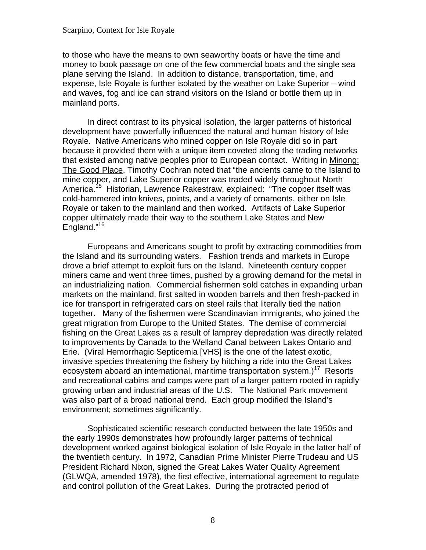to those who have the means to own seaworthy boats or have the time and money to book passage on one of the few commercial boats and the single sea plane serving the Island. In addition to distance, transportation, time, and expense, Isle Royale is further isolated by the weather on Lake Superior – wind and waves, fog and ice can strand visitors on the Island or bottle them up in mainland ports.

In direct contrast to its physical isolation, the larger patterns of historical development have powerfully influenced the natural and human history of Isle Royale. Native Americans who mined copper on Isle Royale did so in part because it provided them with a unique item coveted along the trading networks that existed among native peoples prior to European contact. Writing in Minong: The Good Place, Timothy Cochran noted that "the ancients came to the Island to mine copper, and Lake Superior copper was traded widely throughout North America.<sup>[15](#page-95-0)</sup> Historian, Lawrence Rakestraw, explained: "The copper itself was cold-hammered into knives, points, and a variety of ornaments, either on Isle Royale or taken to the mainland and then worked. Artifacts of Lake Superior copper ultimately made their way to the southern Lake States and New England."<sup>[16](#page-95-0)</sup>

Europeans and Americans sought to profit by extracting commodities from the Island and its surrounding waters. Fashion trends and markets in Europe drove a brief attempt to exploit furs on the Island. Nineteenth century copper miners came and went three times, pushed by a growing demand for the metal in an industrializing nation. Commercial fishermen sold catches in expanding urban markets on the mainland, first salted in wooden barrels and then fresh-packed in ice for transport in refrigerated cars on steel rails that literally tied the nation together. Many of the fishermen were Scandinavian immigrants, who joined the great migration from Europe to the United States. The demise of commercial fishing on the Great Lakes as a result of lamprey depredation was directly related to improvements by Canada to the Welland Canal between Lakes Ontario and Erie. (Viral Hemorrhagic Septicemia [VHS] is the one of the latest exotic, invasive species threatening the fishery by hitching a ride into the Great Lakes ecosystem aboard an international, maritime transportation system.)<sup>[17](#page-95-0)</sup> Resorts and recreational cabins and camps were part of a larger pattern rooted in rapidly growing urban and industrial areas of the U.S. The National Park movement was also part of a broad national trend. Each group modified the Island's environment; sometimes significantly.

Sophisticated scientific research conducted between the late 1950s and the early 1990s demonstrates how profoundly larger patterns of technical development worked against biological isolation of Isle Royale in the latter half of the twentieth century. In 1972, Canadian Prime Minister Pierre Trudeau and US President Richard Nixon, signed the Great Lakes Water Quality Agreement (GLWQA, amended 1978), the first effective, international agreement to regulate and control pollution of the Great Lakes. During the protracted period of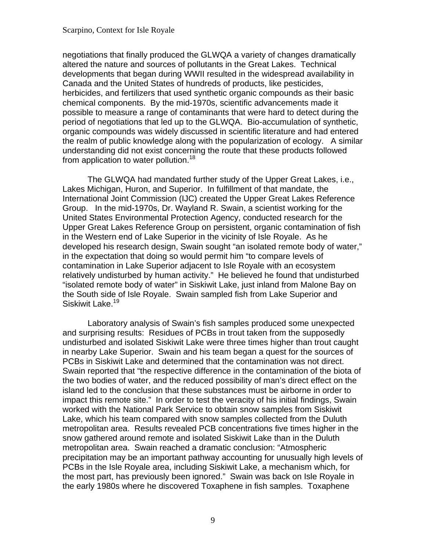negotiations that finally produced the GLWQA a variety of changes dramatically altered the nature and sources of pollutants in the Great Lakes. Technical developments that began during WWII resulted in the widespread availability in Canada and the United States of hundreds of products, like pesticides, herbicides, and fertilizers that used synthetic organic compounds as their basic chemical components. By the mid-1970s, scientific advancements made it possible to measure a range of contaminants that were hard to detect during the period of negotiations that led up to the GLWQA. Bio-accumulation of synthetic, organic compounds was widely discussed in scientific literature and had entered the realm of public knowledge along with the popularization of ecology. A similar understanding did not exist concerning the route that these products followed from application to water pollution.<sup>18</sup>

The GLWQA had mandated further study of the Upper Great Lakes, i.e., Lakes Michigan, Huron, and Superior. In fulfillment of that mandate, the International Joint Commission (IJC) created the Upper Great Lakes Reference Group. In the mid-1970s, Dr. Wayland R. Swain, a scientist working for the United States Environmental Protection Agency, conducted research for the Upper Great Lakes Reference Group on persistent, organic contamination of fish in the Western end of Lake Superior in the vicinity of Isle Royale. As he developed his research design, Swain sought "an isolated remote body of water," in the expectation that doing so would permit him "to compare levels of contamination in Lake Superior adjacent to Isle Royale with an ecosystem relatively undisturbed by human activity." He believed he found that undisturbed "isolated remote body of water" in Siskiwit Lake, just inland from Malone Bay on the South side of Isle Royale. Swain sampled fish from Lake Superior and Siskiwit Lake.<sup>19</sup>

Laboratory analysis of Swain's fish samples produced some unexpected and surprising results: Residues of PCBs in trout taken from the supposedly undisturbed and isolated Siskiwit Lake were three times higher than trout caught in nearby Lake Superior. Swain and his team began a quest for the sources of PCBs in Siskiwit Lake and determined that the contamination was not direct. Swain reported that "the respective difference in the contamination of the biota of the two bodies of water, and the reduced possibility of man's direct effect on the island led to the conclusion that these substances must be airborne in order to impact this remote site." In order to test the veracity of his initial findings, Swain worked with the National Park Service to obtain snow samples from Siskiwit Lake, which his team compared with snow samples collected from the Duluth metropolitan area. Results revealed PCB concentrations five times higher in the snow gathered around remote and isolated Siskiwit Lake than in the Duluth metropolitan area. Swain reached a dramatic conclusion: "Atmospheric precipitation may be an important pathway accounting for unusually high levels of PCBs in the Isle Royale area, including Siskiwit Lake, a mechanism which, for the most part, has previously been ignored." Swain was back on Isle Royale in the early 1980s where he discovered Toxaphene in fish samples. Toxaphene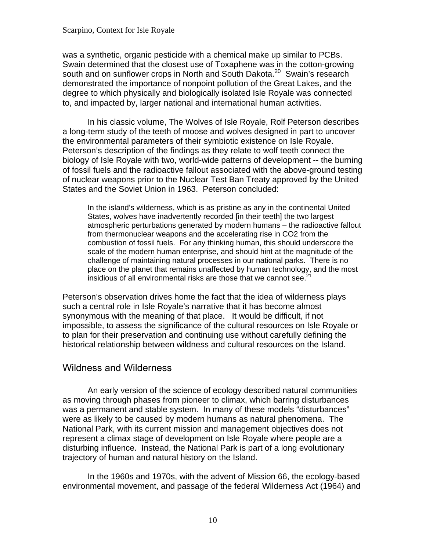<span id="page-15-0"></span>was a synthetic, organic pesticide with a chemical make up similar to PCBs. Swain determined that the closest use of Toxaphene was in the cotton-growing south and on sunflower crops in North and South Dakota.<sup>[20](#page-96-0)</sup> Swain's research demonstrated the importance of nonpoint pollution of the Great Lakes, and the degree to which physically and biologically isolated Isle Royale was connected to, and impacted by, larger national and international human activities.

In his classic volume, The Wolves of Isle Royale, Rolf Peterson describes a long-term study of the teeth of moose and wolves designed in part to uncover the environmental parameters of their symbiotic existence on Isle Royale. Peterson's description of the findings as they relate to wolf teeth connect the biology of Isle Royale with two, world-wide patterns of development -- the burning of fossil fuels and the radioactive fallout associated with the above-ground testing of nuclear weapons prior to the Nuclear Test Ban Treaty approved by the United States and the Soviet Union in 1963. Peterson concluded:

In the island's wilderness, which is as pristine as any in the continental United States, wolves have inadvertently recorded [in their teeth] the two largest atmospheric perturbations generated by modern humans – the radioactive fallout from thermonuclear weapons and the accelerating rise in CO2 from the combustion of fossil fuels. For any thinking human, this should underscore the scale of the modern human enterprise, and should hint at the magnitude of the challenge of maintaining natural processes in our national parks. There is no place on the planet that remains unaffected by human technology, and the most insidious of all environmental risks are those that we cannot see.<sup>2</sup>

Peterson's observation drives home the fact that the idea of wilderness plays such a central role in Isle Royale's narrative that it has become almost synonymous with the meaning of that place. It would be difficult, if not impossible, to assess the significance of the cultural resources on Isle Royale or to plan for their preservation and continuing use without carefully defining the historical relationship between wildness and cultural resources on the Island.

### Wildness and Wilderness

An early version of the science of ecology described natural communities as moving through phases from pioneer to climax, which barring disturbances was a permanent and stable system. In many of these models "disturbances" were as likely to be caused by modern humans as natural phenomena. The National Park, with its current mission and management objectives does not represent a climax stage of development on Isle Royale where people are a disturbing influence. Instead, the National Park is part of a long evolutionary trajectory of human and natural history on the Island.

In the 1960s and 1970s, with the advent of Mission 66, the ecology-based environmental movement, and passage of the federal Wilderness Act (1964) and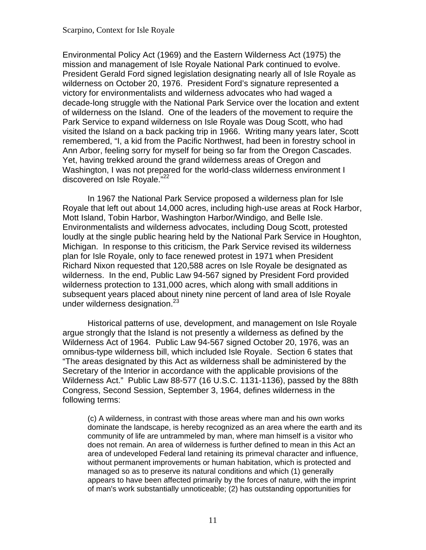Environmental Policy Act (1969) and the Eastern Wilderness Act (1975) the mission and management of Isle Royale National Park continued to evolve. President Gerald Ford signed legislation designating nearly all of Isle Royale as wilderness on October 20, 1976. President Ford's signature represented a victory for environmentalists and wilderness advocates who had waged a decade-long struggle with the National Park Service over the location and extent of wilderness on the Island. One of the leaders of the movement to require the Park Service to expand wilderness on Isle Royale was Doug Scott, who had visited the Island on a back packing trip in 1966. Writing many years later, Scott remembered, "I, a kid from the Pacific Northwest, had been in forestry school in Ann Arbor, feeling sorry for myself for being so far from the Oregon Cascades. Yet, having trekked around the grand wilderness areas of Oregon and Washington, I was not prepared for the world-class wilderness environment I discovered on Isle Royale."<sup>22</sup>

In 1967 the National Park Service proposed a wilderness plan for Isle Royale that left out about 14,000 acres, including high-use areas at Rock Harbor, Mott Island, Tobin Harbor, Washington Harbor/Windigo, and Belle Isle. Environmentalists and wilderness advocates, including Doug Scott, protested loudly at the single public hearing held by the National Park Service in Houghton, Michigan. In response to this criticism, the Park Service revised its wilderness plan for Isle Royale, only to face renewed protest in 1971 when President Richard Nixon requested that 120,588 acres on Isle Royale be designated as wilderness. In the end, Public Law 94-567 signed by President Ford provided wilderness protection to 131,000 acres, which along with small additions in subsequent years placed about ninety nine percent of land area of Isle Royale under wilderness designation.<sup>23</sup>

Historical patterns of use, development, and management on Isle Royale argue strongly that the Island is not presently a wilderness as defined by the Wilderness Act of 1964. Public Law 94-567 signed October 20, 1976, was an omnibus-type wilderness bill, which included Isle Royale. Section 6 states that "The areas designated by this Act as wilderness shall be administered by the Secretary of the Interior in accordance with the applicable provisions of the Wilderness Act." Public Law 88-577 (16 U.S.C. 1131-1136), passed by the 88th Congress, Second Session, September 3, 1964, defines wilderness in the following terms:

(c) A wilderness, in contrast with those areas where man and his own works dominate the landscape, is hereby recognized as an area where the earth and its community of life are untrammeled by man, where man himself is a visitor who does not remain. An area of wilderness is further defined to mean in this Act an area of undeveloped Federal land retaining its primeval character and influence, without permanent improvements or human habitation, which is protected and managed so as to preserve its natural conditions and which (1) generally appears to have been affected primarily by the forces of nature, with the imprint of man's work substantially unnoticeable; (2) has outstanding opportunities for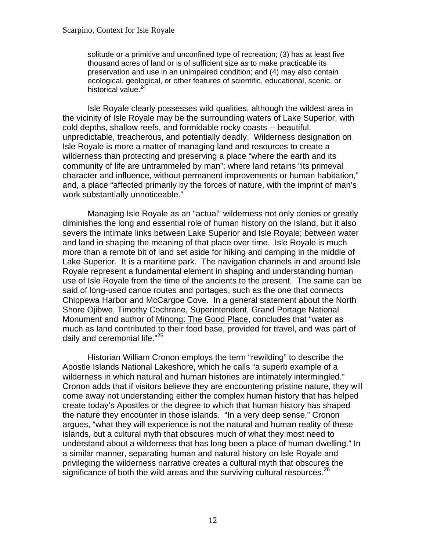solitude or a primitive and unconfined type of recreation; (3) has at least five thousand acres of land or is of sufficient size as to make practicable its preservation and use in an unimpaired condition; and (4) may also contain ecological, geological, or other features of scientific, educational, scenic, or historical value.<sup>24</sup>

Isle Royale clearly possesses wild qualities, although the wildest area in the vicinity of Isle Royale may be the surrounding waters of Lake Superior, with cold depths, shallow reefs, and formidable rocky coasts -- beautiful, unpredictable, treacherous, and potentially deadly. Wilderness designation on Isle Royale is more a matter of managing land and resources to create a wilderness than protecting and preserving a place "where the earth and its community of life are untrammeled by man"; where land retains "its primeval character and influence, without permanent improvements or human habitation," and, a place "affected primarily by the forces of nature, with the imprint of man's work substantially unnoticeable."

Managing Isle Royale as an "actual" wilderness not only denies or greatly diminishes the long and essential role of human history on the Island, but it also severs the intimate links between Lake Superior and Isle Royale; between water and land in shaping the meaning of that place over time. Isle Royale is much more than a remote bit of land set aside for hiking and camping in the middle of Lake Superior. It is a maritime park. The navigation channels in and around Isle Royale represent a fundamental element in shaping and understanding human use of Isle Royale from the time of the ancients to the present. The same can be said of long-used canoe routes and portages, such as the one that connects Chippewa Harbor and McCargoe Cove. In a general statement about the North Shore Ojibwe, Timothy Cochrane, Superintendent, Grand Portage National Monument and author of Minong: The Good Place, concludes that "water as much as land contributed to their food base, provided for travel, and was part of daily and ceremonial life."<sup>25</sup>

Historian William Cronon employs the term "rewilding" to describe the Apostle Islands National Lakeshore, which he calls "a superb example of a wilderness in which natural and human histories are intimately intermingled." Cronon adds that if visitors believe they are encountering pristine nature, they will come away not understanding either the complex human history that has helped create today's Apostles or the degree to which that human history has shaped the nature they encounter in those islands. "In a very deep sense," Cronon argues, "what they will experience is not the natural and human reality of these islands, but a cultural myth that obscures much of what they most need to understand about a wilderness that has long been a place of human dwelling." In a similar manner, separating human and natural history on Isle Royale and privileging the wilderness narrative creates a cultural myth that obscures the significance of both the wild areas and the surviving cultural resources.<sup>26</sup>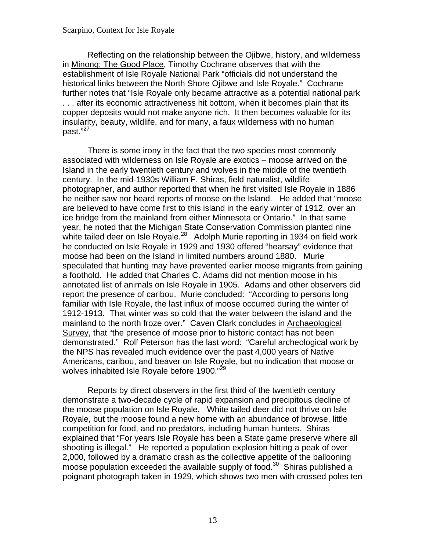Reflecting on the relationship between the Ojibwe, history, and wilderness in Minong: The Good Place, Timothy Cochrane observes that with the establishment of Isle Royale National Park "officials did not understand the historical links between the North Shore Ojibwe and Isle Royale." Cochrane further notes that "Isle Royale only became attractive as a potential national park . . . after its economic attractiveness hit bottom, when it becomes plain that its copper deposits would not make anyone rich. It then becomes valuable for its insularity, beauty, wildlife, and for many, a faux wilderness with no human past."<sup>27</sup>

There is some irony in the fact that the two species most commonly associated with wilderness on Isle Royale are exotics – moose arrived on the Island in the early twentieth century and wolves in the middle of the twentieth century. In the mid-1930s William F. Shiras, field naturalist, wildlife photographer, and author reported that when he first visited Isle Royale in 1886 he neither saw nor heard reports of moose on the Island. He added that "moose are believed to have come first to this island in the early winter of 1912, over an ice bridge from the mainland from either Minnesota or Ontario." In that same year, he noted that the Michigan State Conservation Commission planted nine white tailed deer on Isle Royale.<sup>28</sup> Adolph Murie reporting in 1934 on field work he conducted on Isle Royale in 1929 and 1930 offered "hearsay" evidence that moose had been on the Island in limited numbers around 1880. Murie speculated that hunting may have prevented earlier moose migrants from gaining a foothold. He added that Charles C. Adams did not mention moose in his annotated list of animals on Isle Royale in 1905. Adams and other observers did report the presence of caribou. Murie concluded: "According to persons long familiar with Isle Royale, the last influx of moose occurred during the winter of 1912-1913. That winter was so cold that the water between the island and the mainland to the north froze over." Caven Clark concludes in Archaeological Survey, that "the presence of moose prior to historic contact has not been demonstrated." Rolf Peterson has the last word: "Careful archeological work by the NPS has revealed much evidence over the past 4,000 years of Native Americans, caribou, and beaver on Isle Royale, but no indication that moose or wolves inhabited Isle Royale before 1900."<sup>29</sup>

Reports by direct observers in the first third of the twentieth century demonstrate a two-decade cycle of rapid expansion and precipitous decline of the moose population on Isle Royale. White tailed deer did not thrive on Isle Royale, but the moose found a new home with an abundance of browse, little competition for food, and no predators, including human hunters. Shiras explained that "For years Isle Royale has been a State game preserve where all shooting is illegal." He reported a population explosion hitting a peak of over 2,000, followed by a dramatic crash as the collective appetite of the ballooning moose population exceeded the available supply of food.<sup>[30](#page-97-0)</sup> Shiras published a poignant photograph taken in 1929, which shows two men with crossed poles ten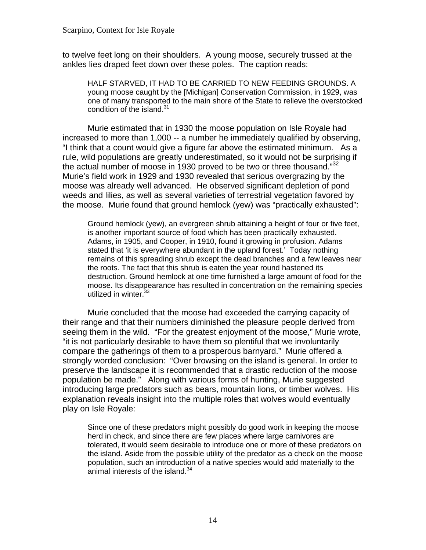to twelve feet long on their shoulders. A young moose, securely trussed at the ankles lies draped feet down over these poles. The caption reads:

HALF STARVED, IT HAD TO BE CARRIED TO NEW FEEDING GROUNDS. A young moose caught by the [Michigan] Conservation Commission, in 1929, was one of many transported to the main shore of the State to relieve the overstocked condition of the island. $31$ 

the actual number of moose in 1930 proved to be two or three thousand."[32](#page-97-0) Murie estimated that in 1930 the moose population on Isle Royale had increased to more than 1,000 -- a number he immediately qualified by observing, "I think that a count would give a figure far above the estimated minimum. As a rule, wild populations are greatly underestimated, so it would not be surprising if Murie's field work in 1929 and 1930 revealed that serious overgrazing by the moose was already well advanced. He observed significant depletion of pond weeds and lilies, as well as several varieties of terrestrial vegetation favored by the moose. Murie found that ground hemlock (yew) was "practically exhausted":

Ground hemlock (yew), an evergreen shrub attaining a height of four or five feet, is another important source of food which has been practically exhausted. Adams, in 1905, and Cooper, in 1910, found it growing in profusion. Adams stated that 'it is everywhere abundant in the upland forest.' Today nothing remains of this spreading shrub except the dead branches and a few leaves near the roots. The fact that this shrub is eaten the year round hastened its destruction. Ground hemlock at one time furnished a large amount of food for the moose. Its disappearance has resulted in concentration on the remaining species utilized in winter.<sup>[33](#page-97-0)</sup>

Murie concluded that the moose had exceeded the carrying capacity of their range and that their numbers diminished the pleasure people derived from seeing them in the wild. "For the greatest enjoyment of the moose," Murie wrote, "it is not particularly desirable to have them so plentiful that we involuntarily compare the gatherings of them to a prosperous barnyard." Murie offered a strongly worded conclusion: "Over browsing on the island is general. In order to preserve the landscape it is recommended that a drastic reduction of the moose population be made." Along with various forms of hunting, Murie suggested introducing large predators such as bears, mountain lions, or timber wolves. His explanation reveals insight into the multiple roles that wolves would eventually play on Isle Royale:

Since one of these predators might possibly do good work in keeping the moose herd in check, and since there are few places where large carnivores are tolerated, it would seem desirable to introduce one or more of these predators on the island. Aside from the possible utility of the predator as a check on the moose population, such an introduction of a native species would add materially to the animal interests of the island. $34$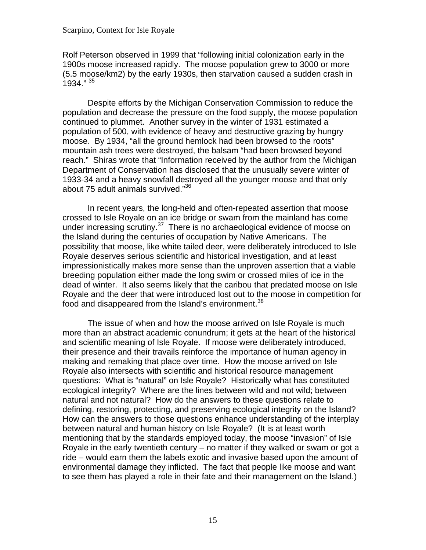Rolf Peterson observed in 1999 that "following initial colonization early in the 1900s moose increased rapidly. The moose population grew to 3000 or more (5.5 moose/km2) by the early 1930s, then starvation caused a sudden crash in 1934."  $35$ 

Despite efforts by the Michigan Conservation Commission to reduce the population and decrease the pressure on the food supply, the moose population continued to plummet. Another survey in the winter of 1931 estimated a population of 500, with evidence of heavy and destructive grazing by hungry moose. By 1934, "all the ground hemlock had been browsed to the roots" mountain ash trees were destroyed, the balsam "had been browsed beyond reach." Shiras wrote that "Information received by the author from the Michigan Department of Conservation has disclosed that the unusually severe winter of 1933-34 and a heavy snowfall destroyed all the younger moose and that only about 75 adult animals survived.["36](#page-97-0) 

In recent years, the long-held and often-repeated assertion that moose crossed to Isle Royale on an ice bridge or swam from the mainland has come under increasing scrutiny. $37$  There is no archaeological evidence of moose on the Island during the centuries of occupation by Native Americans. The possibility that moose, like white tailed deer, were deliberately introduced to Isle Royale deserves serious scientific and historical investigation, and at least impressionistically makes more sense than the unproven assertion that a viable breeding population either made the long swim or crossed miles of ice in the dead of winter. It also seems likely that the caribou that predated moose on Isle Royale and the deer that were introduced lost out to the moose in competition for food and disappeared from the Island's environment.<sup>[38](#page-98-0)</sup>

The issue of when and how the moose arrived on Isle Royale is much more than an abstract academic conundrum; it gets at the heart of the historical and scientific meaning of Isle Royale. If moose were deliberately introduced, their presence and their travails reinforce the importance of human agency in making and remaking that place over time. How the moose arrived on Isle Royale also intersects with scientific and historical resource management questions: What is "natural" on Isle Royale? Historically what has constituted ecological integrity? Where are the lines between wild and not wild; between natural and not natural? How do the answers to these questions relate to defining, restoring, protecting, and preserving ecological integrity on the Island? How can the answers to those questions enhance understanding of the interplay between natural and human history on Isle Royale? (It is at least worth mentioning that by the standards employed today, the moose "invasion" of Isle Royale in the early twentieth century – no matter if they walked or swam or got a ride – would earn them the labels exotic and invasive based upon the amount of environmental damage they inflicted. The fact that people like moose and want to see them has played a role in their fate and their management on the Island.)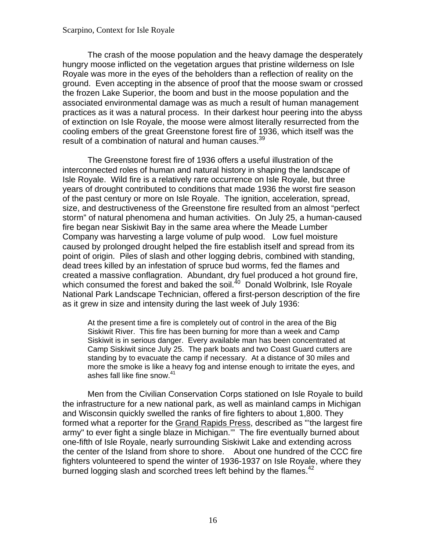The crash of the moose population and the heavy damage the desperately hungry moose inflicted on the vegetation argues that pristine wilderness on Isle Royale was more in the eyes of the beholders than a reflection of reality on the ground. Even accepting in the absence of proof that the moose swam or crossed the frozen Lake Superior, the boom and bust in the moose population and the associated environmental damage was as much a result of human management practices as it was a natural process. In their darkest hour peering into the abyss of extinction on Isle Royale, the moose were almost literally resurrected from the cooling embers of the great Greenstone forest fire of 1936, which itself was the result of a combination of natural and human causes.<sup>[39](#page-98-0)</sup>

The Greenstone forest fire of 1936 offers a useful illustration of the interconnected roles of human and natural history in shaping the landscape of Isle Royale. Wild fire is a relatively rare occurrence on Isle Royale, but three years of drought contributed to conditions that made 1936 the worst fire season of the past century or more on Isle Royale. The ignition, acceleration, spread, size, and destructiveness of the Greenstone fire resulted from an almost "perfect storm" of natural phenomena and human activities. On July 25, a human-caused fire began near Siskiwit Bay in the same area where the Meade Lumber Company was harvesting a large volume of pulp wood. Low fuel moisture caused by prolonged drought helped the fire establish itself and spread from its point of origin. Piles of slash and other logging debris, combined with standing, dead trees killed by an infestation of spruce bud worms, fed the flames and created a massive conflagration. Abundant, dry fuel produced a hot ground fire, which consumed the forest and baked the soil. $40$  Donald Wolbrink, Isle Royale National Park Landscape Technician, offered a first-person description of the fire as it grew in size and intensity during the last week of July 1936:

At the present time a fire is completely out of control in the area of the Big Siskiwit River. This fire has been burning for more than a week and Camp Siskiwit is in serious danger. Every available man has been concentrated at Camp Siskiwit since July 25. The park boats and two Coast Guard cutters are standing by to evacuate the camp if necessary. At a distance of 30 miles and more the smoke is like a heavy fog and intense enough to irritate the eyes, and ashes fall like fine snow.<sup>[41](#page-98-0)</sup>

Men from the Civilian Conservation Corps stationed on Isle Royale to build the infrastructure for a new national park, as well as mainland camps in Michigan and Wisconsin quickly swelled the ranks of fire fighters to about 1,800. They formed what a reporter for the Grand Rapids Press, described as "'the largest fire army" to ever fight a single blaze in Michigan.'" The fire eventually burned about one-fifth of Isle Royale, nearly surrounding Siskiwit Lake and extending across the center of the Island from shore to shore. About one hundred of the CCC fire fighters volunteered to spend the winter of 1936-1937 on Isle Royale, where they burned logging slash and scorched trees left behind by the flames.<sup>42</sup>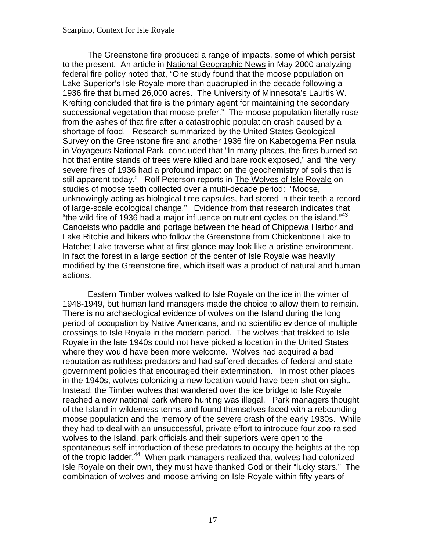"the wild fire of 1936 had a major influence on nutrient cycles on the island." $43$ The Greenstone fire produced a range of impacts, some of which persist to the present. An article in National Geographic News in May 2000 analyzing federal fire policy noted that, "One study found that the moose population on Lake Superior's Isle Royale more than quadrupled in the decade following a 1936 fire that burned 26,000 acres. The University of Minnesota's Laurtis W. Krefting concluded that fire is the primary agent for maintaining the secondary successional vegetation that moose prefer." The moose population literally rose from the ashes of that fire after a catastrophic population crash caused by a shortage of food. Research summarized by the United States Geological Survey on the Greenstone fire and another 1936 fire on Kabetogema Peninsula in Voyageurs National Park, concluded that "In many places, the fires burned so hot that entire stands of trees were killed and bare rock exposed," and "the very severe fires of 1936 had a profound impact on the geochemistry of soils that is still apparent today." Rolf Peterson reports in The Wolves of Isle Royale on studies of moose teeth collected over a multi-decade period: "Moose, unknowingly acting as biological time capsules, had stored in their teeth a record of large-scale ecological change." Evidence from that research indicates that Canoeists who paddle and portage between the head of Chippewa Harbor and Lake Ritchie and hikers who follow the Greenstone from Chickenbone Lake to Hatchet Lake traverse what at first glance may look like a pristine environment. In fact the forest in a large section of the center of Isle Royale was heavily modified by the Greenstone fire, which itself was a product of natural and human actions.

Eastern Timber wolves walked to Isle Royale on the ice in the winter of 1948-1949, but human land managers made the choice to allow them to remain. There is no archaeological evidence of wolves on the Island during the long period of occupation by Native Americans, and no scientific evidence of multiple crossings to Isle Royale in the modern period. The wolves that trekked to Isle Royale in the late 1940s could not have picked a location in the United States where they would have been more welcome. Wolves had acquired a bad reputation as ruthless predators and had suffered decades of federal and state government policies that encouraged their extermination. In most other places in the 1940s, wolves colonizing a new location would have been shot on sight. Instead, the Timber wolves that wandered over the ice bridge to Isle Royale reached a new national park where hunting was illegal. Park managers thought of the Island in wilderness terms and found themselves faced with a rebounding moose population and the memory of the severe crash of the early 1930s. While they had to deal with an unsuccessful, private effort to introduce four zoo-raised wolves to the Island, park officials and their superiors were open to the spontaneous self-introduction of these predators to occupy the heights at the top of the tropic ladder.<sup>44</sup> When park managers realized that wolves had colonized Isle Royale on their own, they must have thanked God or their "lucky stars." The combination of wolves and moose arriving on Isle Royale within fifty years of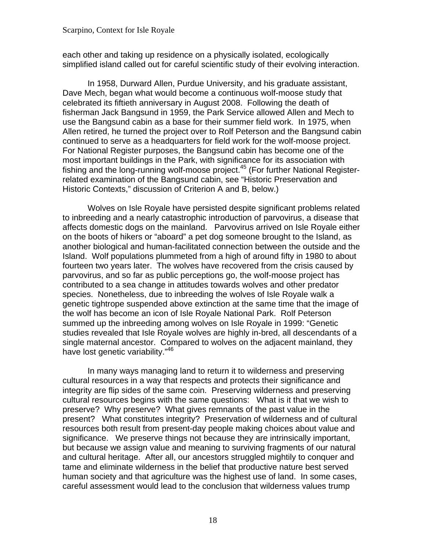each other and taking up residence on a physically isolated, ecologically simplified island called out for careful scientific study of their evolving interaction.

In 1958, Durward Allen, Purdue University, and his graduate assistant, Dave Mech, began what would become a continuous wolf-moose study that celebrated its fiftieth anniversary in August 2008. Following the death of fisherman Jack Bangsund in 1959, the Park Service allowed Allen and Mech to use the Bangsund cabin as a base for their summer field work. In 1975, when Allen retired, he turned the project over to Rolf Peterson and the Bangsund cabin continued to serve as a headquarters for field work for the wolf-moose project. For National Register purposes, the Bangsund cabin has become one of the most important buildings in the Park, with significance for its association with fishing and the long-running wolf-moose project.<sup>[45](#page-99-0)</sup> (For further National Registerrelated examination of the Bangsund cabin, see "Historic Preservation and Historic Contexts," discussion of Criterion A and B, below.)

Wolves on Isle Royale have persisted despite significant problems related to inbreeding and a nearly catastrophic introduction of parvovirus, a disease that affects domestic dogs on the mainland. Parvovirus arrived on Isle Royale either on the boots of hikers or "aboard" a pet dog someone brought to the Island, as another biological and human-facilitated connection between the outside and the Island. Wolf populations plummeted from a high of around fifty in 1980 to about fourteen two years later. The wolves have recovered from the crisis caused by parvovirus, and so far as public perceptions go, the wolf-moose project has contributed to a sea change in attitudes towards wolves and other predator species. Nonetheless, due to inbreeding the wolves of Isle Royale walk a genetic tightrope suspended above extinction at the same time that the image of the wolf has become an icon of Isle Royale National Park. Rolf Peterson summed up the inbreeding among wolves on Isle Royale in 1999: "Genetic studies revealed that Isle Royale wolves are highly in-bred, all descendants of a single maternal ancestor. Compared to wolves on the adjacent mainland, they have lost genetic variability."<sup>46</sup>

In many ways managing land to return it to wilderness and preserving cultural resources in a way that respects and protects their significance and integrity are flip sides of the same coin. Preserving wilderness and preserving cultural resources begins with the same questions: What is it that we wish to preserve? Why preserve? What gives remnants of the past value in the present? What constitutes integrity? Preservation of wilderness and of cultural resources both result from present-day people making choices about value and significance. We preserve things not because they are intrinsically important, but because we assign value and meaning to surviving fragments of our natural and cultural heritage. After all, our ancestors struggled mightily to conquer and tame and eliminate wilderness in the belief that productive nature best served human society and that agriculture was the highest use of land. In some cases, careful assessment would lead to the conclusion that wilderness values trump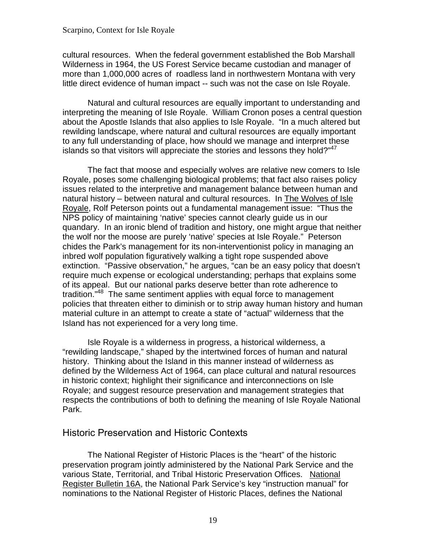<span id="page-24-0"></span>cultural resources. When the federal government established the Bob Marshall Wilderness in 1964, the US Forest Service became custodian and manager of more than 1,000,000 acres of roadless land in northwestern Montana with very little direct evidence of human impact -- such was not the case on Isle Royale.

Natural and cultural resources are equally important to understanding and interpreting the meaning of Isle Royale. William Cronon poses a central question about the Apostle Islands that also applies to Isle Royale. "In a much altered but rewilding landscape, where natural and cultural resources are equally important to any full understanding of place, how should we manage and interpret these islands so that visitors will appreciate the stories and lessons they hold?"<sup>[47](#page-99-0)</sup>

The fact that moose and especially wolves are relative new comers to Isle Royale, poses some challenging biological problems; that fact also raises policy issues related to the interpretive and management balance between human and natural history – between natural and cultural resources. In The Wolves of Isle Royale, Rolf Peterson points out a fundamental management issue: "Thus the NPS policy of maintaining 'native' species cannot clearly guide us in our quandary. In an ironic blend of tradition and history, one might argue that neither the wolf nor the moose are purely 'native' species at Isle Royale." Peterson chides the Park's management for its non-interventionist policy in managing an inbred wolf population figuratively walking a tight rope suspended above extinction. "Passive observation," he argues, "can be an easy policy that doesn't require much expense or ecological understanding; perhaps that explains some of its appeal. But our national parks deserve better than rote adherence to tradition."[48](#page-99-0) The same sentiment applies with equal force to management policies that threaten either to diminish or to strip away human history and human material culture in an attempt to create a state of "actual" wilderness that the Island has not experienced for a very long time.

Isle Royale is a wilderness in progress, a historical wilderness, a "rewilding landscape," shaped by the intertwined forces of human and natural history. Thinking about the Island in this manner instead of wilderness as defined by the Wilderness Act of 1964, can place cultural and natural resources in historic context; highlight their significance and interconnections on Isle Royale; and suggest resource preservation and management strategies that respects the contributions of both to defining the meaning of Isle Royale National Park.

### Historic Preservation and Historic Contexts

The National Register of Historic Places is the "heart" of the historic preservation program jointly administered by the National Park Service and the various State, Territorial, and Tribal Historic Preservation Offices. National Register Bulletin 16A, the National Park Service's key "instruction manual" for nominations to the National Register of Historic Places, defines the National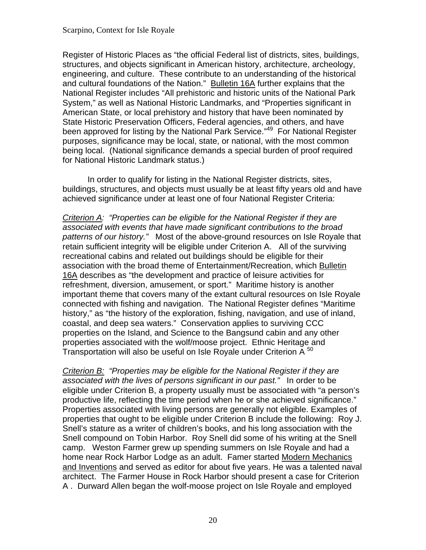Register of Historic Places as "the official Federal list of districts, sites, buildings, structures, and objects significant in American history, architecture, archeology, engineering, and culture. These contribute to an understanding of the historical and cultural foundations of the Nation." Bulletin 16A further explains that the National Register includes "All prehistoric and historic units of the National Park System," as well as National Historic Landmarks, and "Properties significant in American State, or local prehistory and history that have been nominated by State Historic Preservation Officers, Federal agencies, and others, and have been approved for listing by the National Park Service."<sup>[49](#page-99-0)</sup> For National Register purposes, significance may be local, state, or national, with the most common being local. (National significance demands a special burden of proof required for National Historic Landmark status.)

In order to qualify for listing in the National Register districts, sites, buildings, structures, and objects must usually be at least fifty years old and have achieved significance under at least one of four National Register Criteria:

*Criterion A: "Properties can be eligible for the National Register if they are associated with events that have made significant contributions to the broad patterns of our history."* Most of the above-ground resources on Isle Royale that retain sufficient integrity will be eligible under Criterion A. All of the surviving recreational cabins and related out buildings should be eligible for their association with the broad theme of Entertainment/Recreation, which Bulletin 16A describes as "the development and practice of leisure activities for refreshment, diversion, amusement, or sport." Maritime history is another important theme that covers many of the extant cultural resources on Isle Royale connected with fishing and navigation. The National Register defines "Maritime history," as "the history of the exploration, fishing, navigation, and use of inland, coastal, and deep sea waters." Conservation applies to surviving CCC properties on the Island, and Science to the Bangsund cabin and any other properties associated with the wolf/moose project. Ethnic Heritage and Transportation will also be useful on Isle Royale under Criterion A  $50$ 

*Criterion B: "Properties may be eligible for the National Register if they are associated with the lives of persons significant in our past."* In order to be eligible under Criterion B, a property usually must be associated with "a person's productive life, reflecting the time period when he or she achieved significance." Properties associated with living persons are generally not eligible. Examples of properties that ought to be eligible under Criterion B include the following: Roy J. Snell's stature as a writer of children's books, and his long association with the Snell compound on Tobin Harbor. Roy Snell did some of his writing at the Snell camp. Weston Farmer grew up spending summers on Isle Royale and had a home near Rock Harbor Lodge as an adult. Famer started Modern Mechanics and Inventions and served as editor for about five years. He was a talented naval architect. The Farmer House in Rock Harbor should present a case for Criterion A . Durward Allen began the wolf-moose project on Isle Royale and employed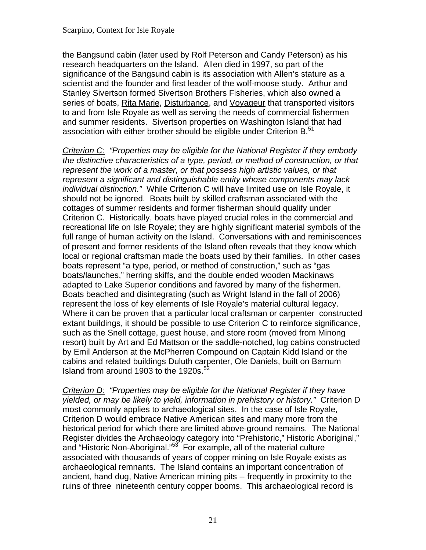the Bangsund cabin (later used by Rolf Peterson and Candy Peterson) as his research headquarters on the Island. Allen died in 1997, so part of the significance of the Bangsund cabin is its association with Allen's stature as a scientist and the founder and first leader of the wolf-moose study. Arthur and Stanley Sivertson formed Sivertson Brothers Fisheries, which also owned a series of boats, Rita Marie, Disturbance, and Voyageur that transported visitors to and from Isle Royale as well as serving the needs of commercial fishermen and summer residents. Sivertson properties on Washington Island that had association with either brother should be eligible under Criterion B.<sup>51</sup>

*Criterion C: "Properties may be eligible for the National Register if they embody the distinctive characteristics of a type, period, or method of construction, or that represent the work of a master, or that possess high artistic values, or that represent a significant and distinguishable entity whose components may lack individual distinction."* While Criterion C will have limited use on Isle Royale, it should not be ignored. Boats built by skilled craftsman associated with the cottages of summer residents and former fisherman should qualify under Criterion C. Historically, boats have played crucial roles in the commercial and recreational life on Isle Royale; they are highly significant material symbols of the full range of human activity on the Island. Conversations with and reminiscences of present and former residents of the Island often reveals that they know which local or regional craftsman made the boats used by their families. In other cases boats represent "a type, period, or method of construction," such as "gas boats/launches," herring skiffs, and the double ended wooden Mackinaws adapted to Lake Superior conditions and favored by many of the fishermen. Boats beached and disintegrating (such as Wright Island in the fall of 2006) represent the loss of key elements of Isle Royale's material cultural legacy. Where it can be proven that a particular local craftsman or carpenter constructed extant buildings, it should be possible to use Criterion C to reinforce significance, such as the Snell cottage, guest house, and store room (moved from Minong resort) built by Art and Ed Mattson or the saddle-notched, log cabins constructed by Emil Anderson at the McPherren Compound on Captain Kidd Island or the cabins and related buildings Duluth carpenter, Ole Daniels, built on Barnum Island from around 1903 to the 1920s. $52$ 

*Criterion D: "Properties may be eligible for the National Register if they have yielded, or may be likely to yield, information in prehistory or history."* Criterion D most commonly applies to archaeological sites. In the case of Isle Royale, Criterion D would embrace Native American sites and many more from the historical period for which there are limited above-ground remains. The National Register divides the Archaeology category into "Prehistoric," Historic Aboriginal," and "Historic Non-Aboriginal."<sup>[53](#page-100-0)</sup> For example, all of the material culture associated with thousands of years of copper mining on Isle Royale exists as archaeological remnants. The Island contains an important concentration of ancient, hand dug, Native American mining pits -- frequently in proximity to the ruins of three nineteenth century copper booms. This archaeological record is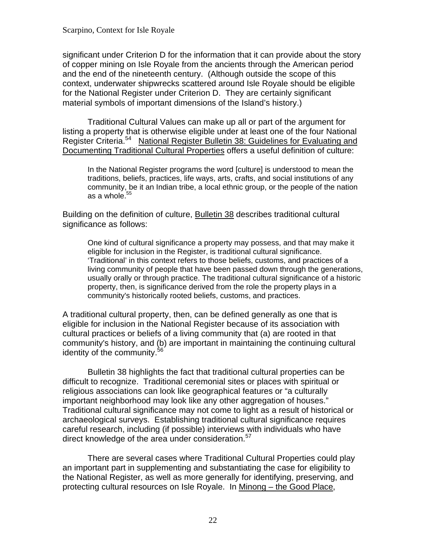significant under Criterion D for the information that it can provide about the story of copper mining on Isle Royale from the ancients through the American period and the end of the nineteenth century. (Although outside the scope of this context, underwater shipwrecks scattered around Isle Royale should be eligible for the National Register under Criterion D. They are certainly significant material symbols of important dimensions of the Island's history.)

Traditional Cultural Values can make up all or part of the argument for listing a property that is otherwise eligible under at least one of the four National Register Criteria.<sup>54</sup> National Register Bulletin 38: Guidelines for Evaluating and Documenting Traditional Cultural Properties offers a useful definition of culture:

In the National Register programs the word [culture] is understood to mean the traditions, beliefs, practices, life ways, arts, crafts, and social institutions of any community, be it an Indian tribe, a local ethnic group, or the people of the nation as a whole. $55$ 

Building on the definition of culture, Bulletin 38 describes traditional cultural significance as follows:

eligible for inclusion in the Register, is traditional cultural significance. One kind of cultural significance a property may possess, and that may make it 'Traditional' in this context refers to those beliefs, customs, and practices of a living community of people that have been passed down through the generations, usually orally or through practice. The traditional cultural significance of a historic property, then, is significance derived from the role the property plays in a community's historically rooted beliefs, customs, and practices.

A traditional cultural property, then, can be defined generally as one that is eligible for inclusion in the National Register because of its association with cultural practices or beliefs of a living community that (a) are rooted in that community's history, and (b) are important in maintaining the continuing cultural identity of the community.<sup>56</sup>

direct knowledge of the area under consideration.<sup>57</sup> Bulletin 38 highlights the fact that traditional cultural properties can be difficult to recognize. Traditional ceremonial sites or places with spiritual or religious associations can look like geographical features or "a culturally important neighborhood may look like any other aggregation of houses." Traditional cultural significance may not come to light as a result of historical or archaeological surveys. Establishing traditional cultural significance requires careful research, including (if possible) interviews with individuals who have

There are several cases where Traditional Cultural Properties could play an important part in supplementing and substantiating the case for eligibility to the National Register, as well as more generally for identifying, preserving, and protecting cultural resources on Isle Royale. In Minong – the Good Place,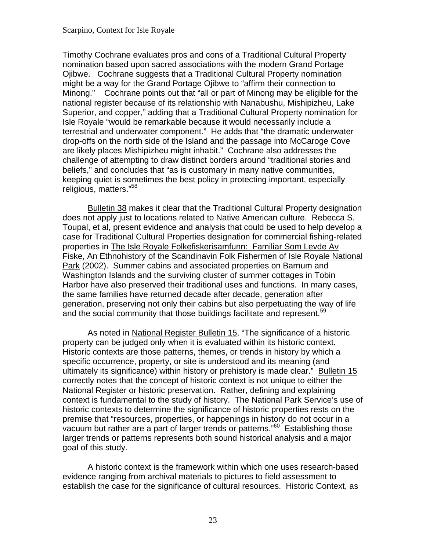Minong." Cochrane points out that "all or part of Minong may be eligible for the Timothy Cochrane evaluates pros and cons of a Traditional Cultural Property nomination based upon sacred associations with the modern Grand Portage Ojibwe. Cochrane suggests that a Traditional Cultural Property nomination might be a way for the Grand Portage Ojibwe to "affirm their connection to national register because of its relationship with Nanabushu, Mishipizheu, Lake Superior, and copper," adding that a Traditional Cultural Property nomination for Isle Royale "would be remarkable because it would necessarily include a terrestrial and underwater component." He adds that "the dramatic underwater drop-offs on the north side of the Island and the passage into McCaroge Cove are likely places Mishipizheu might inhabit." Cochrane also addresses the challenge of attempting to draw distinct borders around "traditional stories and beliefs," and concludes that "as is customary in many native communities, keeping quiet is sometimes the best policy in protecting important, especially religious, matters."<sup>58</sup>

Bulletin 38 makes it clear that the Traditional Cultural Property designation does not apply just to locations related to Native American culture. Rebecca S. Toupal, et al, present evidence and analysis that could be used to help develop a case for Traditional Cultural Properties designation for commercial fishing-related properties in The Isle Royale Folkefiskerisamfunn: Familiar Som Levde Av Fiske, An Ethnohistory of the Scandinavin Folk Fishermen of Isle Royale National Park (2002). Summer cabins and associated properties on Barnum and Washington Islands and the surviving cluster of summer cottages in Tobin Harbor have also preserved their traditional uses and functions. In many cases, the same families have returned decade after decade, generation after generation, preserving not only their cabins but also perpetuating the way of life and the social community that those buildings facilitate and represent.<sup>[59](#page-100-0)</sup>

As noted in National Register Bulletin 15, "The significance of a historic property can be judged only when it is evaluated within its historic context. Historic contexts are those patterns, themes, or trends in history by which a specific occurrence, property, or site is understood and its meaning (and ultimately its significance) within history or prehistory is made clear." Bulletin 15 correctly notes that the concept of historic context is not unique to either the National Register or historic preservation. Rather, defining and explaining context is fundamental to the study of history. The National Park Service's use of historic contexts to determine the significance of historic properties rests on the premise that "resources, properties, or happenings in history do not occur in a vacuum but rather are a part of larger trends or patterns."<sup>[60](#page-101-0)</sup> Establishing those larger trends or patterns represents both sound historical analysis and a major goal of this study.

A historic context is the framework within which one uses research-based evidence ranging from archival materials to pictures to field assessment to establish the case for the significance of cultural resources. Historic Context, as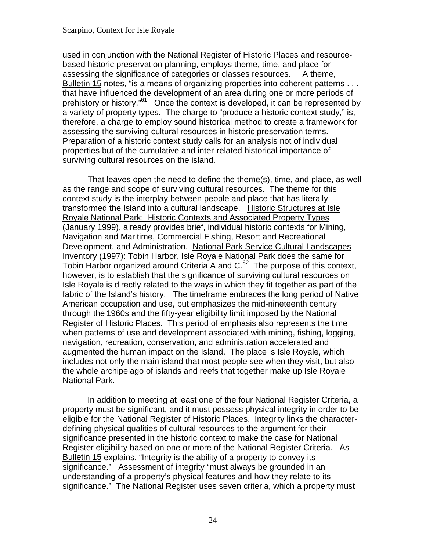used in conjunction with the National Register of Historic Places and resourcebased historic preservation planning, employs theme, time, and place for assessing the significance of categories or classes resources. A theme, Bulletin 15 notes, "is a means of organizing properties into coherent patterns . . . that have influenced the development of an area during one or more periods of prehistory or history."<sup>61</sup> Once the context is developed, it can be represented by a variety of property types. The charge to "produce a historic context study," is, therefore, a charge to employ sound historical method to create a framework for assessing the surviving cultural resources in historic preservation terms. Preparation of a historic context study calls for an analysis not of individual properties but of the cumulative and inter-related historical importance of surviving cultural resources on the island.

That leaves open the need to define the theme(s), time, and place, as well as the range and scope of surviving cultural resources. The theme for this context study is the interplay between people and place that has literally transformed the Island into a cultural landscape. Historic Structures at Isle Royale National Park: Historic Contexts and Associated Property Types (January 1999), already provides brief, individual historic contexts for Mining, Navigation and Maritime, Commercial Fishing, Resort and Recreational Development, and Administration. National Park Service Cultural Landscapes Inventory (1997): Tobin Harbor, Isle Royale National Park does the same for Tobin Harbor organized around Criteria A and C.<sup>[62](#page-101-0)</sup> The purpose of this context, however, is to establish that the significance of surviving cultural resources on Isle Royale is directly related to the ways in which they fit together as part of the fabric of the Island's history. The timeframe embraces the long period of Native American occupation and use, but emphasizes the mid-nineteenth century through the 1960s and the fifty-year eligibility limit imposed by the National Register of Historic Places. This period of emphasis also represents the time when patterns of use and development associated with mining, fishing, logging, navigation, recreation, conservation, and administration accelerated and augmented the human impact on the Island. The place is Isle Royale, which includes not only the main island that most people see when they visit, but also the whole archipelago of islands and reefs that together make up Isle Royale National Park.

In addition to meeting at least one of the four National Register Criteria, a property must be significant, and it must possess physical integrity in order to be eligible for the National Register of Historic Places. Integrity links the characterdefining physical qualities of cultural resources to the argument for their significance presented in the historic context to make the case for National Register eligibility based on one or more of the National Register Criteria. As Bulletin 15 explains, "Integrity is the ability of a property to convey its significance." Assessment of integrity "must always be grounded in an understanding of a property's physical features and how they relate to its significance." The National Register uses seven criteria, which a property must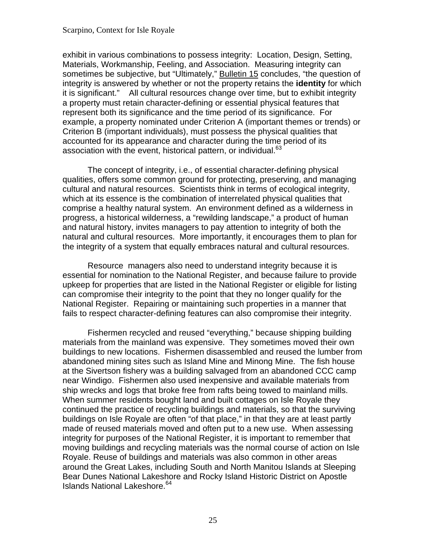it is significant." All cultural resources change over time, but to exhibit integrity exhibit in various combinations to possess integrity: Location, Design, Setting, Materials, Workmanship, Feeling, and Association. Measuring integrity can sometimes be subjective, but "Ultimately," Bulletin 15 concludes, "the question of integrity is answered by whether or not the property retains the **identity** for which a property must retain character-defining or essential physical features that represent both its significance and the time period of its significance. For example, a property nominated under Criterion A (important themes or trends) or Criterion B (important individuals), must possess the physical qualities that accounted for its appearance and character during the time period of its association with the event, historical pattern, or individual.<sup>63</sup>

The concept of integrity, i.e., of essential character-defining physical qualities, offers some common ground for protecting, preserving, and managing cultural and natural resources. Scientists think in terms of ecological integrity, which at its essence is the combination of interrelated physical qualities that comprise a healthy natural system. An environment defined as a wilderness in progress, a historical wilderness, a "rewilding landscape," a product of human and natural history, invites managers to pay attention to integrity of both the natural and cultural resources. More importantly, it encourages them to plan for the integrity of a system that equally embraces natural and cultural resources.

Resource managers also need to understand integrity because it is essential for nomination to the National Register, and because failure to provide upkeep for properties that are listed in the National Register or eligible for listing can compromise their integrity to the point that they no longer qualify for the National Register. Repairing or maintaining such properties in a manner that fails to respect character-defining features can also compromise their integrity.

Islands National Lakeshore.<sup>64</sup> Fishermen recycled and reused "everything," because shipping building materials from the mainland was expensive. They sometimes moved their own buildings to new locations. Fishermen disassembled and reused the lumber from abandoned mining sites such as Island Mine and Minong Mine. The fish house at the Sivertson fishery was a building salvaged from an abandoned CCC camp near Windigo. Fishermen also used inexpensive and available materials from ship wrecks and logs that broke free from rafts being towed to mainland mills. When summer residents bought land and built cottages on Isle Royale they continued the practice of recycling buildings and materials, so that the surviving buildings on Isle Royale are often "of that place," in that they are at least partly made of reused materials moved and often put to a new use. When assessing integrity for purposes of the National Register, it is important to remember that moving buildings and recycling materials was the normal course of action on Isle Royale. Reuse of buildings and materials was also common in other areas around the Great Lakes, including South and North Manitou Islands at Sleeping Bear Dunes National Lakeshore and Rocky Island Historic District on Apostle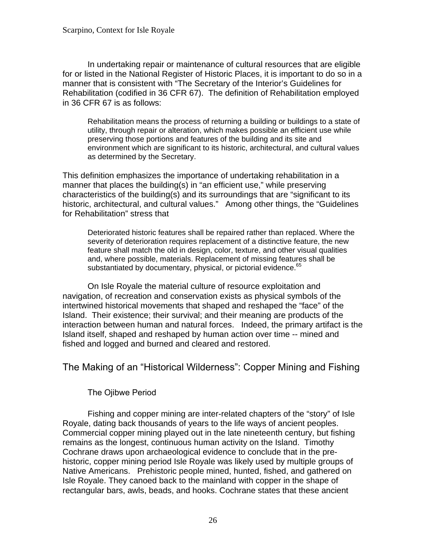<span id="page-31-0"></span>In undertaking repair or maintenance of cultural resources that are eligible for or listed in the National Register of Historic Places, it is important to do so in a manner that is consistent with "The Secretary of the Interior's Guidelines for Rehabilitation (codified in 36 CFR 67). The definition of Rehabilitation employed in 36 CFR 67 is as follows:

Rehabilitation means the process of returning a building or buildings to a state of utility, through repair or alteration, which makes possible an efficient use while preserving those portions and features of the building and its site and environment which are significant to its historic, architectural, and cultural values as determined by the Secretary.

This definition emphasizes the importance of undertaking rehabilitation in a manner that places the building(s) in "an efficient use," while preserving characteristics of the building(s) and its surroundings that are "significant to its historic, architectural, and cultural values." Among other things, the "Guidelines for Rehabilitation" stress that

Deteriorated historic features shall be repaired rather than replaced. Where the severity of deterioration requires replacement of a distinctive feature, the new feature shall match the old in design, color, texture, and other visual qualities and, where possible, materials. Replacement of missing features shall be substantiated by documentary, physical, or pictorial evidence.<sup>[65](#page-101-0)</sup>

On Isle Royale the material culture of resource exploitation and navigation, of recreation and conservation exists as physical symbols of the intertwined historical movements that shaped and reshaped the "face" of the Island. Their existence; their survival; and their meaning are products of the interaction between human and natural forces. Indeed, the primary artifact is the Island itself, shaped and reshaped by human action over time -- mined and fished and logged and burned and cleared and restored.

The Making of an "Historical Wilderness": Copper Mining and Fishing

The Ojibwe Period

Fishing and copper mining are inter-related chapters of the "story" of Isle Royale, dating back thousands of years to the life ways of ancient peoples. Commercial copper mining played out in the late nineteenth century, but fishing remains as the longest, continuous human activity on the Island. Timothy Cochrane draws upon archaeological evidence to conclude that in the prehistoric, copper mining period Isle Royale was likely used by multiple groups of Native Americans. Prehistoric people mined, hunted, fished, and gathered on Isle Royale. They canoed back to the mainland with copper in the shape of rectangular bars, awls, beads, and hooks. Cochrane states that these ancient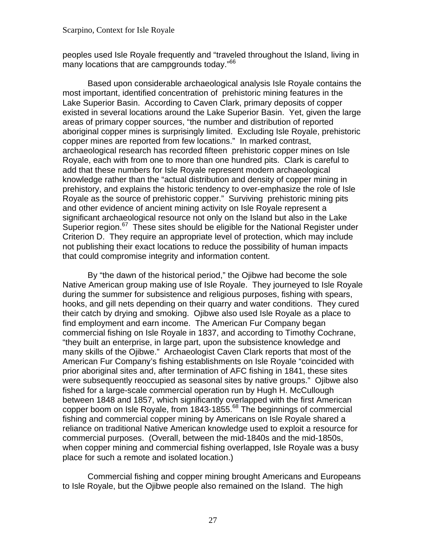peoples used Isle Royale frequently and "traveled throughout the Island, living in many locations that are campgrounds today."<sup>66</sup>

Based upon considerable archaeological analysis Isle Royale contains the most important, identified concentration of prehistoric mining features in the Lake Superior Basin. According to Caven Clark, primary deposits of copper existed in several locations around the Lake Superior Basin. Yet, given the large areas of primary copper sources, "the number and distribution of reported aboriginal copper mines is surprisingly limited. Excluding Isle Royale, prehistoric copper mines are reported from few locations." In marked contrast, archaeological research has recorded fifteen prehistoric copper mines on Isle Royale, each with from one to more than one hundred pits. Clark is careful to add that these numbers for Isle Royale represent modern archaeological knowledge rather than the "actual distribution and density of copper mining in prehistory, and explains the historic tendency to over-emphasize the role of Isle Royale as the source of prehistoric copper." Surviving prehistoric mining pits and other evidence of ancient mining activity on Isle Royale represent a significant archaeological resource not only on the Island but also in the Lake Superior region.<sup>[67](#page-101-0)</sup> These sites should be eligible for the National Register under Criterion D. They require an appropriate level of protection, which may include not publishing their exact locations to reduce the possibility of human impacts that could compromise integrity and information content.

By "the dawn of the historical period," the Ojibwe had become the sole Native American group making use of Isle Royale. They journeyed to Isle Royale during the summer for subsistence and religious purposes, fishing with spears, hooks, and gill nets depending on their quarry and water conditions. They cured their catch by drying and smoking. Ojibwe also used Isle Royale as a place to find employment and earn income. The American Fur Company began commercial fishing on Isle Royale in 1837, and according to Timothy Cochrane, "they built an enterprise, in large part, upon the subsistence knowledge and many skills of the Ojibwe." Archaeologist Caven Clark reports that most of the American Fur Company's fishing establishments on Isle Royale "coincided with prior aboriginal sites and, after termination of AFC fishing in 1841, these sites were subsequently reoccupied as seasonal sites by native groups." Ojibwe also fished for a large-scale commercial operation run by Hugh H. McCullough between 1848 and 1857, which significantly overlapped with the first American copper boom on Isle Royale, from 1843-1855.<sup>68</sup> The beginnings of commercial fishing and commercial copper mining by Americans on Isle Royale shared a reliance on traditional Native American knowledge used to exploit a resource for commercial purposes. (Overall, between the mid-1840s and the mid-1850s, when copper mining and commercial fishing overlapped, Isle Royale was a busy place for such a remote and isolated location.)

Commercial fishing and copper mining brought Americans and Europeans to Isle Royale, but the Ojibwe people also remained on the Island. The high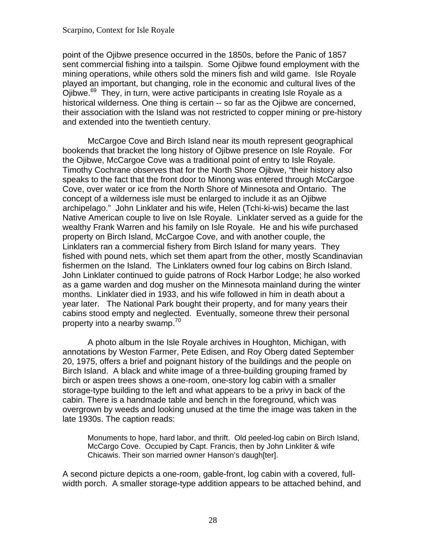point of the Ojibwe presence occurred in the 1850s, before the Panic of 1857 sent commercial fishing into a tailspin. Some Ojibwe found employment with the mining operations, while others sold the miners fish and wild game. Isle Royale played an important, but changing, role in the economic and cultural lives of the Ojibwe.<sup>69</sup> They, in turn, were active participants in creating Isle Royale as a historical wilderness. One thing is certain -- so far as the Ojibwe are concerned, their association with the Island was not restricted to copper mining or pre-history and extended into the twentieth century.

McCargoe Cove and Birch Island near its mouth represent geographical bookends that bracket the long history of Ojibwe presence on Isle Royale. For the Ojibwe, McCargoe Cove was a traditional point of entry to Isle Royale. Timothy Cochrane observes that for the North Shore Ojibwe, "their history also speaks to the fact that the front door to Minong was entered through McCargoe Cove, over water or ice from the North Shore of Minnesota and Ontario. The concept of a wilderness isle must be enlarged to include it as an Ojibwe archipelago." John Linklater and his wife, Helen (Tchi-ki-wis) became the last Native American couple to live on Isle Royale. Linklater served as a guide for the wealthy Frank Warren and his family on Isle Royale. He and his wife purchased property on Birch Island, McCargoe Cove, and with another couple, the Linklaters ran a commercial fishery from Birch Island for many years. They fished with pound nets, which set them apart from the other, mostly Scandinavian fishermen on the Island. The Linklaters owned four log cabins on Birch Island. John Linklater continued to guide patrons of Rock Harbor Lodge; he also worked as a game warden and dog musher on the Minnesota mainland during the winter months. Linklater died in 1933, and his wife followed in him in death about a year later. The National Park bought their property, and for many years their cabins stood empty and neglected. Eventually, someone threw their personal property into a nearby swamp.<sup>70</sup>

A photo album in the Isle Royale archives in Houghton, Michigan, with annotations by Weston Farmer, Pete Edisen, and Roy Oberg dated September 20, 1975, offers a brief and poignant history of the buildings and the people on Birch Island. A black and white image of a three-building grouping framed by birch or aspen trees shows a one-room, one-story log cabin with a smaller storage-type building to the left and what appears to be a privy in back of the cabin. There is a handmade table and bench in the foreground, which was overgrown by weeds and looking unused at the time the image was taken in the late 1930s. The caption reads:

Monuments to hope, hard labor, and thrift. Old peeled-log cabin on Birch Island, McCargo Cove. Occupied by Capt. Francis, then by John Linkliter & wife Chicawis. Their son married owner Hanson's daugh[ter].

A second picture depicts a one-room, gable-front, log cabin with a covered, fullwidth porch. A smaller storage-type addition appears to be attached behind, and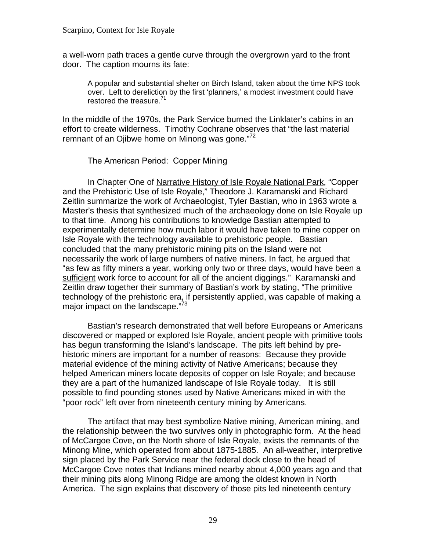<span id="page-34-0"></span>a well-worn path traces a gentle curve through the overgrown yard to the front door. The caption mourns its fate:

A popular and substantial shelter on Birch Island, taken about the time NPS took over. Left to dereliction by the first 'planners,' a modest investment could have restored the treasure.<sup>71</sup>

In the middle of the 1970s, the Park Service burned the Linklater's cabins in an effort to create wilderness. Timothy Cochrane observes that "the last material remnant of an Ojibwe home on Minong was gone."<sup>72</sup>

The American Period: Copper Mining

major impact on the landscape."<sup>73</sup> In Chapter One of Narrative History of Isle Royale National Park, "Copper and the Prehistoric Use of Isle Royale," Theodore J. Karamanski and Richard Zeitlin summarize the work of Archaeologist, Tyler Bastian, who in 1963 wrote a Master's thesis that synthesized much of the archaeology done on Isle Royale up to that time. Among his contributions to knowledge Bastian attempted to experimentally determine how much labor it would have taken to mine copper on Isle Royale with the technology available to prehistoric people. Bastian concluded that the many prehistoric mining pits on the Island were not necessarily the work of large numbers of native miners. In fact, he argued that "as few as fifty miners a year, working only two or three days, would have been a sufficient work force to account for all of the ancient diggings." Karamanski and Zeitlin draw together their summary of Bastian's work by stating, "The primitive technology of the prehistoric era, if persistently applied, was capable of making a

Bastian's research demonstrated that well before Europeans or Americans discovered or mapped or explored Isle Royale, ancient people with primitive tools has begun transforming the Island's landscape. The pits left behind by prehistoric miners are important for a number of reasons: Because they provide material evidence of the mining activity of Native Americans; because they helped American miners locate deposits of copper on Isle Royale; and because they are a part of the humanized landscape of Isle Royale today. It is still possible to find pounding stones used by Native Americans mixed in with the "poor rock" left over from nineteenth century mining by Americans.

The artifact that may best symbolize Native mining, American mining, and the relationship between the two survives only in photographic form. At the head of McCargoe Cove, on the North shore of Isle Royale, exists the remnants of the Minong Mine, which operated from about 1875-1885. An all-weather, interpretive sign placed by the Park Service near the federal dock close to the head of McCargoe Cove notes that Indians mined nearby about 4,000 years ago and that their mining pits along Minong Ridge are among the oldest known in North America. The sign explains that discovery of those pits led nineteenth century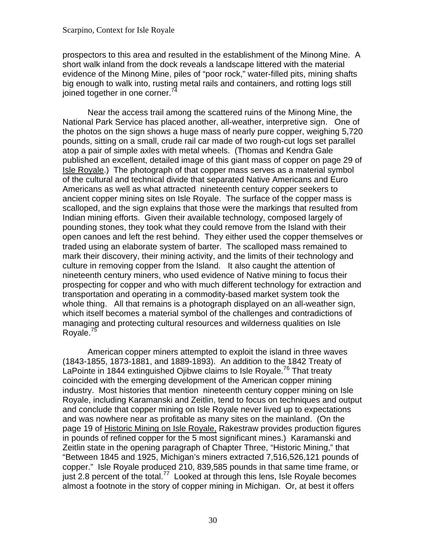prospectors to this area and resulted in the establishment of the Minong Mine. A short walk inland from the dock reveals a landscape littered with the material evidence of the Minong Mine, piles of "poor rock," water-filled pits, mining shafts big enough to walk into, rusting metal rails and containers, and rotting logs still joined together in one corner.<sup>74</sup>

Near the access trail among the scattered ruins of the Minong Mine, the National Park Service has placed another, all-weather, interpretive sign. One of the photos on the sign shows a huge mass of nearly pure copper, weighing 5,720 pounds, sitting on a small, crude rail car made of two rough-cut logs set parallel atop a pair of simple axles with metal wheels. (Thomas and Kendra Gale published an excellent, detailed image of this giant mass of copper on page 29 of Isle Royale.) The photograph of that copper mass serves as a material symbol of the cultural and technical divide that separated Native Americans and Euro Americans as well as what attracted nineteenth century copper seekers to ancient copper mining sites on Isle Royale. The surface of the copper mass is scalloped, and the sign explains that those were the markings that resulted from Indian mining efforts. Given their available technology, composed largely of pounding stones, they took what they could remove from the Island with their open canoes and left the rest behind. They either used the copper themselves or traded using an elaborate system of barter. The scalloped mass remained to mark their discovery, their mining activity, and the limits of their technology and culture in removing copper from the Island. It also caught the attention of nineteenth century miners, who used evidence of Native mining to focus their prospecting for copper and who with much different technology for extraction and transportation and operating in a commodity-based market system took the whole thing. All that remains is a photograph displayed on an all-weather sign, which itself becomes a material symbol of the challenges and contradictions of managing and protecting cultural resources and wilderness qualities on Isle Royale.<sup>75</sup>

American copper miners attempted to exploit the island in three waves (1843-1855, 1873-1881, and 1889-1893). An addition to the 1842 Treaty of LaPointe in 1844 extinguished Ojibwe claims to Isle Royale.<sup>76</sup> That treaty coincided with the emerging development of the American copper mining industry. Most histories that mention nineteenth century copper mining on Isle Royale, including Karamanski and Zeitlin, tend to focus on techniques and output and conclude that copper mining on Isle Royale never lived up to expectations and was nowhere near as profitable as many sites on the mainland. (On the page 19 of Historic Mining on Isle Royale, Rakestraw provides production figures in pounds of refined copper for the 5 most significant mines.) Karamanski and Zeitlin state in the opening paragraph of Chapter Three, "Historic Mining," that "Between 1845 and 1925, Michigan's miners extracted 7,516,526,121 pounds of copper." Isle Royale produced 210, 839,585 pounds in that same time frame, or just 2.8 percent of the total.<sup>77</sup> Looked at through this lens, Isle Royale becomes almost a footnote in the story of copper mining in Michigan. Or, at best it offers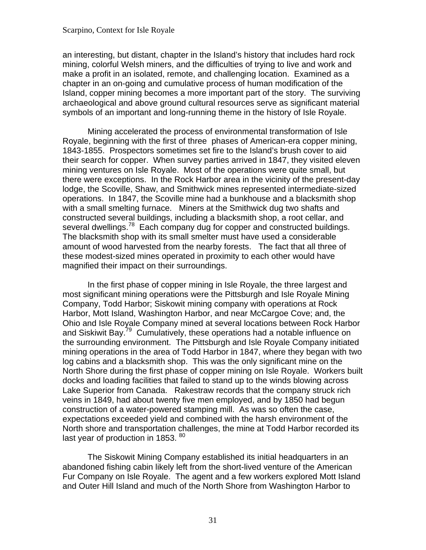an interesting, but distant, chapter in the Island's history that includes hard rock mining, colorful Welsh miners, and the difficulties of trying to live and work and make a profit in an isolated, remote, and challenging location. Examined as a chapter in an on-going and cumulative process of human modification of the Island, copper mining becomes a more important part of the story. The surviving archaeological and above ground cultural resources serve as significant material symbols of an important and long-running theme in the history of Isle Royale.

several dwellings.<sup>[78](#page-102-0)</sup> Each company dug for copper and constructed buildings.<br>The blacksmith shop with its small smelter must have used a considerable Mining accelerated the process of environmental transformation of Isle Royale, beginning with the first of three phases of American-era copper mining, 1843-1855. Prospectors sometimes set fire to the Island's brush cover to aid their search for copper. When survey parties arrived in 1847, they visited eleven mining ventures on Isle Royale. Most of the operations were quite small, but there were exceptions. In the Rock Harbor area in the vicinity of the present-day lodge, the Scoville, Shaw, and Smithwick mines represented intermediate-sized operations. In 1847, the Scoville mine had a bunkhouse and a blacksmith shop with a small smelting furnace. Miners at the Smithwick dug two shafts and constructed several buildings, including a blacksmith shop, a root cellar, and amount of wood harvested from the nearby forests. The fact that all three of these modest-sized mines operated in proximity to each other would have magnified their impact on their surroundings.

In the first phase of copper mining in Isle Royale, the three largest and most significant mining operations were the Pittsburgh and Isle Royale Mining Company, Todd Harbor; Siskowit mining company with operations at Rock Harbor, Mott Island, Washington Harbor, and near McCargoe Cove; and, the Ohio and Isle Royale Company mined at several locations between Rock Harbor and Siskiwit Bay.<sup>[79](#page-102-0)</sup> Cumulatively, these operations had a notable influence on the surrounding environment. The Pittsburgh and Isle Royale Company initiated mining operations in the area of Todd Harbor in 1847, where they began with two log cabins and a blacksmith shop. This was the only significant mine on the North Shore during the first phase of copper mining on Isle Royale. Workers built docks and loading facilities that failed to stand up to the winds blowing across Lake Superior from Canada. Rakestraw records that the company struck rich veins in 1849, had about twenty five men employed, and by 1850 had begun construction of a water-powered stamping mill. As was so often the case, expectations exceeded yield and combined with the harsh environment of the North shore and transportation challenges, the mine at Todd Harbor recorded its last year of production in 1853. [80](#page-102-0)

The Siskowit Mining Company established its initial headquarters in an abandoned fishing cabin likely left from the short-lived venture of the American Fur Company on Isle Royale. The agent and a few workers explored Mott Island and Outer Hill Island and much of the North Shore from Washington Harbor to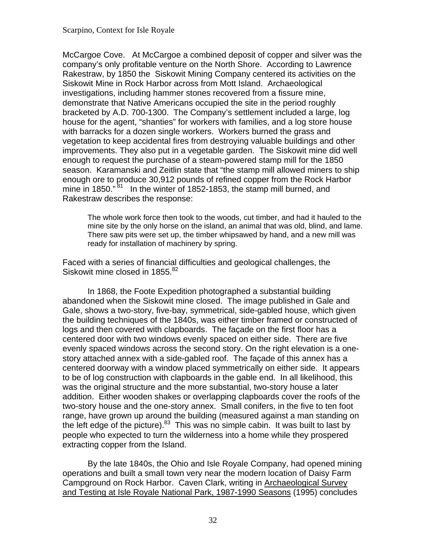McCargoe Cove. At McCargoe a combined deposit of copper and silver was the company's only profitable venture on the North Shore. According to Lawrence Rakestraw, by 1850 the Siskowit Mining Company centered its activities on the Siskowit Mine in Rock Harbor across from Mott Island. Archaeological investigations, including hammer stones recovered from a fissure mine, demonstrate that Native Americans occupied the site in the period roughly bracketed by A.D. 700-1300. The Company's settlement included a large, log house for the agent, "shanties" for workers with families, and a log store house with barracks for a dozen single workers. Workers burned the grass and vegetation to keep accidental fires from destroying valuable buildings and other improvements. They also put in a vegetable garden. The Siskowit mine did well enough to request the purchase of a steam-powered stamp mill for the 1850 season. Karamanski and Zeitlin state that "the stamp mill allowed miners to ship enough ore to produce 30,912 pounds of refined copper from the Rock Harbor mine in 1850."<sup>[81](#page-102-0)</sup> In the winter of 1852-1853, the stamp mill burned, and Rakestraw describes the response:

The whole work force then took to the woods, cut timber, and had it hauled to the mine site by the only horse on the island, an animal that was old, blind, and lame. There saw pits were set up, the timber whipsawed by hand, and a new mill was ready for installation of machinery by spring.

Faced with a series of financial difficulties and geological challenges, the Siskowit mine closed in 1855.<sup>[82](#page-102-0)</sup>

In 1868, the Foote Expedition photographed a substantial building abandoned when the Siskowit mine closed. The image published in Gale and Gale, shows a two-story, five-bay, symmetrical, side-gabled house, which given the building techniques of the 1840s, was either timber framed or constructed of logs and then covered with clapboards. The façade on the first floor has a centered door with two windows evenly spaced on either side. There are five evenly spaced windows across the second story. On the right elevation is a onestory attached annex with a side-gabled roof. The façade of this annex has a centered doorway with a window placed symmetrically on either side. It appears to be of log construction with clapboards in the gable end. In all likelihood, this was the original structure and the more substantial, two-story house a later addition. Either wooden shakes or overlapping clapboards cover the roofs of the two-story house and the one-story annex. Small conifers, in the five to ten foot range, have grown up around the building (measured against a man standing on the left edge of the picture). $83$  This was no simple cabin. It was built to last by people who expected to turn the wilderness into a home while they prospered extracting copper from the Island.

By the late 1840s, the Ohio and Isle Royale Company, had opened mining operations and built a small town very near the modern location of Daisy Farm Campground on Rock Harbor. Caven Clark, writing in Archaeological Survey and Testing at Isle Royale National Park, 1987-1990 Seasons (1995) concludes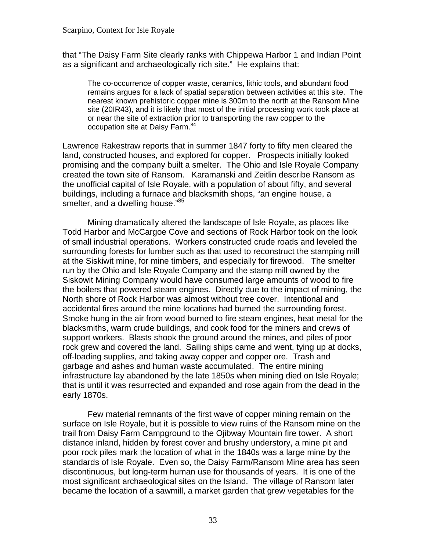that "The Daisy Farm Site clearly ranks with Chippewa Harbor 1 and Indian Point as a significant and archaeologically rich site." He explains that:

The co-occurrence of copper waste, ceramics, lithic tools, and abundant food remains argues for a lack of spatial separation between activities at this site. The nearest known prehistoric copper mine is 300m to the north at the Ransom Mine site (20IR43), and it is likely that most of the initial processing work took place at or near the site of extraction prior to transporting the raw copper to the occupation site at Daisy Farm.<sup>84</sup>

Lawrence Rakestraw reports that in summer 1847 forty to fifty men cleared the land, constructed houses, and explored for copper. Prospects initially looked promising and the company built a smelter. The Ohio and Isle Royale Company created the town site of Ransom. Karamanski and Zeitlin describe Ransom as the unofficial capital of Isle Royale, with a population of about fifty, and several buildings, including a furnace and blacksmith shops, "an engine house, a smelter, and a dwelling house."<sup>85</sup>

Mining dramatically altered the landscape of Isle Royale, as places like Todd Harbor and McCargoe Cove and sections of Rock Harbor took on the look of small industrial operations. Workers constructed crude roads and leveled the surrounding forests for lumber such as that used to reconstruct the stamping mill at the Siskiwit mine, for mine timbers, and especially for firewood. The smelter run by the Ohio and Isle Royale Company and the stamp mill owned by the Siskowit Mining Company would have consumed large amounts of wood to fire the boilers that powered steam engines. Directly due to the impact of mining, the North shore of Rock Harbor was almost without tree cover. Intentional and accidental fires around the mine locations had burned the surrounding forest. Smoke hung in the air from wood burned to fire steam engines, heat metal for the blacksmiths, warm crude buildings, and cook food for the miners and crews of support workers. Blasts shook the ground around the mines, and piles of poor rock grew and covered the land. Sailing ships came and went, tying up at docks, off-loading supplies, and taking away copper and copper ore. Trash and garbage and ashes and human waste accumulated. The entire mining infrastructure lay abandoned by the late 1850s when mining died on Isle Royale; that is until it was resurrected and expanded and rose again from the dead in the early 1870s.

Few material remnants of the first wave of copper mining remain on the surface on Isle Royale, but it is possible to view ruins of the Ransom mine on the trail from Daisy Farm Campground to the Ojibway Mountain fire tower. A short distance inland, hidden by forest cover and brushy understory, a mine pit and poor rock piles mark the location of what in the 1840s was a large mine by the standards of Isle Royale. Even so, the Daisy Farm/Ransom Mine area has seen discontinuous, but long-term human use for thousands of years. It is one of the most significant archaeological sites on the Island. The village of Ransom later became the location of a sawmill, a market garden that grew vegetables for the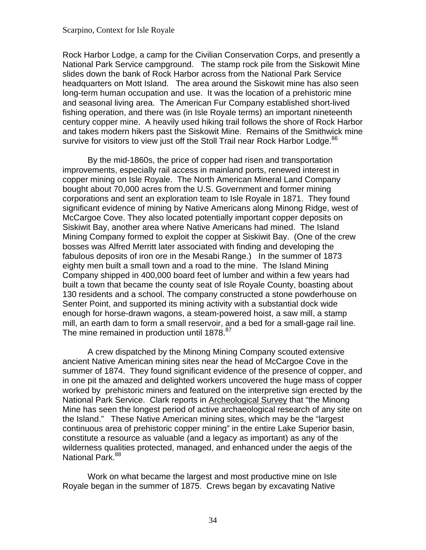survive for visitors to view just off the Stoll Trail near Rock Harbor Lodge. $86$ Rock Harbor Lodge, a camp for the Civilian Conservation Corps, and presently a National Park Service campground. The stamp rock pile from the Siskowit Mine slides down the bank of Rock Harbor across from the National Park Service headquarters on Mott Island. The area around the Siskowit mine has also seen long-term human occupation and use. It was the location of a prehistoric mine and seasonal living area. The American Fur Company established short-lived fishing operation, and there was (in Isle Royale terms) an important nineteenth century copper mine. A heavily used hiking trail follows the shore of Rock Harbor and takes modern hikers past the Siskowit Mine. Remains of the Smithwick mine

By the mid-1860s, the price of copper had risen and transportation improvements, especially rail access in mainland ports, renewed interest in copper mining on Isle Royale. The North American Mineral Land Company bought about 70,000 acres from the U.S. Government and former mining corporations and sent an exploration team to Isle Royale in 1871. They found significant evidence of mining by Native Americans along Minong Ridge, west of McCargoe Cove. They also located potentially important copper deposits on Siskiwit Bay, another area where Native Americans had mined. The Island Mining Company formed to exploit the copper at Siskiwit Bay. (One of the crew bosses was Alfred Merritt later associated with finding and developing the fabulous deposits of iron ore in the Mesabi Range.) In the summer of 1873 eighty men built a small town and a road to the mine. The Island Mining Company shipped in 400,000 board feet of lumber and within a few years had built a town that became the county seat of Isle Royale County, boasting about 130 residents and a school. The company constructed a stone powderhouse on Senter Point, and supported its mining activity with a substantial dock wide enough for horse-drawn wagons, a steam-powered hoist, a saw mill, a stamp mill, an earth dam to form a small reservoir, and a bed for a small-gage rail line. The mine remained in production until 1878.<sup>87</sup>

A crew dispatched by the Minong Mining Company scouted extensive ancient Native American mining sites near the head of McCargoe Cove in the summer of 1874. They found significant evidence of the presence of copper, and in one pit the amazed and delighted workers uncovered the huge mass of copper worked by prehistoric miners and featured on the interpretive sign erected by the National Park Service. Clark reports in Archeological Survey that "the Minong Mine has seen the longest period of active archaeological research of any site on the Island." These Native American mining sites, which may be the "largest continuous area of prehistoric copper mining" in the entire Lake Superior basin, constitute a resource as valuable (and a legacy as important) as any of the wilderness qualities protected, managed, and enhanced under the aegis of the National Park.<sup>88</sup>

Work on what became the largest and most productive mine on Isle Royale began in the summer of 1875. Crews began by excavating Native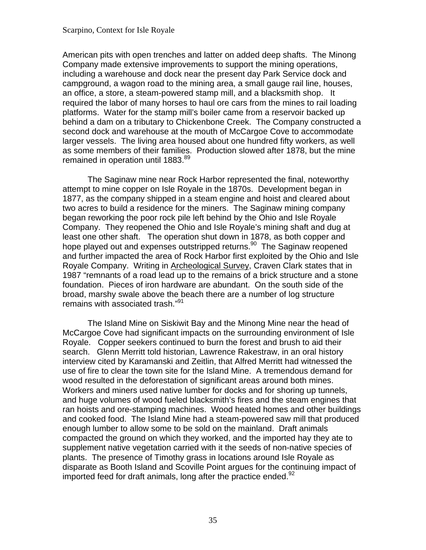American pits with open trenches and latter on added deep shafts. The Minong Company made extensive improvements to support the mining operations, including a warehouse and dock near the present day Park Service dock and campground, a wagon road to the mining area, a small gauge rail line, houses, an office, a store, a steam-powered stamp mill, and a blacksmith shop. It required the labor of many horses to haul ore cars from the mines to rail loading platforms. Water for the stamp mill's boiler came from a reservoir backed up behind a dam on a tributary to Chickenbone Creek. The Company constructed a second dock and warehouse at the mouth of McCargoe Cove to accommodate larger vessels. The living area housed about one hundred fifty workers, as well as some members of their families. Production slowed after 1878, but the mine remained in operation until 1883.<sup>89</sup>

The Saginaw mine near Rock Harbor represented the final, noteworthy attempt to mine copper on Isle Royale in the 1870s. Development began in 1877, as the company shipped in a steam engine and hoist and cleared about two acres to build a residence for the miners. The Saginaw mining company began reworking the poor rock pile left behind by the Ohio and Isle Royale Company. They reopened the Ohio and Isle Royale's mining shaft and dug at least one other shaft. The operation shut down in 1878, as both copper and hope played out and expenses outstripped returns.<sup>90</sup> The Saginaw reopened and further impacted the area of Rock Harbor first exploited by the Ohio and Isle Royale Company. Writing in Archeological Survey, Craven Clark states that in 1987 "remnants of a road lead up to the remains of a brick structure and a stone foundation. Pieces of iron hardware are abundant. On the south side of the broad, marshy swale above the beach there are a number of log structure remains with associated trash.["91](#page-103-0)

The Island Mine on Siskiwit Bay and the Minong Mine near the head of McCargoe Cove had significant impacts on the surrounding environment of Isle Royale. Copper seekers continued to burn the forest and brush to aid their search. Glenn Merritt told historian, Lawrence Rakestraw, in an oral history interview cited by Karamanski and Zeitlin, that Alfred Merritt had witnessed the use of fire to clear the town site for the Island Mine. A tremendous demand for wood resulted in the deforestation of significant areas around both mines. Workers and miners used native lumber for docks and for shoring up tunnels, and huge volumes of wood fueled blacksmith's fires and the steam engines that ran hoists and ore-stamping machines. Wood heated homes and other buildings and cooked food. The Island Mine had a steam-powered saw mill that produced enough lumber to allow some to be sold on the mainland. Draft animals compacted the ground on which they worked, and the imported hay they ate to supplement native vegetation carried with it the seeds of non-native species of plants. The presence of Timothy grass in locations around Isle Royale as disparate as Booth Island and Scoville Point argues for the continuing impact of imported feed for draft animals, long after the practice ended. $92$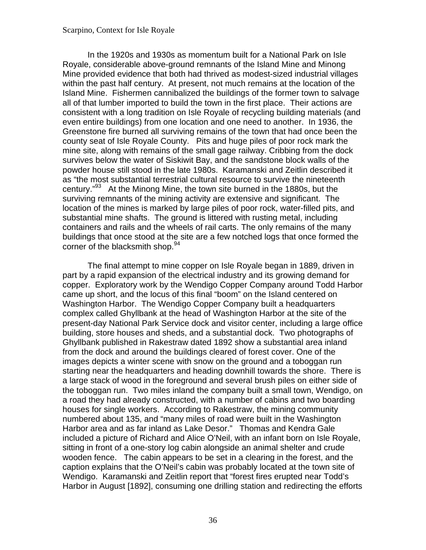In the 1920s and 1930s as momentum built for a National Park on Isle Royale, considerable above-ground remnants of the Island Mine and Minong Mine provided evidence that both had thrived as modest-sized industrial villages within the past half century. At present, not much remains at the location of the Island Mine. Fishermen cannibalized the buildings of the former town to salvage all of that lumber imported to build the town in the first place. Their actions are consistent with a long tradition on Isle Royale of recycling building materials (and even entire buildings) from one location and one need to another. In 1936, the Greenstone fire burned all surviving remains of the town that had once been the county seat of Isle Royale County. Pits and huge piles of poor rock mark the mine site, along with remains of the small gage railway. Cribbing from the dock survives below the water of Siskiwit Bay, and the sandstone block walls of the powder house still stood in the late 1980s. Karamanski and Zeitlin described it as "the most substantial terrestrial cultural resource to survive the nineteenth century."[93](#page-103-0) At the Minong Mine, the town site burned in the 1880s, but the surviving remnants of the mining activity are extensive and significant. The location of the mines is marked by large piles of poor rock, water-filled pits, and substantial mine shafts. The ground is littered with rusting metal, including containers and rails and the wheels of rail carts. The only remains of the many buildings that once stood at the site are a few notched logs that once formed the corner of the blacksmith shop.<sup>94</sup>

The final attempt to mine copper on Isle Royale began in 1889, driven in part by a rapid expansion of the electrical industry and its growing demand for copper. Exploratory work by the Wendigo Copper Company around Todd Harbor came up short, and the locus of this final "boom" on the Island centered on Washington Harbor. The Wendigo Copper Company built a headquarters complex called Ghyllbank at the head of Washington Harbor at the site of the present-day National Park Service dock and visitor center, including a large office building, store houses and sheds, and a substantial dock. Two photographs of Ghyllbank published in Rakestraw dated 1892 show a substantial area inland from the dock and around the buildings cleared of forest cover. One of the images depicts a winter scene with snow on the ground and a toboggan run starting near the headquarters and heading downhill towards the shore. There is a large stack of wood in the foreground and several brush piles on either side of the toboggan run. Two miles inland the company built a small town, Wendigo, on a road they had already constructed, with a number of cabins and two boarding houses for single workers. According to Rakestraw, the mining community numbered about 135, and "many miles of road were built in the Washington Harbor area and as far inland as Lake Desor." Thomas and Kendra Gale included a picture of Richard and Alice O'Neil, with an infant born on Isle Royale, sitting in front of a one-story log cabin alongside an animal shelter and crude wooden fence. The cabin appears to be set in a clearing in the forest, and the caption explains that the O'Neil's cabin was probably located at the town site of Wendigo. Karamanski and Zeitlin report that "forest fires erupted near Todd's Harbor in August [1892], consuming one drilling station and redirecting the efforts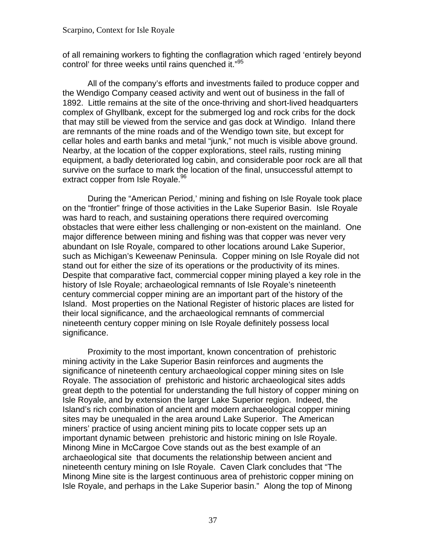of all remaining workers to fighting the conflagration which raged 'entirely beyond control' for three weeks until rains quenched it.["95](#page-103-0)

All of the company's efforts and investments failed to produce copper and the Wendigo Company ceased activity and went out of business in the fall of 1892. Little remains at the site of the once-thriving and short-lived headquarters complex of Ghyllbank, except for the submerged log and rock cribs for the dock that may still be viewed from the service and gas dock at Windigo. Inland there are remnants of the mine roads and of the Wendigo town site, but except for cellar holes and earth banks and metal "junk," not much is visible above ground. Nearby, at the location of the copper explorations, steel rails, rusting mining equipment, a badly deteriorated log cabin, and considerable poor rock are all that survive on the surface to mark the location of the final, unsuccessful attempt to extract copper from Isle Royale.<sup>96</sup>

During the "American Period,' mining and fishing on Isle Royale took place on the "frontier" fringe of those activities in the Lake Superior Basin. Isle Royale was hard to reach, and sustaining operations there required overcoming obstacles that were either less challenging or non-existent on the mainland. One major difference between mining and fishing was that copper was never very abundant on Isle Royale, compared to other locations around Lake Superior, such as Michigan's Keweenaw Peninsula. Copper mining on Isle Royale did not stand out for either the size of its operations or the productivity of its mines. Despite that comparative fact, commercial copper mining played a key role in the history of Isle Royale; archaeological remnants of Isle Royale's nineteenth century commercial copper mining are an important part of the history of the Island. Most properties on the National Register of historic places are listed for their local significance, and the archaeological remnants of commercial nineteenth century copper mining on Isle Royale definitely possess local significance.

Proximity to the most important, known concentration of prehistoric mining activity in the Lake Superior Basin reinforces and augments the significance of nineteenth century archaeological copper mining sites on Isle Royale. The association of prehistoric and historic archaeological sites adds great depth to the potential for understanding the full history of copper mining on Isle Royale, and by extension the larger Lake Superior region. Indeed, the Island's rich combination of ancient and modern archaeological copper mining sites may be unequaled in the area around Lake Superior. The American miners' practice of using ancient mining pits to locate copper sets up an important dynamic between prehistoric and historic mining on Isle Royale. Minong Mine in McCargoe Cove stands out as the best example of an archaeological site that documents the relationship between ancient and nineteenth century mining on Isle Royale. Caven Clark concludes that "The Minong Mine site is the largest continuous area of prehistoric copper mining on Isle Royale, and perhaps in the Lake Superior basin." Along the top of Minong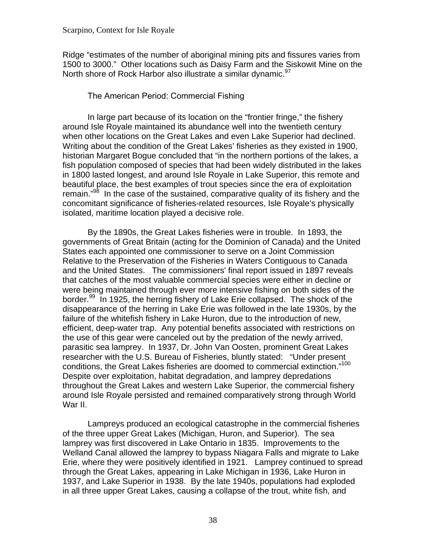Ridge "estimates of the number of aboriginal mining pits and fissures varies from 1500 to 3000." Other locations such as Daisy Farm and the Siskowit Mine on the North shore of Rock Harbor also illustrate a similar dynamic.<sup>97</sup>

## The American Period: Commercial Fishing

In large part because of its location on the "frontier fringe," the fishery around Isle Royale maintained its abundance well into the twentieth century when other locations on the Great Lakes and even Lake Superior had declined. Writing about the condition of the Great Lakes' fisheries as they existed in 1900, historian Margaret Bogue concluded that "in the northern portions of the lakes, a fish population composed of species that had been widely distributed in the lakes in 1800 lasted longest, and around Isle Royale in Lake Superior, this remote and beautiful place, the best examples of trout species since the era of exploitation remain."<sup>98</sup> In the case of the sustained, comparative quality of its fishery and the concomitant significance of fisheries-related resources, Isle Royale's physically isolated, maritime location played a decisive role.

conditions, the Great Lakes fisheries are doomed to commercial extinction."<sup>[100](#page-104-0)</sup> By the 1890s, the Great Lakes fisheries were in trouble. In 1893, the governments of Great Britain (acting for the Dominion of Canada) and the United States each appointed one commissioner to serve on a Joint Commission Relative to the Preservation of the Fisheries in Waters Contiguous to Canada and the United States. The commissioners' final report issued in 1897 reveals that catches of the most valuable commercial species were either in decline or were being maintained through ever more intensive fishing on both sides of the border.<sup>99</sup> In 1925, the herring fishery of Lake Erie collapsed. The shock of the disappearance of the herring in Lake Erie was followed in the late 1930s, by the failure of the whitefish fishery in Lake Huron, due to the introduction of new, efficient, deep-water trap. Any potential benefits associated with restrictions on the use of this gear were canceled out by the predation of the newly arrived, parasitic sea lamprey. In 1937, Dr. John Van Oosten, prominent Great Lakes researcher with the U.S. Bureau of Fisheries, bluntly stated: "Under present Despite over exploitation, habitat degradation, and lamprey depredations throughout the Great Lakes and western Lake Superior, the commercial fishery around Isle Royale persisted and remained comparatively strong through World War II.

Lampreys produced an ecological catastrophe in the commercial fisheries of the three upper Great Lakes (Michigan, Huron, and Superior). The sea lamprey was first discovered in Lake Ontario in 1835. Improvements to the Welland Canal allowed the lamprey to bypass Niagara Falls and migrate to Lake Erie, where they were positively identified in 1921. Lamprey continued to spread through the Great Lakes, appearing in Lake Michigan in 1936, Lake Huron in 1937, and Lake Superior in 1938. By the late 1940s, populations had exploded in all three upper Great Lakes, causing a collapse of the trout, white fish, and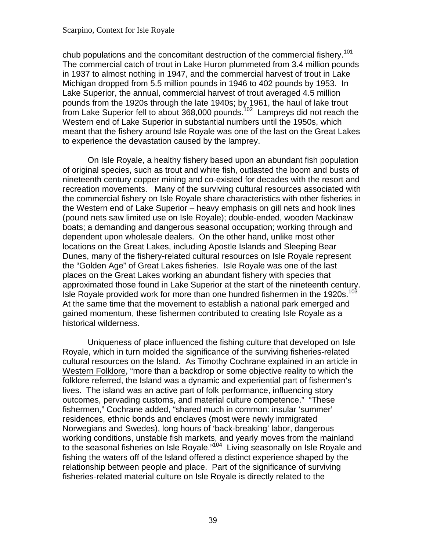chub populations and the concomitant destruction of the commercial fishery.<sup>[101](#page-104-0)</sup> The commercial catch of trout in Lake Huron plummeted from 3.4 million pounds in 1937 to almost nothing in 1947, and the commercial harvest of trout in Lake Michigan dropped from 5.5 million pounds in 1946 to 402 pounds by 1953. In Lake Superior, the annual, commercial harvest of trout averaged 4.5 million pounds from the 1920s through the late 1940s; by 1961, the haul of lake trout  $\frac{1}{2}$  from Lake Superior fell to about 368,000 pounds.<sup>102</sup> Lampreys did not reach the Western end of Lake Superior in substantial numbers until the 1950s, which meant that the fishery around Isle Royale was one of the last on the Great Lakes to experience the devastation caused by the lamprey.

Isle Royale provided work for more than one hundred fishermen in the 1920s.<sup>[103](#page-104-0)</sup> On Isle Royale, a healthy fishery based upon an abundant fish population of original species, such as trout and white fish, outlasted the boom and busts of nineteenth century copper mining and co-existed for decades with the resort and recreation movements. Many of the surviving cultural resources associated with the commercial fishery on Isle Royale share characteristics with other fisheries in the Western end of Lake Superior – heavy emphasis on gill nets and hook lines (pound nets saw limited use on Isle Royale); double-ended, wooden Mackinaw boats; a demanding and dangerous seasonal occupation; working through and dependent upon wholesale dealers. On the other hand, unlike most other locations on the Great Lakes, including Apostle Islands and Sleeping Bear Dunes, many of the fishery-related cultural resources on Isle Royale represent the "Golden Age" of Great Lakes fisheries. Isle Royale was one of the last places on the Great Lakes working an abundant fishery with species that approximated those found in Lake Superior at the start of the nineteenth century. At the same time that the movement to establish a national park emerged and gained momentum, these fishermen contributed to creating Isle Royale as a historical wilderness.

Uniqueness of place influenced the fishing culture that developed on Isle Royale, which in turn molded the significance of the surviving fisheries-related cultural resources on the Island. As Timothy Cochrane explained in an article in Western Folklore, "more than a backdrop or some objective reality to which the folklore referred, the Island was a dynamic and experiential part of fishermen's lives. The island was an active part of folk performance, influencing story outcomes, pervading customs, and material culture competence." "These fishermen," Cochrane added, "shared much in common: insular 'summer' residences, ethnic bonds and enclaves (most were newly immigrated Norwegians and Swedes), long hours of 'back-breaking' labor, dangerous working conditions, unstable fish markets, and yearly moves from the mainland to the seasonal fisheries on Isle Royale."<sup>104</sup> Living seasonally on Isle Royale and fishing the waters off of the Island offered a distinct experience shaped by the relationship between people and place. Part of the significance of surviving fisheries-related material culture on Isle Royale is directly related to the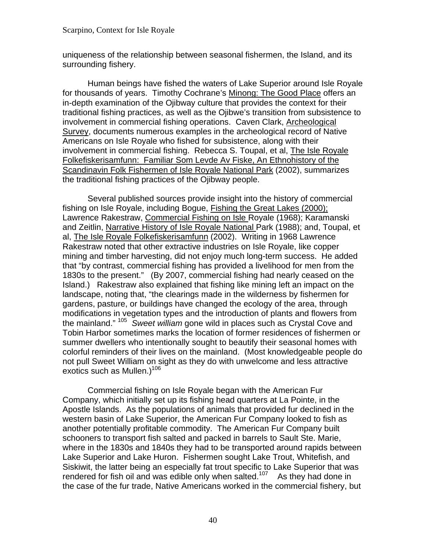uniqueness of the relationship between seasonal fishermen, the Island, and its surrounding fishery.

Human beings have fished the waters of Lake Superior around Isle Royale for thousands of years. Timothy Cochrane's Minong: The Good Place offers an in-depth examination of the Ojibway culture that provides the context for their traditional fishing practices, as well as the Ojibwe's transition from subsistence to involvement in commercial fishing operations. Caven Clark, Archeological Survey, documents numerous examples in the archeological record of Native Americans on Isle Royale who fished for subsistence, along with their involvement in commercial fishing. Rebecca S. Toupal, et al, The Isle Royale Folkefiskerisamfunn: Familiar Som Levde Av Fiske, An Ethnohistory of the Scandinavin Folk Fishermen of Isle Royale National Park (2002), summarizes the traditional fishing practices of the Ojibway people.

 the mainland." [105](#page-104-0) *Sweet william* gone wild in places such as Crystal Cove and Several published sources provide insight into the history of commercial fishing on Isle Royale, including Bogue, Fishing the Great Lakes (2000); Lawrence Rakestraw, Commercial Fishing on Isle Royale (1968); Karamanski and Zeitlin, Narrative History of Isle Royale National Park (1988); and, Toupal, et al, The Isle Royale Folkefiskerisamfunn (2002). Writing in 1968 Lawrence Rakestraw noted that other extractive industries on Isle Royale, like copper mining and timber harvesting, did not enjoy much long-term success. He added that "by contrast, commercial fishing has provided a livelihood for men from the 1830s to the present." (By 2007, commercial fishing had nearly ceased on the Island.) Rakestraw also explained that fishing like mining left an impact on the landscape, noting that, "the clearings made in the wilderness by fishermen for gardens, pasture, or buildings have changed the ecology of the area, through modifications in vegetation types and the introduction of plants and flowers from Tobin Harbor sometimes marks the location of former residences of fishermen or summer dwellers who intentionally sought to beautify their seasonal homes with colorful reminders of their lives on the mainland. (Most knowledgeable people do not pull Sweet William on sight as they do with unwelcome and less attractive exotics such as Mullen.) $106$ 

Commercial fishing on Isle Royale began with the American Fur Company, which initially set up its fishing head quarters at La Pointe, in the Apostle Islands. As the populations of animals that provided fur declined in the western basin of Lake Superior, the American Fur Company looked to fish as another potentially profitable commodity. The American Fur Company built schooners to transport fish salted and packed in barrels to Sault Ste. Marie, where in the 1830s and 1840s they had to be transported around rapids between Lake Superior and Lake Huron. Fishermen sought Lake Trout, Whitefish, and Siskiwit, the latter being an especially fat trout specific to Lake Superior that was rendered for fish oil and was edible only when salted.<sup>[107](#page-105-0)</sup> As they had done in the case of the fur trade, Native Americans worked in the commercial fishery, but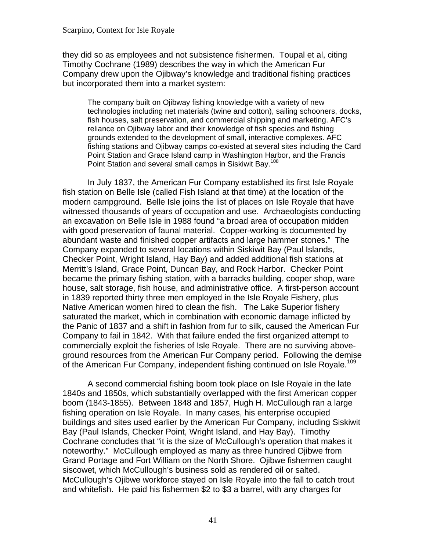they did so as employees and not subsistence fishermen. Toupal et al, citing Timothy Cochrane (1989) describes the way in which the American Fur Company drew upon the Ojibway's knowledge and traditional fishing practices but incorporated them into a market system:

The company built on Ojibway fishing knowledge with a variety of new technologies including net materials (twine and cotton), sailing schooners, docks, fish houses, salt preservation, and commercial shipping and marketing. AFC's reliance on Ojibway labor and their knowledge of fish species and fishing grounds extended to the development of small, interactive complexes. AFC fishing stations and Ojibway camps co-existed at several sites including the Card Point Station and Grace Island camp in Washington Harbor, and the Francis Point Station and several small camps in Siskiwit Bay.<sup>108</sup>

In July 1837, the American Fur Company established its first Isle Royale fish station on Belle Isle (called Fish Island at that time) at the location of the modern campground. Belle Isle joins the list of places on Isle Royale that have witnessed thousands of years of occupation and use. Archaeologists conducting an excavation on Belle Isle in 1988 found "a broad area of occupation midden with good preservation of faunal material. Copper-working is documented by abundant waste and finished copper artifacts and large hammer stones." The Company expanded to several locations within Siskiwit Bay (Paul Islands, Checker Point, Wright Island, Hay Bay) and added additional fish stations at Merritt's Island, Grace Point, Duncan Bay, and Rock Harbor. Checker Point became the primary fishing station, with a barracks building, cooper shop, ware house, salt storage, fish house, and administrative office. A first-person account in 1839 reported thirty three men employed in the Isle Royale Fishery, plus Native American women hired to clean the fish. The Lake Superior fishery saturated the market, which in combination with economic damage inflicted by the Panic of 1837 and a shift in fashion from fur to silk, caused the American Fur Company to fail in 1842. With that failure ended the first organized attempt to commercially exploit the fisheries of Isle Royale. There are no surviving aboveground resources from the American Fur Company period. Following the demise of the American Fur Company, independent fishing continued on Isle Royale.<sup>[109](#page-105-0)</sup>

A second commercial fishing boom took place on Isle Royale in the late 1840s and 1850s, which substantially overlapped with the first American copper boom (1843-1855). Between 1848 and 1857, Hugh H. McCullough ran a large fishing operation on Isle Royale. In many cases, his enterprise occupied buildings and sites used earlier by the American Fur Company, including Siskiwit Bay (Paul Islands, Checker Point, Wright Island, and Hay Bay). Timothy Cochrane concludes that "it is the size of McCullough's operation that makes it noteworthy." McCullough employed as many as three hundred Ojibwe from Grand Portage and Fort William on the North Shore. Ojibwe fishermen caught siscowet, which McCullough's business sold as rendered oil or salted. McCullough's Ojibwe workforce stayed on Isle Royale into the fall to catch trout and whitefish. He paid his fishermen \$2 to \$3 a barrel, with any charges for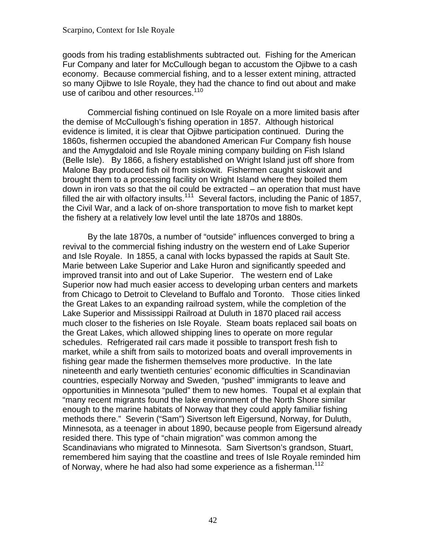goods from his trading establishments subtracted out. Fishing for the American Fur Company and later for McCullough began to accustom the Ojibwe to a cash economy. Because commercial fishing, and to a lesser extent mining, attracted so many Ojibwe to Isle Royale, they had the chance to find out about and make use of caribou and other resources.<sup>[110](#page-105-0)</sup>

Commercial fishing continued on Isle Royale on a more limited basis after the demise of McCullough's fishing operation in 1857. Although historical evidence is limited, it is clear that Ojibwe participation continued. During the 1860s, fishermen occupied the abandoned American Fur Company fish house and the Amygdaloid and Isle Royale mining company building on Fish Island (Belle Isle). By 1866, a fishery established on Wright Island just off shore from Malone Bay produced fish oil from siskowit. Fishermen caught siskowit and brought them to a processing facility on Wright Island where they boiled them down in iron vats so that the oil could be extracted – an operation that must have filled the air with olfactory insults.<sup>111</sup> Several factors, including the Panic of 1857, the Civil War, and a lack of on-shore transportation to move fish to market kept the fishery at a relatively low level until the late 1870s and 1880s.

By the late 1870s, a number of "outside" influences converged to bring a revival to the commercial fishing industry on the western end of Lake Superior and Isle Royale. In 1855, a canal with locks bypassed the rapids at Sault Ste. Marie between Lake Superior and Lake Huron and significantly speeded and improved transit into and out of Lake Superior. The western end of Lake Superior now had much easier access to developing urban centers and markets from Chicago to Detroit to Cleveland to Buffalo and Toronto. Those cities linked the Great Lakes to an expanding railroad system, while the completion of the Lake Superior and Mississippi Railroad at Duluth in 1870 placed rail access much closer to the fisheries on Isle Royale. Steam boats replaced sail boats on the Great Lakes, which allowed shipping lines to operate on more regular schedules. Refrigerated rail cars made it possible to transport fresh fish to market, while a shift from sails to motorized boats and overall improvements in fishing gear made the fishermen themselves more productive. In the late nineteenth and early twentieth centuries' economic difficulties in Scandinavian countries, especially Norway and Sweden, "pushed" immigrants to leave and opportunities in Minnesota "pulled" them to new homes. Toupal et al explain that "many recent migrants found the lake environment of the North Shore similar enough to the marine habitats of Norway that they could apply familiar fishing methods there." Severin ("Sam") Sivertson left Eigersund, Norway, for Duluth, Minnesota, as a teenager in about 1890, because people from Eigersund already resided there. This type of "chain migration" was common among the Scandinavians who migrated to Minnesota. Sam Sivertson's grandson, Stuart, remembered him saying that the coastline and trees of Isle Royale reminded him of Norway, where he had also had some experience as a fisherman.<sup>112</sup>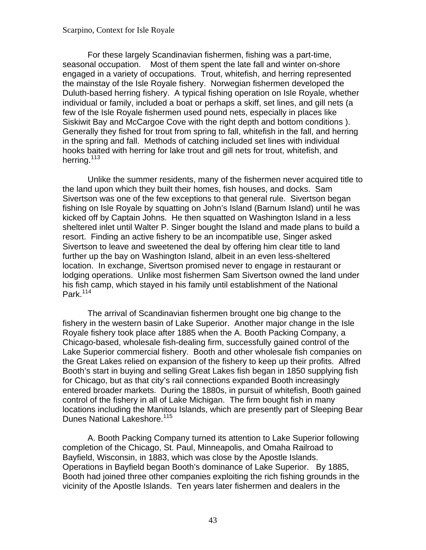seasonal occupation. Most of them spent the late fall and winter on-shore For these largely Scandinavian fishermen, fishing was a part-time, engaged in a variety of occupations. Trout, whitefish, and herring represented the mainstay of the Isle Royale fishery. Norwegian fishermen developed the Duluth-based herring fishery. A typical fishing operation on Isle Royale, whether individual or family, included a boat or perhaps a skiff, set lines, and gill nets (a few of the Isle Royale fishermen used pound nets, especially in places like Siskiwit Bay and McCargoe Cove with the right depth and bottom conditions ). Generally they fished for trout from spring to fall, whitefish in the fall, and herring in the spring and fall. Methods of catching included set lines with individual hooks baited with herring for lake trout and gill nets for trout, whitefish, and herring.<sup>113</sup>

Unlike the summer residents, many of the fishermen never acquired title to the land upon which they built their homes, fish houses, and docks. Sam Sivertson was one of the few exceptions to that general rule. Sivertson began fishing on Isle Royale by squatting on John's Island (Barnum Island) until he was kicked off by Captain Johns. He then squatted on Washington Island in a less sheltered inlet until Walter P. Singer bought the Island and made plans to build a resort. Finding an active fishery to be an incompatible use, Singer asked Sivertson to leave and sweetened the deal by offering him clear title to land further up the bay on Washington Island, albeit in an even less-sheltered location. In exchange, Sivertson promised never to engage in restaurant or lodging operations. Unlike most fishermen Sam Sivertson owned the land under his fish camp, which stayed in his family until establishment of the National Park.<sup>[114](#page-105-0)</sup>

The arrival of Scandinavian fishermen brought one big change to the fishery in the western basin of Lake Superior. Another major change in the Isle Royale fishery took place after 1885 when the A. Booth Packing Company, a Chicago-based, wholesale fish-dealing firm, successfully gained control of the Lake Superior commercial fishery. Booth and other wholesale fish companies on the Great Lakes relied on expansion of the fishery to keep up their profits. Alfred Booth's start in buying and selling Great Lakes fish began in 1850 supplying fish for Chicago, but as that city's rail connections expanded Booth increasingly entered broader markets. During the 1880s, in pursuit of whitefish, Booth gained control of the fishery in all of Lake Michigan. The firm bought fish in many locations including the Manitou Islands, which are presently part of Sleeping Bear Dunes National Lakeshore.<sup>[115](#page-105-0)</sup>

A. Booth Packing Company turned its attention to Lake Superior following completion of the Chicago, St. Paul, Minneapolis, and Omaha Railroad to Bayfield, Wisconsin, in 1883, which was close by the Apostle Islands. Operations in Bayfield began Booth's dominance of Lake Superior. By 1885, Booth had joined three other companies exploiting the rich fishing grounds in the vicinity of the Apostle Islands. Ten years later fishermen and dealers in the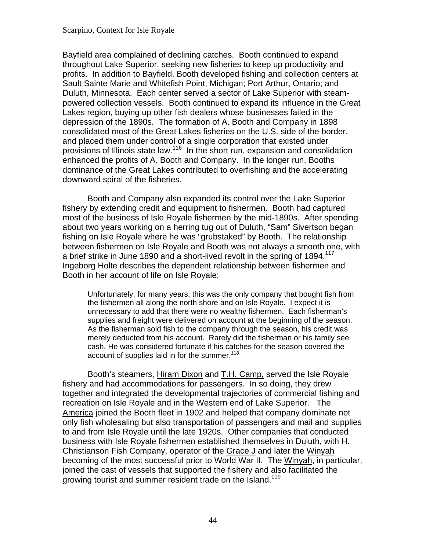Bayfield area complained of declining catches. Booth continued to expand throughout Lake Superior, seeking new fisheries to keep up productivity and profits. In addition to Bayfield, Booth developed fishing and collection centers at Sault Sainte Marie and Whitefish Point, Michigan; Port Arthur, Ontario; and Duluth, Minnesota. Each center served a sector of Lake Superior with steampowered collection vessels. Booth continued to expand its influence in the Great Lakes region, buying up other fish dealers whose businesses failed in the depression of the 1890s. The formation of A. Booth and Company in 1898 consolidated most of the Great Lakes fisheries on the U.S. side of the border, and placed them under control of a single corporation that existed under provisions of Illinois state law.[116](#page-105-0) In the short run, expansion and consolidation enhanced the profits of A. Booth and Company. In the longer run, Booths dominance of the Great Lakes contributed to overfishing and the accelerating downward spiral of the fisheries.

a brief strike in June 1890 and a short-lived revolt in the spring of 1894.<sup>117</sup> Booth and Company also expanded its control over the Lake Superior fishery by extending credit and equipment to fishermen. Booth had captured most of the business of Isle Royale fishermen by the mid-1890s. After spending about two years working on a herring tug out of Duluth, "Sam" Sivertson began fishing on Isle Royale where he was "grubstaked" by Booth. The relationship between fishermen on Isle Royale and Booth was not always a smooth one, with Ingeborg Holte describes the dependent relationship between fishermen and Booth in her account of life on Isle Royale:

Unfortunately, for many years, this was the only company that bought fish from the fishermen all along the north shore and on Isle Royale. I expect it is unnecessary to add that there were no wealthy fishermen. Each fisherman's supplies and freight were delivered on account at the beginning of the season. As the fisherman sold fish to the company through the season, his credit was merely deducted from his account. Rarely did the fisherman or his family see cash. He was considered fortunate if his catches for the season covered the account of supplies laid in for the summer.<sup>118</sup>

growing tourist and summer resident trade on the Island.<sup>[119](#page-105-0)</sup> Booth's steamers, Hiram Dixon and T.H. Camp, served the Isle Royale fishery and had accommodations for passengers. In so doing, they drew together and integrated the developmental trajectories of commercial fishing and recreation on Isle Royale and in the Western end of Lake Superior. The America joined the Booth fleet in 1902 and helped that company dominate not only fish wholesaling but also transportation of passengers and mail and supplies to and from Isle Royale until the late 1920s. Other companies that conducted business with Isle Royale fishermen established themselves in Duluth, with H. Christianson Fish Company, operator of the Grace J and later the Winyah becoming of the most successful prior to World War II. The Winyah, in particular, joined the cast of vessels that supported the fishery and also facilitated the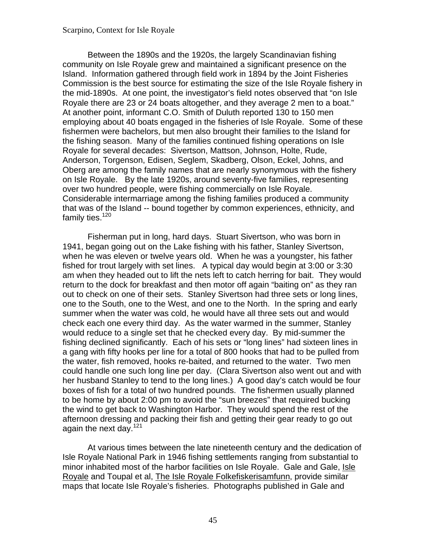Between the 1890s and the 1920s, the largely Scandinavian fishing community on Isle Royale grew and maintained a significant presence on the Island. Information gathered through field work in 1894 by the Joint Fisheries Commission is the best source for estimating the size of the Isle Royale fishery in the mid-1890s. At one point, the investigator's field notes observed that "on Isle Royale there are 23 or 24 boats altogether, and they average 2 men to a boat." At another point, informant C.O. Smith of Duluth reported 130 to 150 men employing about 40 boats engaged in the fisheries of Isle Royale. Some of these fishermen were bachelors, but men also brought their families to the Island for the fishing season. Many of the families continued fishing operations on Isle Royale for several decades: Sivertson, Mattson, Johnson, Holte, Rude, Anderson, Torgenson, Edisen, Seglem, Skadberg, Olson, Eckel, Johns, and Oberg are among the family names that are nearly synonymous with the fishery on Isle Royale. By the late 1920s, around seventy-five families, representing over two hundred people, were fishing commercially on Isle Royale. Considerable intermarriage among the fishing families produced a community that was of the Island -- bound together by common experiences, ethnicity, and family ties. $120$ 

Fisherman put in long, hard days. Stuart Sivertson, who was born in 1941, began going out on the Lake fishing with his father, Stanley Sivertson, when he was eleven or twelve years old. When he was a youngster, his father fished for trout largely with set lines. A typical day would begin at 3:00 or 3:30 am when they headed out to lift the nets left to catch herring for bait. They would return to the dock for breakfast and then motor off again "baiting on" as they ran out to check on one of their sets. Stanley Sivertson had three sets or long lines, one to the South, one to the West, and one to the North. In the spring and early summer when the water was cold, he would have all three sets out and would check each one every third day. As the water warmed in the summer, Stanley would reduce to a single set that he checked every day. By mid-summer the fishing declined significantly. Each of his sets or "long lines" had sixteen lines in a gang with fifty hooks per line for a total of 800 hooks that had to be pulled from the water, fish removed, hooks re-baited, and returned to the water. Two men could handle one such long line per day. (Clara Sivertson also went out and with her husband Stanley to tend to the long lines.) A good day's catch would be four boxes of fish for a total of two hundred pounds. The fishermen usually planned to be home by about 2:00 pm to avoid the "sun breezes" that required bucking the wind to get back to Washington Harbor. They would spend the rest of the afternoon dressing and packing their fish and getting their gear ready to go out again the next day. $121$ 

At various times between the late nineteenth century and the dedication of Isle Royale National Park in 1946 fishing settlements ranging from substantial to minor inhabited most of the harbor facilities on Isle Royale. Gale and Gale, Isle Royale and Toupal et al, The Isle Royale Folkefiskerisamfunn, provide similar maps that locate Isle Royale's fisheries. Photographs published in Gale and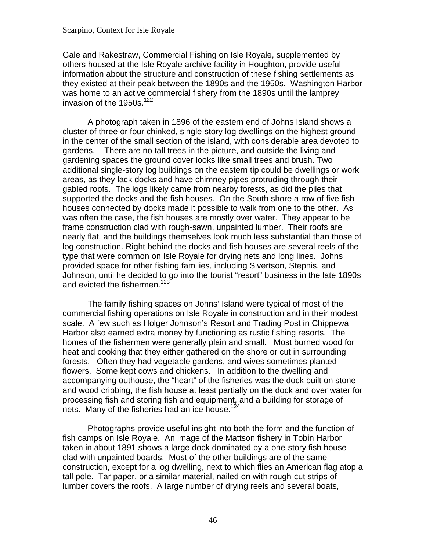Gale and Rakestraw, Commercial Fishing on Isle Royale, supplemented by others housed at the Isle Royale archive facility in Houghton, provide useful information about the structure and construction of these fishing settlements as they existed at their peak between the 1890s and the 1950s. Washington Harbor was home to an active commercial fishery from the 1890s until the lamprey invasion of the 1950s.<sup>[122](#page-106-0)</sup>

 gardens. There are no tall trees in the picture, and outside the living and A photograph taken in 1896 of the eastern end of Johns Island shows a cluster of three or four chinked, single-story log dwellings on the highest ground in the center of the small section of the island, with considerable area devoted to gardening spaces the ground cover looks like small trees and brush. Two additional single-story log buildings on the eastern tip could be dwellings or work areas, as they lack docks and have chimney pipes protruding through their gabled roofs. The logs likely came from nearby forests, as did the piles that supported the docks and the fish houses. On the South shore a row of five fish houses connected by docks made it possible to walk from one to the other. As was often the case, the fish houses are mostly over water. They appear to be frame construction clad with rough-sawn, unpainted lumber. Their roofs are nearly flat, and the buildings themselves look much less substantial than those of log construction. Right behind the docks and fish houses are several reels of the type that were common on Isle Royale for drying nets and long lines. Johns provided space for other fishing families, including Sivertson, Stepnis, and Johnson, until he decided to go into the tourist "resort" business in the late 1890s and evicted the fishermen.<sup>[123](#page-106-0)</sup>

The family fishing spaces on Johns' Island were typical of most of the commercial fishing operations on Isle Royale in construction and in their modest scale. A few such as Holger Johnson's Resort and Trading Post in Chippewa Harbor also earned extra money by functioning as rustic fishing resorts. The homes of the fishermen were generally plain and small. Most burned wood for heat and cooking that they either gathered on the shore or cut in surrounding forests. Often they had vegetable gardens, and wives sometimes planted flowers. Some kept cows and chickens. In addition to the dwelling and accompanying outhouse, the "heart" of the fisheries was the dock built on stone and wood cribbing, the fish house at least partially on the dock and over water for processing fish and storing fish and equipment, and a building for storage of nets. Many of the fisheries had an ice house.<sup>124</sup>

Photographs provide useful insight into both the form and the function of fish camps on Isle Royale. An image of the Mattson fishery in Tobin Harbor taken in about 1891 shows a large dock dominated by a one-story fish house clad with unpainted boards. Most of the other buildings are of the same construction, except for a log dwelling, next to which flies an American flag atop a tall pole. Tar paper, or a similar material, nailed on with rough-cut strips of lumber covers the roofs. A large number of drying reels and several boats,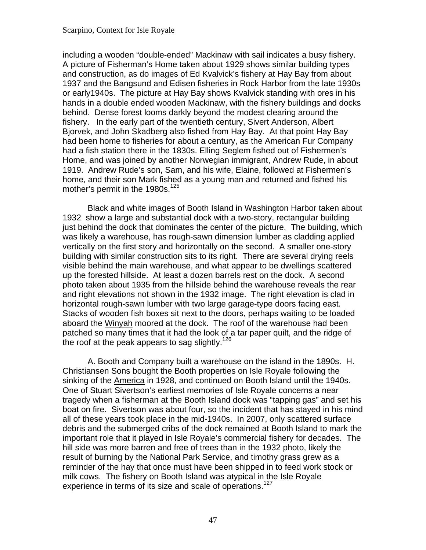including a wooden "double-ended" Mackinaw with sail indicates a busy fishery. A picture of Fisherman's Home taken about 1929 shows similar building types and construction, as do images of Ed Kvalvick's fishery at Hay Bay from about 1937 and the Bangsund and Edisen fisheries in Rock Harbor from the late 1930s or early1940s. The picture at Hay Bay shows Kvalvick standing with ores in his hands in a double ended wooden Mackinaw, with the fishery buildings and docks behind. Dense forest looms darkly beyond the modest clearing around the fishery. In the early part of the twentieth century, Sivert Anderson, Albert Bjorvek, and John Skadberg also fished from Hay Bay. At that point Hay Bay had been home to fisheries for about a century, as the American Fur Company had a fish station there in the 1830s. Elling Seglem fished out of Fishermen's Home, and was joined by another Norwegian immigrant, Andrew Rude, in about 1919. Andrew Rude's son, Sam, and his wife, Elaine, followed at Fishermen's home, and their son Mark fished as a young man and returned and fished his mother's permit in the 1980s.<sup>[125](#page-106-0)</sup>

Black and white images of Booth Island in Washington Harbor taken about 1932 show a large and substantial dock with a two-story, rectangular building just behind the dock that dominates the center of the picture. The building, which was likely a warehouse, has rough-sawn dimension lumber as cladding applied vertically on the first story and horizontally on the second. A smaller one-story building with similar construction sits to its right. There are several drying reels visible behind the main warehouse, and what appear to be dwellings scattered up the forested hillside. At least a dozen barrels rest on the dock. A second photo taken about 1935 from the hillside behind the warehouse reveals the rear and right elevations not shown in the 1932 image. The right elevation is clad in horizontal rough-sawn lumber with two large garage-type doors facing east. Stacks of wooden fish boxes sit next to the doors, perhaps waiting to be loaded aboard the Winyah moored at the dock. The roof of the warehouse had been patched so many times that it had the look of a tar paper quilt, and the ridge of the roof at the peak appears to sag slightly.<sup>126</sup>

A. Booth and Company built a warehouse on the island in the 1890s. H. Christiansen Sons bought the Booth properties on Isle Royale following the sinking of the America in 1928, and continued on Booth Island until the 1940s. One of Stuart Sivertson's earliest memories of Isle Royale concerns a near tragedy when a fisherman at the Booth Island dock was "tapping gas" and set his boat on fire. Sivertson was about four, so the incident that has stayed in his mind all of these years took place in the mid-1940s. In 2007, only scattered surface debris and the submerged cribs of the dock remained at Booth Island to mark the important role that it played in Isle Royale's commercial fishery for decades. The hill side was more barren and free of trees than in the 1932 photo, likely the result of burning by the National Park Service, and timothy grass grew as a reminder of the hay that once must have been shipped in to feed work stock or milk cows. The fishery on Booth Island was atypical in the Isle Royale experience in terms of its size and scale of operations.<sup>[127](#page-106-0)</sup>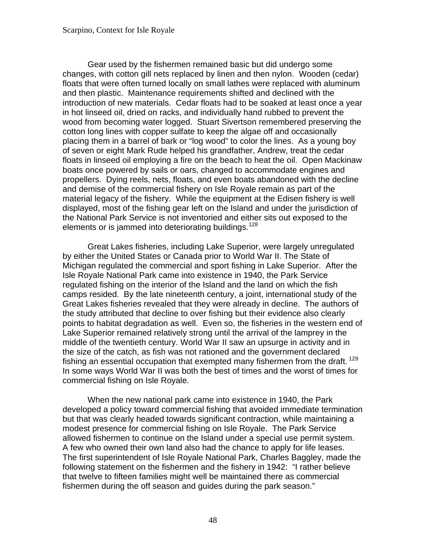Gear used by the fishermen remained basic but did undergo some changes, with cotton gill nets replaced by linen and then nylon. Wooden (cedar) floats that were often turned locally on small lathes were replaced with aluminum and then plastic. Maintenance requirements shifted and declined with the introduction of new materials. Cedar floats had to be soaked at least once a year in hot linseed oil, dried on racks, and individually hand rubbed to prevent the wood from becoming water logged. Stuart Sivertson remembered preserving the cotton long lines with copper sulfate to keep the algae off and occasionally placing them in a barrel of bark or "log wood" to color the lines. As a young boy of seven or eight Mark Rude helped his grandfather, Andrew, treat the cedar floats in linseed oil employing a fire on the beach to heat the oil. Open Mackinaw boats once powered by sails or oars, changed to accommodate engines and propellers. Dying reels, nets, floats, and even boats abandoned with the decline and demise of the commercial fishery on Isle Royale remain as part of the material legacy of the fishery. While the equipment at the Edisen fishery is well displayed, most of the fishing gear left on the Island and under the jurisdiction of the National Park Service is not inventoried and either sits out exposed to the elements or is jammed into deteriorating buildings.<sup>128</sup>

fishing an essential occupation that exempted many fishermen from the draft.  $^{129}$  $^{129}$  $^{129}$ Great Lakes fisheries, including Lake Superior, were largely unregulated by either the United States or Canada prior to World War II. The State of Michigan regulated the commercial and sport fishing in Lake Superior. After the Isle Royale National Park came into existence in 1940, the Park Service regulated fishing on the interior of the Island and the land on which the fish camps resided. By the late nineteenth century, a joint, international study of the Great Lakes fisheries revealed that they were already in decline. The authors of the study attributed that decline to over fishing but their evidence also clearly points to habitat degradation as well. Even so, the fisheries in the western end of Lake Superior remained relatively strong until the arrival of the lamprey in the middle of the twentieth century. World War II saw an upsurge in activity and in the size of the catch, as fish was not rationed and the government declared In some ways World War II was both the best of times and the worst of times for commercial fishing on Isle Royale.

When the new national park came into existence in 1940, the Park developed a policy toward commercial fishing that avoided immediate termination but that was clearly headed towards significant contraction, while maintaining a modest presence for commercial fishing on Isle Royale. The Park Service allowed fishermen to continue on the Island under a special use permit system. A few who owned their own land also had the chance to apply for life leases. The first superintendent of Isle Royale National Park, Charles Baggley, made the following statement on the fishermen and the fishery in 1942: "I rather believe that twelve to fifteen families might well be maintained there as commercial fishermen during the off season and guides during the park season."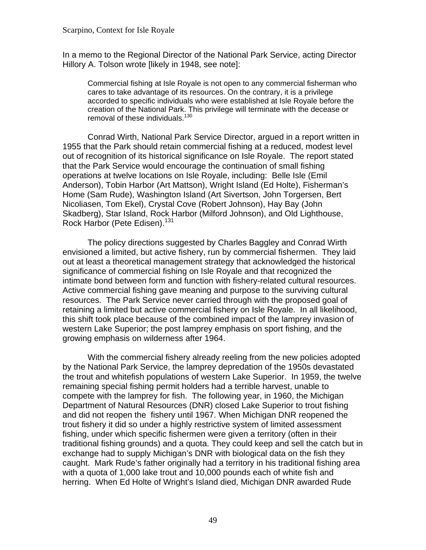In a memo to the Regional Director of the National Park Service, acting Director Hillory A. Tolson wrote [likely in 1948, see note]:

Commercial fishing at Isle Royale is not open to any commercial fisherman who cares to take advantage of its resources. On the contrary, it is a privilege accorded to specific individuals who were established at Isle Royale before the creation of the National Park. This privilege will terminate with the decease or removal of these individuals.<sup>[130](#page-107-0)</sup>

Conrad Wirth, National Park Service Director, argued in a report written in 1955 that the Park should retain commercial fishing at a reduced, modest level out of recognition of its historical significance on Isle Royale. The report stated that the Park Service would encourage the continuation of small fishing operations at twelve locations on Isle Royale, including: Belle Isle (Emil Anderson), Tobin Harbor (Art Mattson), Wright Island (Ed Holte), Fisherman's Home (Sam Rude), Washington Island (Art Sivertson, John Torgersen, Bert Nicoliasen, Tom Ekel), Crystal Cove (Robert Johnson), Hay Bay (John Skadberg), Star Island, Rock Harbor (Milford Johnson), and Old Lighthouse, Rock Harbor (Pete Edisen).<sup>[131](#page-107-0)</sup>

The policy directions suggested by Charles Baggley and Conrad Wirth envisioned a limited, but active fishery, run by commercial fishermen. They laid out at least a theoretical management strategy that acknowledged the historical significance of commercial fishing on Isle Royale and that recognized the intimate bond between form and function with fishery-related cultural resources. Active commercial fishing gave meaning and purpose to the surviving cultural resources. The Park Service never carried through with the proposed goal of retaining a limited but active commercial fishery on Isle Royale. In all likelihood, this shift took place because of the combined impact of the lamprey invasion of western Lake Superior; the post lamprey emphasis on sport fishing, and the growing emphasis on wilderness after 1964.

With the commercial fishery already reeling from the new policies adopted by the National Park Service, the lamprey depredation of the 1950s devastated the trout and whitefish populations of western Lake Superior. In 1959, the twelve remaining special fishing permit holders had a terrible harvest, unable to compete with the lamprey for fish. The following year, in 1960, the Michigan Department of Natural Resources (DNR) closed Lake Superior to trout fishing and did not reopen the fishery until 1967. When Michigan DNR reopened the trout fishery it did so under a highly restrictive system of limited assessment fishing, under which specific fishermen were given a territory (often in their traditional fishing grounds) and a quota. They could keep and sell the catch but in exchange had to supply Michigan's DNR with biological data on the fish they caught. Mark Rude's father originally had a territory in his traditional fishing area with a quota of 1,000 lake trout and 10,000 pounds each of white fish and herring. When Ed Holte of Wright's Island died, Michigan DNR awarded Rude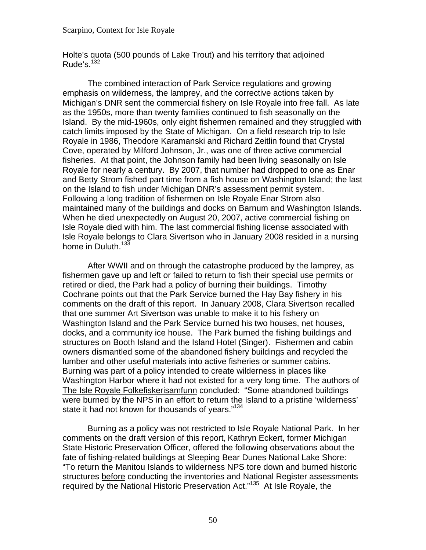Holte's quota (500 pounds of Lake Trout) and his territory that adjoined Rude's. $132$ 

home in Duluth.<sup>[133](#page-107-0)</sup> The combined interaction of Park Service regulations and growing emphasis on wilderness, the lamprey, and the corrective actions taken by Michigan's DNR sent the commercial fishery on Isle Royale into free fall. As late as the 1950s, more than twenty families continued to fish seasonally on the Island. By the mid-1960s, only eight fishermen remained and they struggled with catch limits imposed by the State of Michigan. On a field research trip to Isle Royale in 1986, Theodore Karamanski and Richard Zeitlin found that Crystal Cove, operated by Milford Johnson, Jr., was one of three active commercial fisheries. At that point, the Johnson family had been living seasonally on Isle Royale for nearly a century. By 2007, that number had dropped to one as Enar and Betty Strom fished part time from a fish house on Washington Island; the last on the Island to fish under Michigan DNR's assessment permit system. Following a long tradition of fishermen on Isle Royale Enar Strom also maintained many of the buildings and docks on Barnum and Washington Islands. When he died unexpectedly on August 20, 2007, active commercial fishing on Isle Royale died with him. The last commercial fishing license associated with Isle Royale belongs to Clara Sivertson who in January 2008 resided in a nursing

After WWII and on through the catastrophe produced by the lamprey, as fishermen gave up and left or failed to return to fish their special use permits or retired or died, the Park had a policy of burning their buildings. Timothy Cochrane points out that the Park Service burned the Hay Bay fishery in his comments on the draft of this report. In January 2008, Clara Sivertson recalled that one summer Art Sivertson was unable to make it to his fishery on Washington Island and the Park Service burned his two houses, net houses, docks, and a community ice house. The Park burned the fishing buildings and structures on Booth Island and the Island Hotel (Singer). Fishermen and cabin owners dismantled some of the abandoned fishery buildings and recycled the lumber and other useful materials into active fisheries or summer cabins. Burning was part of a policy intended to create wilderness in places like Washington Harbor where it had not existed for a very long time. The authors of The Isle Royale Folkefiskerisamfunn concluded: "Some abandoned buildings were burned by the NPS in an effort to return the Island to a pristine 'wilderness' state it had not known for thousands of years."<sup>134</sup>

Burning as a policy was not restricted to Isle Royale National Park. In her comments on the draft version of this report, Kathryn Eckert, former Michigan State Historic Preservation Officer, offered the following observations about the fate of fishing-related buildings at Sleeping Bear Dunes National Lake Shore: "To return the Manitou Islands to wilderness NPS tore down and burned historic structures before conducting the inventories and National Register assessments required by the National Historic Preservation Act.["135](#page-108-0) At Isle Royale, the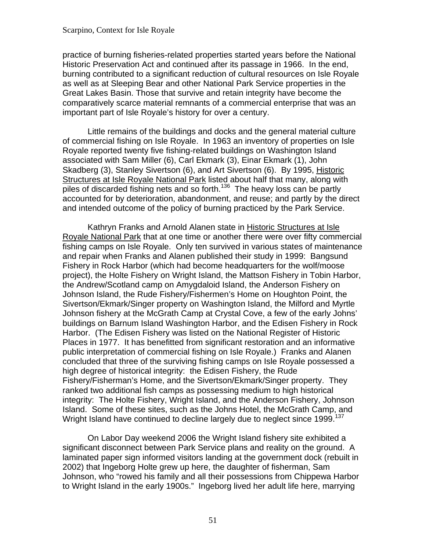practice of burning fisheries-related properties started years before the National Historic Preservation Act and continued after its passage in 1966. In the end, burning contributed to a significant reduction of cultural resources on Isle Royale as well as at Sleeping Bear and other National Park Service properties in the Great Lakes Basin. Those that survive and retain integrity have become the comparatively scarce material remnants of a commercial enterprise that was an important part of Isle Royale's history for over a century.

Little remains of the buildings and docks and the general material culture of commercial fishing on Isle Royale. In 1963 an inventory of properties on Isle Royale reported twenty five fishing-related buildings on Washington Island associated with Sam Miller (6), Carl Ekmark (3), Einar Ekmark (1), John Skadberg (3), Stanley Sivertson (6), and Art Sivertson (6). By 1995, Historic Structures at Isle Royale National Park listed about half that many, along with piles of discarded fishing nets and so forth.<sup>[136](#page-108-0)</sup> The heavy loss can be partly accounted for by deterioration, abandonment, and reuse; and partly by the direct and intended outcome of the policy of burning practiced by the Park Service.

Wright Island have continued to decline largely due to neglect since 1999.<sup>137</sup> Kathryn Franks and Arnold Alanen state in Historic Structures at Isle Royale National Park that at one time or another there were over fifty commercial fishing camps on Isle Royale. Only ten survived in various states of maintenance and repair when Franks and Alanen published their study in 1999: Bangsund Fishery in Rock Harbor (which had become headquarters for the wolf/moose project), the Holte Fishery on Wright Island, the Mattson Fishery in Tobin Harbor, the Andrew/Scotland camp on Amygdaloid Island, the Anderson Fishery on Johnson Island, the Rude Fishery/Fishermen's Home on Houghton Point, the Sivertson/Ekmark/Singer property on Washington Island, the Milford and Myrtle Johnson fishery at the McGrath Camp at Crystal Cove, a few of the early Johns' buildings on Barnum Island Washington Harbor, and the Edisen Fishery in Rock Harbor. (The Edisen Fishery was listed on the National Register of Historic Places in 1977. It has benefitted from significant restoration and an informative public interpretation of commercial fishing on Isle Royale.) Franks and Alanen concluded that three of the surviving fishing camps on Isle Royale possessed a high degree of historical integrity: the Edisen Fishery, the Rude Fishery/Fisherman's Home, and the Sivertson/Ekmark/Singer property. They ranked two additional fish camps as possessing medium to high historical integrity: The Holte Fishery, Wright Island, and the Anderson Fishery, Johnson Island. Some of these sites, such as the Johns Hotel, the McGrath Camp, and

On Labor Day weekend 2006 the Wright Island fishery site exhibited a significant disconnect between Park Service plans and reality on the ground. A laminated paper sign informed visitors landing at the government dock (rebuilt in 2002) that Ingeborg Holte grew up here, the daughter of fisherman, Sam Johnson, who "rowed his family and all their possessions from Chippewa Harbor to Wright Island in the early 1900s." Ingeborg lived her adult life here, marrying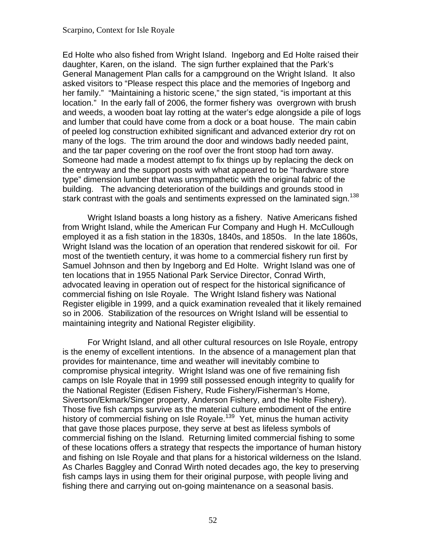Ed Holte who also fished from Wright Island. Ingeborg and Ed Holte raised their daughter, Karen, on the island. The sign further explained that the Park's General Management Plan calls for a campground on the Wright Island. It also asked visitors to "Please respect this place and the memories of Ingeborg and her family." "Maintaining a historic scene," the sign stated, "is important at this location." In the early fall of 2006, the former fishery was overgrown with brush and weeds, a wooden boat lay rotting at the water's edge alongside a pile of logs and lumber that could have come from a dock or a boat house. The main cabin of peeled log construction exhibited significant and advanced exterior dry rot on many of the logs. The trim around the door and windows badly needed paint, and the tar paper covering on the roof over the front stoop had torn away. Someone had made a modest attempt to fix things up by replacing the deck on the entryway and the support posts with what appeared to be "hardware store type" dimension lumber that was unsympathetic with the original fabric of the building. The advancing deterioration of the buildings and grounds stood in stark contrast with the goals and sentiments expressed on the laminated sign.<sup>[138](#page-108-0)</sup>

Wright Island boasts a long history as a fishery. Native Americans fished from Wright Island, while the American Fur Company and Hugh H. McCullough employed it as a fish station in the 1830s, 1840s, and 1850s. In the late 1860s, Wright Island was the location of an operation that rendered siskowit for oil. For most of the twentieth century, it was home to a commercial fishery run first by Samuel Johnson and then by Ingeborg and Ed Holte. Wright Island was one of ten locations that in 1955 National Park Service Director, Conrad Wirth, advocated leaving in operation out of respect for the historical significance of commercial fishing on Isle Royale. The Wright Island fishery was National Register eligible in 1999, and a quick examination revealed that it likely remained so in 2006. Stabilization of the resources on Wright Island will be essential to maintaining integrity and National Register eligibility.

For Wright Island, and all other cultural resources on Isle Royale, entropy is the enemy of excellent intentions. In the absence of a management plan that provides for maintenance, time and weather will inevitably combine to compromise physical integrity. Wright Island was one of five remaining fish camps on Isle Royale that in 1999 still possessed enough integrity to qualify for the National Register (Edisen Fishery, Rude Fishery/Fisherman's Home, Sivertson/Ekmark/Singer property, Anderson Fishery, and the Holte Fishery). Those five fish camps survive as the material culture embodiment of the entire history of commercial fishing on Isle Royale.<sup>[139](#page-108-0)</sup> Yet, minus the human activity that gave those places purpose, they serve at best as lifeless symbols of commercial fishing on the Island. Returning limited commercial fishing to some of these locations offers a strategy that respects the importance of human history and fishing on Isle Royale and that plans for a historical wilderness on the Island. As Charles Baggley and Conrad Wirth noted decades ago, the key to preserving fish camps lays in using them for their original purpose, with people living and fishing there and carrying out on-going maintenance on a seasonal basis.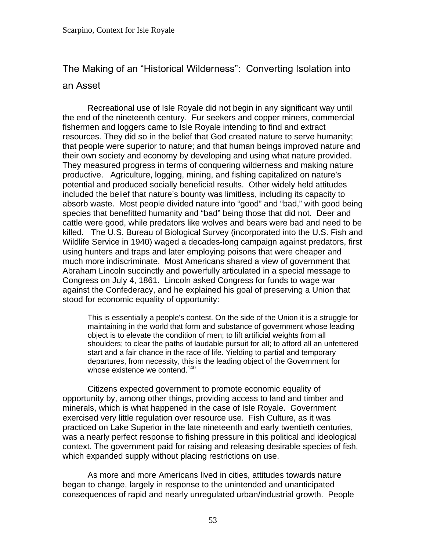# The Making of an "Historical Wilderness": Converting Isolation into

# an Asset

Recreational use of Isle Royale did not begin in any significant way until the end of the nineteenth century. Fur seekers and copper miners, commercial fishermen and loggers came to Isle Royale intending to find and extract resources. They did so in the belief that God created nature to serve humanity; that people were superior to nature; and that human beings improved nature and their own society and economy by developing and using what nature provided. They measured progress in terms of conquering wilderness and making nature productive. Agriculture, logging, mining, and fishing capitalized on nature's potential and produced socially beneficial results. Other widely held attitudes included the belief that nature's bounty was limitless, including its capacity to absorb waste. Most people divided nature into "good" and "bad," with good being species that benefitted humanity and "bad" being those that did not. Deer and cattle were good, while predators like wolves and bears were bad and need to be killed. The U.S. Bureau of Biological Survey (incorporated into the U.S. Fish and Wildlife Service in 1940) waged a decades-long campaign against predators, first using hunters and traps and later employing poisons that were cheaper and much more indiscriminate. Most Americans shared a view of government that Abraham Lincoln succinctly and powerfully articulated in a special message to Congress on July 4, 1861. Lincoln asked Congress for funds to wage war against the Confederacy, and he explained his goal of preserving a Union that stood for economic equality of opportunity:

This is essentially a people's contest. On the side of the Union it is a struggle for maintaining in the world that form and substance of government whose leading object is to elevate the condition of men; to lift artificial weights from all shoulders; to clear the paths of laudable pursuit for all; to afford all an unfettered start and a fair chance in the race of life. Yielding to partial and temporary departures, from necessity, this is the leading object of the Government for whose existence we contend.<sup>[140](#page-108-0)</sup>

Citizens expected government to promote economic equality of opportunity by, among other things, providing access to land and timber and minerals, which is what happened in the case of Isle Royale. Government exercised very little regulation over resource use. Fish Culture, as it was practiced on Lake Superior in the late nineteenth and early twentieth centuries, was a nearly perfect response to fishing pressure in this political and ideological context. The government paid for raising and releasing desirable species of fish, which expanded supply without placing restrictions on use.

As more and more Americans lived in cities, attitudes towards nature began to change, largely in response to the unintended and unanticipated consequences of rapid and nearly unregulated urban/industrial growth. People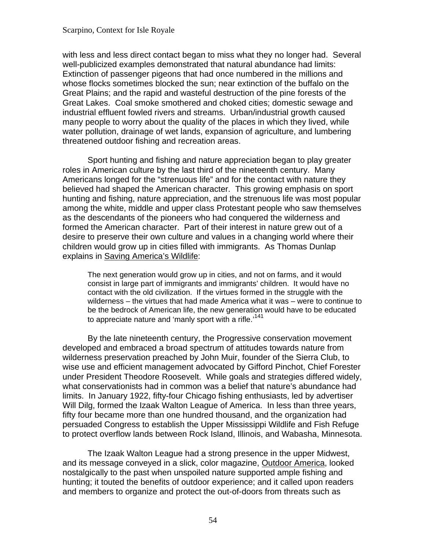with less and less direct contact began to miss what they no longer had. Several well-publicized examples demonstrated that natural abundance had limits: Extinction of passenger pigeons that had once numbered in the millions and whose flocks sometimes blocked the sun; near extinction of the buffalo on the Great Plains; and the rapid and wasteful destruction of the pine forests of the Great Lakes. Coal smoke smothered and choked cities; domestic sewage and industrial effluent fowled rivers and streams. Urban/industrial growth caused many people to worry about the quality of the places in which they lived, while water pollution, drainage of wet lands, expansion of agriculture, and lumbering threatened outdoor fishing and recreation areas.

Sport hunting and fishing and nature appreciation began to play greater roles in American culture by the last third of the nineteenth century. Many Americans longed for the "strenuous life" and for the contact with nature they believed had shaped the American character. This growing emphasis on sport hunting and fishing, nature appreciation, and the strenuous life was most popular among the white, middle and upper class Protestant people who saw themselves as the descendants of the pioneers who had conquered the wilderness and formed the American character. Part of their interest in nature grew out of a desire to preserve their own culture and values in a changing world where their children would grow up in cities filled with immigrants. As Thomas Dunlap explains in Saving America's Wildlife:

The next generation would grow up in cities, and not on farms, and it would consist in large part of immigrants and immigrants' children. It would have no contact with the old civilization. If the virtues formed in the struggle with the wilderness – the virtues that had made America what it was – were to continue to be the bedrock of American life, the new generation would have to be educated to appreciate nature and 'manly sport with a rifle.'<sup>[141](#page-108-0)</sup>

By the late nineteenth century, the Progressive conservation movement developed and embraced a broad spectrum of attitudes towards nature from wilderness preservation preached by John Muir, founder of the Sierra Club, to wise use and efficient management advocated by Gifford Pinchot, Chief Forester under President Theodore Roosevelt. While goals and strategies differed widely, what conservationists had in common was a belief that nature's abundance had limits. In January 1922, fifty-four Chicago fishing enthusiasts, led by advertiser Will Dilg, formed the Izaak Walton League of America. In less than three years, fifty four became more than one hundred thousand, and the organization had persuaded Congress to establish the Upper Mississippi Wildlife and Fish Refuge to protect overflow lands between Rock Island, Illinois, and Wabasha, Minnesota.

The Izaak Walton League had a strong presence in the upper Midwest, and its message conveyed in a slick, color magazine, Outdoor America, looked nostalgically to the past when unspoiled nature supported ample fishing and hunting; it touted the benefits of outdoor experience; and it called upon readers and members to organize and protect the out-of-doors from threats such as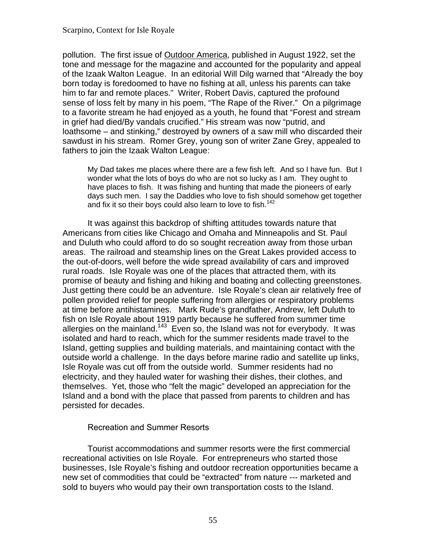pollution. The first issue of Outdoor America, published in August 1922, set the tone and message for the magazine and accounted for the popularity and appeal of the Izaak Walton League. In an editorial Will Dilg warned that "Already the boy born today is foredoomed to have no fishing at all, unless his parents can take him to far and remote places." Writer, Robert Davis, captured the profound sense of loss felt by many in his poem, "The Rape of the River." On a pilgrimage to a favorite stream he had enjoyed as a youth, he found that "Forest and stream in grief had died/By vandals crucified." His stream was now "putrid, and loathsome – and stinking," destroyed by owners of a saw mill who discarded their sawdust in his stream. Romer Grey, young son of writer Zane Grey, appealed to fathers to join the Izaak Walton League:

My Dad takes me places where there are a few fish left. And so I have fun. But I wonder what the lots of boys do who are not so lucky as I am. They ought to have places to fish. It was fishing and hunting that made the pioneers of early days such men. I say the Daddies who love to fish should somehow get together and fix it so their boys could also learn to love to fish.<sup>[142](#page-108-0)</sup>

It was against this backdrop of shifting attitudes towards nature that Americans from cities like Chicago and Omaha and Minneapolis and St. Paul and Duluth who could afford to do so sought recreation away from those urban areas. The railroad and steamship lines on the Great Lakes provided access to the out-of-doors, well before the wide spread availability of cars and improved rural roads. Isle Royale was one of the places that attracted them, with its promise of beauty and fishing and hiking and boating and collecting greenstones. Just getting there could be an adventure. Isle Royale's clean air relatively free of pollen provided relief for people suffering from allergies or respiratory problems at time before antihistamines. Mark Rude's grandfather, Andrew, left Duluth to fish on Isle Royale about 1919 partly because he suffered from summer time allergies on the mainland.<sup>[143](#page-108-0)</sup> Even so, the Island was not for everybody. It was isolated and hard to reach, which for the summer residents made travel to the Island, getting supplies and building materials, and maintaining contact with the outside world a challenge. In the days before marine radio and satellite up links, Isle Royale was cut off from the outside world. Summer residents had no electricity, and they hauled water for washing their dishes, their clothes, and themselves. Yet, those who "felt the magic" developed an appreciation for the Island and a bond with the place that passed from parents to children and has persisted for decades.

### Recreation and Summer Resorts

Tourist accommodations and summer resorts were the first commercial recreational activities on Isle Royale. For entrepreneurs who started those businesses, Isle Royale's fishing and outdoor recreation opportunities became a new set of commodities that could be "extracted" from nature --- marketed and sold to buyers who would pay their own transportation costs to the Island.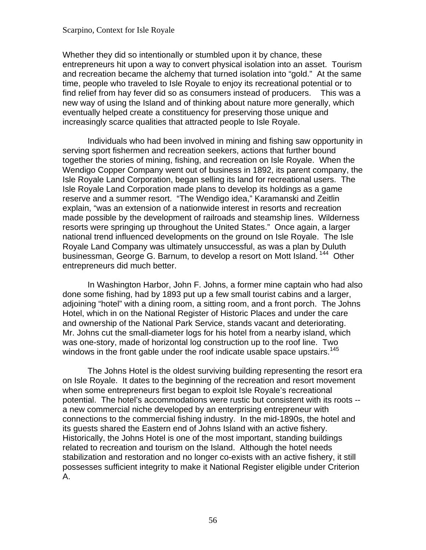This was a Whether they did so intentionally or stumbled upon it by chance, these entrepreneurs hit upon a way to convert physical isolation into an asset. Tourism and recreation became the alchemy that turned isolation into "gold." At the same time, people who traveled to Isle Royale to enjoy its recreational potential or to find relief from hay fever did so as consumers instead of producers. new way of using the Island and of thinking about nature more generally, which eventually helped create a constituency for preserving those unique and increasingly scarce qualities that attracted people to Isle Royale.

Individuals who had been involved in mining and fishing saw opportunity in serving sport fishermen and recreation seekers, actions that further bound together the stories of mining, fishing, and recreation on Isle Royale. When the Wendigo Copper Company went out of business in 1892, its parent company, the Isle Royale Land Corporation, began selling its land for recreational users. The Isle Royale Land Corporation made plans to develop its holdings as a game reserve and a summer resort. "The Wendigo idea," Karamanski and Zeitlin explain, "was an extension of a nationwide interest in resorts and recreation made possible by the development of railroads and steamship lines. Wilderness resorts were springing up throughout the United States." Once again, a larger national trend influenced developments on the ground on Isle Royale. The Isle Royale Land Company was ultimately unsuccessful, as was a plan by Duluth businessman, George G. Barnum, to develop a resort on Mott Island.<sup>[144](#page-108-0)</sup> Other entrepreneurs did much better.

In Washington Harbor, John F. Johns, a former mine captain who had also done some fishing, had by 1893 put up a few small tourist cabins and a larger, adjoining "hotel" with a dining room, a sitting room, and a front porch. The Johns Hotel, which in on the National Register of Historic Places and under the care and ownership of the National Park Service, stands vacant and deteriorating. Mr. Johns cut the small-diameter logs for his hotel from a nearby island, which was one-story, made of horizontal log construction up to the roof line. Two windows in the front gable under the roof indicate usable space upstairs.<sup>145</sup>

The Johns Hotel is the oldest surviving building representing the resort era on Isle Royale. It dates to the beginning of the recreation and resort movement when some entrepreneurs first began to exploit Isle Royale's recreational potential. The hotel's accommodations were rustic but consistent with its roots - a new commercial niche developed by an enterprising entrepreneur with connections to the commercial fishing industry. In the mid-1890s, the hotel and its guests shared the Eastern end of Johns Island with an active fishery. Historically, the Johns Hotel is one of the most important, standing buildings related to recreation and tourism on the Island. Although the hotel needs stabilization and restoration and no longer co-exists with an active fishery, it still possesses sufficient integrity to make it National Register eligible under Criterion A.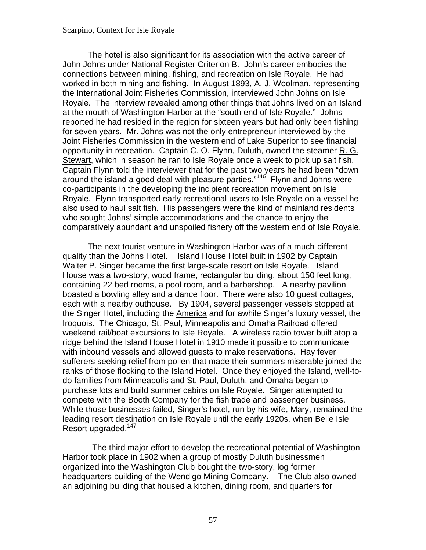The hotel is also significant for its association with the active career of John Johns under National Register Criterion B. John's career embodies the connections between mining, fishing, and recreation on Isle Royale. He had worked in both mining and fishing. In August 1893, A. J. Woolman, representing the International Joint Fisheries Commission, interviewed John Johns on Isle Royale. The interview revealed among other things that Johns lived on an Island at the mouth of Washington Harbor at the "south end of Isle Royale." Johns reported he had resided in the region for sixteen years but had only been fishing for seven years. Mr. Johns was not the only entrepreneur interviewed by the Joint Fisheries Commission in the western end of Lake Superior to see financial opportunity in recreation. Captain C. O. Flynn, Duluth, owned the steamer R. G. Stewart, which in season he ran to Isle Royale once a week to pick up salt fish. Captain Flynn told the interviewer that for the past two years he had been "down around the island a good deal with pleasure parties."<sup>[146](#page-108-0)</sup> Flynn and Johns were co-participants in the developing the incipient recreation movement on Isle Royale. Flynn transported early recreational users to Isle Royale on a vessel he also used to haul salt fish. His passengers were the kind of mainland residents who sought Johns' simple accommodations and the chance to enjoy the comparatively abundant and unspoiled fishery off the western end of Isle Royale.

The next tourist venture in Washington Harbor was of a much-different quality than the Johns Hotel. Island House Hotel built in 1902 by Captain Walter P. Singer became the first large-scale resort on Isle Royale. Island House was a two-story, wood frame, rectangular building, about 150 feet long, containing 22 bed rooms, a pool room, and a barbershop. A nearby pavilion boasted a bowling alley and a dance floor. There were also 10 guest cottages, each with a nearby outhouse. By 1904, several passenger vessels stopped at the Singer Hotel, including the America and for awhile Singer's luxury vessel, the Iroquois. The Chicago, St. Paul, Minneapolis and Omaha Railroad offered weekend rail/boat excursions to Isle Royale. A wireless radio tower built atop a ridge behind the Island House Hotel in 1910 made it possible to communicate with inbound vessels and allowed guests to make reservations. Hay fever sufferers seeking relief from pollen that made their summers miserable joined the ranks of those flocking to the Island Hotel. Once they enjoyed the Island, well-todo families from Minneapolis and St. Paul, Duluth, and Omaha began to purchase lots and build summer cabins on Isle Royale. Singer attempted to compete with the Booth Company for the fish trade and passenger business. While those businesses failed, Singer's hotel, run by his wife, Mary, remained the leading resort destination on Isle Royale until the early 1920s, when Belle Isle Resort upgraded.<sup>[147](#page-108-0)</sup>

 headquarters building of the Wendigo Mining Company. The Club also owned The third major effort to develop the recreational potential of Washington Harbor took place in 1902 when a group of mostly Duluth businessmen organized into the Washington Club bought the two-story, log former an adjoining building that housed a kitchen, dining room, and quarters for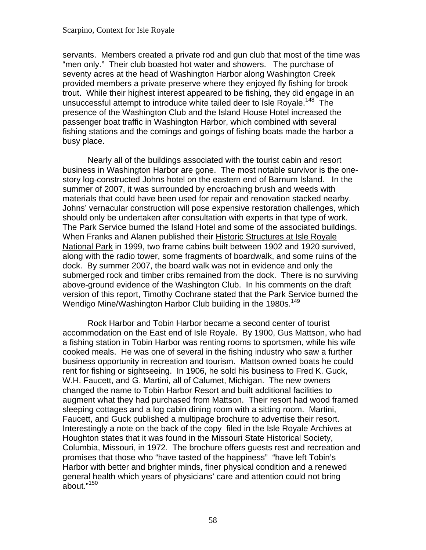servants. Members created a private rod and gun club that most of the time was "men only." Their club boasted hot water and showers. The purchase of seventy acres at the head of Washington Harbor along Washington Creek provided members a private preserve where they enjoyed fly fishing for brook trout. While their highest interest appeared to be fishing, they did engage in an unsuccessful attempt to introduce white tailed deer to Isle Royale.<sup>[148](#page-108-0)</sup> The presence of the Washington Club and the Island House Hotel increased the passenger boat traffic in Washington Harbor, which combined with several fishing stations and the comings and goings of fishing boats made the harbor a busy place.

Nearly all of the buildings associated with the tourist cabin and resort business in Washington Harbor are gone. The most notable survivor is the onestory log-constructed Johns hotel on the eastern end of Barnum Island. In the summer of 2007, it was surrounded by encroaching brush and weeds with materials that could have been used for repair and renovation stacked nearby. Johns' vernacular construction will pose expensive restoration challenges, which should only be undertaken after consultation with experts in that type of work. The Park Service burned the Island Hotel and some of the associated buildings. When Franks and Alanen published their Historic Structures at Isle Royale National Park in 1999, two frame cabins built between 1902 and 1920 survived, along with the radio tower, some fragments of boardwalk, and some ruins of the dock. By summer 2007, the board walk was not in evidence and only the submerged rock and timber cribs remained from the dock. There is no surviving above-ground evidence of the Washington Club. In his comments on the draft version of this report, Timothy Cochrane stated that the Park Service burned the Wendigo Mine/Washington Harbor Club building in the 1980s.<sup>[149](#page-109-0)</sup>

Rock Harbor and Tobin Harbor became a second center of tourist accommodation on the East end of Isle Royale. By 1900, Gus Mattson, who had a fishing station in Tobin Harbor was renting rooms to sportsmen, while his wife cooked meals. He was one of several in the fishing industry who saw a further business opportunity in recreation and tourism. Mattson owned boats he could rent for fishing or sightseeing. In 1906, he sold his business to Fred K. Guck, W.H. Faucett, and G. Martini, all of Calumet, Michigan. The new owners changed the name to Tobin Harbor Resort and built additional facilities to augment what they had purchased from Mattson. Their resort had wood framed sleeping cottages and a log cabin dining room with a sitting room. Martini, Faucett, and Guck published a multipage brochure to advertise their resort. Interestingly a note on the back of the copy filed in the Isle Royale Archives at Houghton states that it was found in the Missouri State Historical Society, Columbia, Missouri, in 1972. The brochure offers guests rest and recreation and promises that those who "have tasted of the happiness" "have left Tobin's Harbor with better and brighter minds, finer physical condition and a renewed general health which years of physicians' care and attention could not bring about."[150](#page-109-0)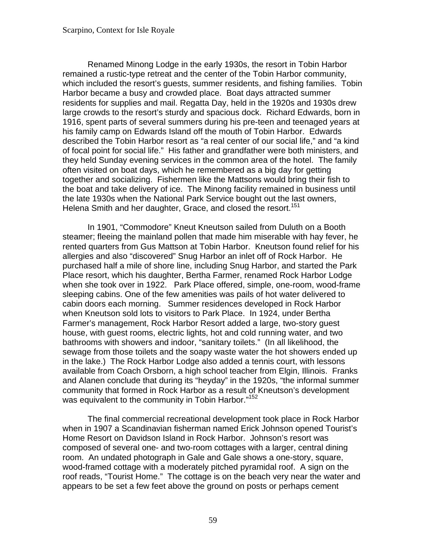Renamed Minong Lodge in the early 1930s, the resort in Tobin Harbor remained a rustic-type retreat and the center of the Tobin Harbor community, which included the resort's guests, summer residents, and fishing families. Tobin Harbor became a busy and crowded place. Boat days attracted summer residents for supplies and mail. Regatta Day, held in the 1920s and 1930s drew large crowds to the resort's sturdy and spacious dock. Richard Edwards, born in 1916, spent parts of several summers during his pre-teen and teenaged years at his family camp on Edwards Island off the mouth of Tobin Harbor. Edwards described the Tobin Harbor resort as "a real center of our social life," and "a kind of focal point for social life." His father and grandfather were both ministers, and they held Sunday evening services in the common area of the hotel. The family often visited on boat days, which he remembered as a big day for getting together and socializing. Fishermen like the Mattsons would bring their fish to the boat and take delivery of ice. The Minong facility remained in business until the late 1930s when the National Park Service bought out the last owners, Helena Smith and her daughter, Grace, and closed the resort.<sup>151</sup>

In 1901, "Commodore" Kneut Kneutson sailed from Duluth on a Booth steamer; fleeing the mainland pollen that made him miserable with hay fever, he rented quarters from Gus Mattson at Tobin Harbor. Kneutson found relief for his allergies and also "discovered" Snug Harbor an inlet off of Rock Harbor. He purchased half a mile of shore line, including Snug Harbor, and started the Park Place resort, which his daughter, Bertha Farmer, renamed Rock Harbor Lodge when she took over in 1922. Park Place offered, simple, one-room, wood-frame sleeping cabins. One of the few amenities was pails of hot water delivered to cabin doors each morning. Summer residences developed in Rock Harbor when Kneutson sold lots to visitors to Park Place. In 1924, under Bertha Farmer's management, Rock Harbor Resort added a large, two-story guest house, with guest rooms, electric lights, hot and cold running water, and two bathrooms with showers and indoor, "sanitary toilets." (In all likelihood, the sewage from those toilets and the soapy waste water the hot showers ended up in the lake.) The Rock Harbor Lodge also added a tennis court, with lessons available from Coach Orsborn, a high school teacher from Elgin, Illinois. Franks and Alanen conclude that during its "heyday" in the 1920s, "the informal summer community that formed in Rock Harbor as a result of Kneutson's development was equivalent to the community in Tobin Harbor."<sup>152</sup>

The final commercial recreational development took place in Rock Harbor when in 1907 a Scandinavian fisherman named Erick Johnson opened Tourist's Home Resort on Davidson Island in Rock Harbor. Johnson's resort was composed of several one- and two-room cottages with a larger, central dining room. An undated photograph in Gale and Gale shows a one-story, square, wood-framed cottage with a moderately pitched pyramidal roof. A sign on the roof reads, "Tourist Home." The cottage is on the beach very near the water and appears to be set a few feet above the ground on posts or perhaps cement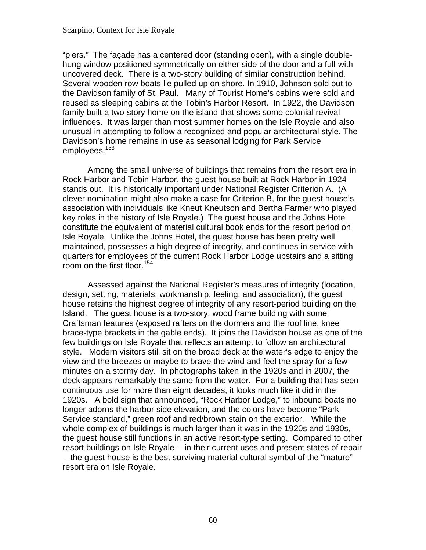"piers." The façade has a centered door (standing open), with a single doublehung window positioned symmetrically on either side of the door and a full-with uncovered deck. There is a two-story building of similar construction behind. Several wooden row boats lie pulled up on shore. In 1910, Johnson sold out to the Davidson family of St. Paul. Many of Tourist Home's cabins were sold and reused as sleeping cabins at the Tobin's Harbor Resort. In 1922, the Davidson family built a two-story home on the island that shows some colonial revival influences. It was larger than most summer homes on the Isle Royale and also unusual in attempting to follow a recognized and popular architectural style. The Davidson's home remains in use as seasonal lodging for Park Service employees.<sup>153</sup>

Among the small universe of buildings that remains from the resort era in Rock Harbor and Tobin Harbor, the guest house built at Rock Harbor in 1924 stands out. It is historically important under National Register Criterion A. (A clever nomination might also make a case for Criterion B, for the guest house's association with individuals like Kneut Kneutson and Bertha Farmer who played key roles in the history of Isle Royale.) The guest house and the Johns Hotel constitute the equivalent of material cultural book ends for the resort period on Isle Royale. Unlike the Johns Hotel, the guest house has been pretty well maintained, possesses a high degree of integrity, and continues in service with quarters for employees of the current Rock Harbor Lodge upstairs and a sitting room on the first floor.<sup>[154](#page-109-0)</sup>

Assessed against the National Register's measures of integrity (location, design, setting, materials, workmanship, feeling, and association), the guest house retains the highest degree of integrity of any resort-period building on the Island. The guest house is a two-story, wood frame building with some Craftsman features (exposed rafters on the dormers and the roof line, knee brace-type brackets in the gable ends). It joins the Davidson house as one of the few buildings on Isle Royale that reflects an attempt to follow an architectural style. Modern visitors still sit on the broad deck at the water's edge to enjoy the view and the breezes or maybe to brave the wind and feel the spray for a few minutes on a stormy day. In photographs taken in the 1920s and in 2007, the deck appears remarkably the same from the water. For a building that has seen continuous use for more than eight decades, it looks much like it did in the 1920s. A bold sign that announced, "Rock Harbor Lodge," to inbound boats no longer adorns the harbor side elevation, and the colors have become "Park Service standard," green roof and red/brown stain on the exterior. While the whole complex of buildings is much larger than it was in the 1920s and 1930s, the guest house still functions in an active resort-type setting. Compared to other resort buildings on Isle Royale -- in their current uses and present states of repair -- the guest house is the best surviving material cultural symbol of the "mature" resort era on Isle Royale.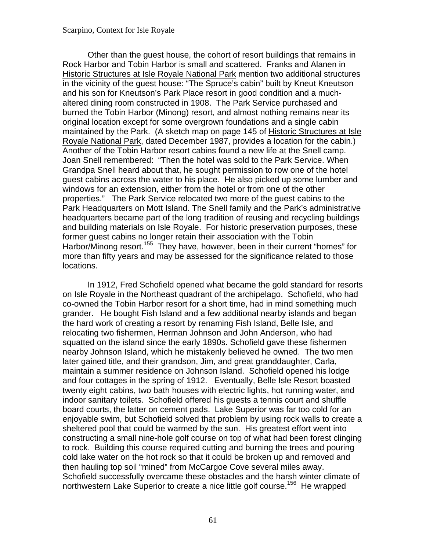Other than the guest house, the cohort of resort buildings that remains in Rock Harbor and Tobin Harbor is small and scattered. Franks and Alanen in Historic Structures at Isle Royale National Park mention two additional structures in the vicinity of the guest house: "The Spruce's cabin" built by Kneut Kneutson and his son for Kneutson's Park Place resort in good condition and a muchaltered dining room constructed in 1908. The Park Service purchased and burned the Tobin Harbor (Minong) resort, and almost nothing remains near its original location except for some overgrown foundations and a single cabin maintained by the Park. (A sketch map on page 145 of Historic Structures at Isle Royale National Park, dated December 1987, provides a location for the cabin.) Another of the Tobin Harbor resort cabins found a new life at the Snell camp. Joan Snell remembered: "Then the hotel was sold to the Park Service. When Grandpa Snell heard about that, he sought permission to row one of the hotel guest cabins across the water to his place. He also picked up some lumber and windows for an extension, either from the hotel or from one of the other properties." The Park Service relocated two more of the guest cabins to the Park Headquarters on Mott Island. The Snell family and the Park's administrative headquarters became part of the long tradition of reusing and recycling buildings and building materials on Isle Royale. For historic preservation purposes, these former guest cabins no longer retain their association with the Tobin Harbor/Minong resort.<sup>[155](#page-109-0)</sup> They have, however, been in their current "homes" for more than fifty years and may be assessed for the significance related to those locations.

In 1912, Fred Schofield opened what became the gold standard for resorts on Isle Royale in the Northeast quadrant of the archipelago. Schofield, who had co-owned the Tobin Harbor resort for a short time, had in mind something much grander. He bought Fish Island and a few additional nearby islands and began the hard work of creating a resort by renaming Fish Island, Belle Isle, and relocating two fishermen, Herman Johnson and John Anderson, who had squatted on the island since the early 1890s. Schofield gave these fishermen nearby Johnson Island, which he mistakenly believed he owned. The two men later gained title, and their grandson, Jim, and great granddaughter, Carla, maintain a summer residence on Johnson Island. Schofield opened his lodge and four cottages in the spring of 1912. Eventually, Belle Isle Resort boasted twenty eight cabins, two bath houses with electric lights, hot running water, and indoor sanitary toilets. Schofield offered his guests a tennis court and shuffle board courts, the latter on cement pads. Lake Superior was far too cold for an enjoyable swim, but Schofield solved that problem by using rock walls to create a sheltered pool that could be warmed by the sun. His greatest effort went into constructing a small nine-hole golf course on top of what had been forest clinging to rock. Building this course required cutting and burning the trees and pouring cold lake water on the hot rock so that it could be broken up and removed and then hauling top soil "mined" from McCargoe Cove several miles away. Schofield successfully overcame these obstacles and the harsh winter climate of northwestern Lake Superior to create a nice little golf course.<sup>[156](#page-109-0)</sup> He wrapped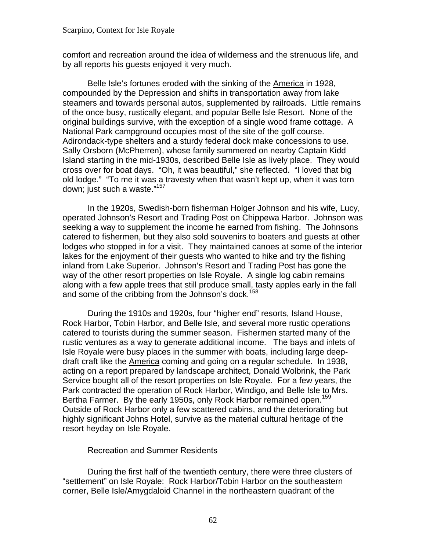comfort and recreation around the idea of wilderness and the strenuous life, and by all reports his guests enjoyed it very much.

Belle Isle's fortunes eroded with the sinking of the America in 1928, compounded by the Depression and shifts in transportation away from lake steamers and towards personal autos, supplemented by railroads. Little remains of the once busy, rustically elegant, and popular Belle Isle Resort. None of the original buildings survive, with the exception of a single wood frame cottage. A National Park campground occupies most of the site of the golf course. Adirondack-type shelters and a sturdy federal dock make concessions to use. Sally Orsborn (McPherren), whose family summered on nearby Captain Kidd Island starting in the mid-1930s, described Belle Isle as lively place. They would cross over for boat days. "Oh, it was beautiful," she reflected. "I loved that big old lodge." "To me it was a travesty when that wasn't kept up, when it was torn down; just such a waste."<sup>[157](#page-109-0)</sup>

In the 1920s, Swedish-born fisherman Holger Johnson and his wife, Lucy, operated Johnson's Resort and Trading Post on Chippewa Harbor. Johnson was seeking a way to supplement the income he earned from fishing. The Johnsons catered to fishermen, but they also sold souvenirs to boaters and guests at other lodges who stopped in for a visit. They maintained canoes at some of the interior lakes for the enjoyment of their guests who wanted to hike and try the fishing inland from Lake Superior. Johnson's Resort and Trading Post has gone the way of the other resort properties on Isle Royale. A single log cabin remains along with a few apple trees that still produce small, tasty apples early in the fall and some of the cribbing from the Johnson's dock.<sup>158</sup>

Bertha Farmer. By the early 1950s, only Rock Harbor remained open.<sup>[159](#page-109-0)</sup> During the 1910s and 1920s, four "higher end" resorts, Island House, Rock Harbor, Tobin Harbor, and Belle Isle, and several more rustic operations catered to tourists during the summer season. Fishermen started many of the rustic ventures as a way to generate additional income. The bays and inlets of Isle Royale were busy places in the summer with boats, including large deepdraft craft like the America coming and going on a regular schedule. In 1938, acting on a report prepared by landscape architect, Donald Wolbrink, the Park Service bought all of the resort properties on Isle Royale. For a few years, the Park contracted the operation of Rock Harbor, Windigo, and Belle Isle to Mrs. Outside of Rock Harbor only a few scattered cabins, and the deteriorating but highly significant Johns Hotel, survive as the material cultural heritage of the resort heyday on Isle Royale.

### Recreation and Summer Residents

During the first half of the twentieth century, there were three clusters of "settlement" on Isle Royale: Rock Harbor/Tobin Harbor on the southeastern corner, Belle Isle/Amygdaloid Channel in the northeastern quadrant of the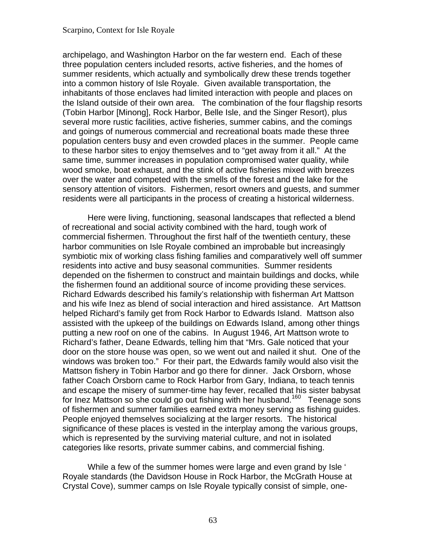archipelago, and Washington Harbor on the far western end. Each of these three population centers included resorts, active fisheries, and the homes of summer residents, which actually and symbolically drew these trends together into a common history of Isle Royale. Given available transportation, the inhabitants of those enclaves had limited interaction with people and places on the Island outside of their own area. The combination of the four flagship resorts (Tobin Harbor [Minong], Rock Harbor, Belle Isle, and the Singer Resort), plus several more rustic facilities, active fisheries, summer cabins, and the comings and goings of numerous commercial and recreational boats made these three population centers busy and even crowded places in the summer. People came to these harbor sites to enjoy themselves and to "get away from it all." At the same time, summer increases in population compromised water quality, while wood smoke, boat exhaust, and the stink of active fisheries mixed with breezes over the water and competed with the smells of the forest and the lake for the sensory attention of visitors. Fishermen, resort owners and guests, and summer residents were all participants in the process of creating a historical wilderness.

Here were living, functioning, seasonal landscapes that reflected a blend of recreational and social activity combined with the hard, tough work of commercial fishermen. Throughout the first half of the twentieth century, these harbor communities on Isle Royale combined an improbable but increasingly symbiotic mix of working class fishing families and comparatively well off summer residents into active and busy seasonal communities. Summer residents depended on the fishermen to construct and maintain buildings and docks, while the fishermen found an additional source of income providing these services. Richard Edwards described his family's relationship with fisherman Art Mattson and his wife Inez as blend of social interaction and hired assistance. Art Mattson helped Richard's family get from Rock Harbor to Edwards Island. Mattson also assisted with the upkeep of the buildings on Edwards Island, among other things putting a new roof on one of the cabins. In August 1946, Art Mattson wrote to Richard's father, Deane Edwards, telling him that "Mrs. Gale noticed that your door on the store house was open, so we went out and nailed it shut. One of the windows was broken too." For their part, the Edwards family would also visit the Mattson fishery in Tobin Harbor and go there for dinner. Jack Orsborn, whose father Coach Orsborn came to Rock Harbor from Gary, Indiana, to teach tennis and escape the misery of summer-time hay fever, recalled that his sister babysat for Inez Mattson so she could go out fishing with her husband.<sup>[160](#page-110-0)</sup> Teenage sons of fishermen and summer families earned extra money serving as fishing guides. People enjoyed themselves socializing at the larger resorts. The historical significance of these places is vested in the interplay among the various groups, which is represented by the surviving material culture, and not in isolated categories like resorts, private summer cabins, and commercial fishing.

While a few of the summer homes were large and even grand by Isle ' Royale standards (the Davidson House in Rock Harbor, the McGrath House at Crystal Cove), summer camps on Isle Royale typically consist of simple, one-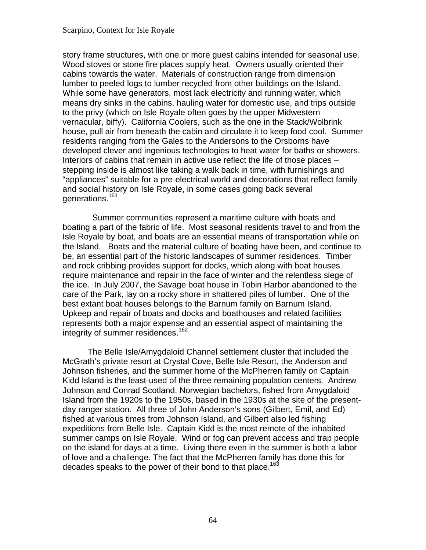story frame structures, with one or more guest cabins intended for seasonal use. Wood stoves or stone fire places supply heat. Owners usually oriented their cabins towards the water. Materials of construction range from dimension lumber to peeled logs to lumber recycled from other buildings on the Island. While some have generators, most lack electricity and running water, which means dry sinks in the cabins, hauling water for domestic use, and trips outside to the privy (which on Isle Royale often goes by the upper Midwestern vernacular, biffy). California Coolers, such as the one in the Stack/Wolbrink house, pull air from beneath the cabin and circulate it to keep food cool. Summer residents ranging from the Gales to the Andersons to the Orsborns have developed clever and ingenious technologies to heat water for baths or showers. Interiors of cabins that remain in active use reflect the life of those places – stepping inside is almost like taking a walk back in time, with furnishings and "appliances" suitable for a pre-electrical world and decorations that reflect family and social history on Isle Royale, in some cases going back several generations.[161](#page-110-0)

 Summer communities represent a maritime culture with boats and boating a part of the fabric of life. Most seasonal residents travel to and from the Isle Royale by boat, and boats are an essential means of transportation while on the Island. Boats and the material culture of boating have been, and continue to be, an essential part of the historic landscapes of summer residences. Timber and rock cribbing provides support for docks, which along with boat houses require maintenance and repair in the face of winter and the relentless siege of the ice. In July 2007, the Savage boat house in Tobin Harbor abandoned to the care of the Park, lay on a rocky shore in shattered piles of lumber. One of the best extant boat houses belongs to the Barnum family on Barnum Island. Upkeep and repair of boats and docks and boathouses and related facilities represents both a major expense and an essential aspect of maintaining the integrity of summer residences.<sup>[162](#page-110-0)</sup>

decades speaks to the power of their bond to that place.<sup>163</sup> The Belle Isle/Amygdaloid Channel settlement cluster that included the McGrath's private resort at Crystal Cove, Belle Isle Resort, the Anderson and Johnson fisheries, and the summer home of the McPherren family on Captain Kidd Island is the least-used of the three remaining population centers. Andrew Johnson and Conrad Scotland, Norwegian bachelors, fished from Amygdaloid Island from the 1920s to the 1950s, based in the 1930s at the site of the presentday ranger station. All three of John Anderson's sons (Gilbert, Emil, and Ed) fished at various times from Johnson Island, and Gilbert also led fishing expeditions from Belle Isle. Captain Kidd is the most remote of the inhabited summer camps on Isle Royale. Wind or fog can prevent access and trap people on the island for days at a time. Living there even in the summer is both a labor of love and a challenge. The fact that the McPherren family has done this for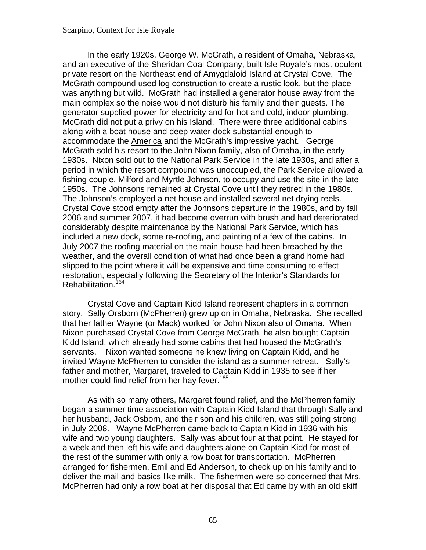In the early 1920s, George W. McGrath, a resident of Omaha, Nebraska, and an executive of the Sheridan Coal Company, built Isle Royale's most opulent private resort on the Northeast end of Amygdaloid Island at Crystal Cove. The McGrath compound used log construction to create a rustic look, but the place was anything but wild. McGrath had installed a generator house away from the main complex so the noise would not disturb his family and their guests. The generator supplied power for electricity and for hot and cold, indoor plumbing. McGrath did not put a privy on his Island. There were three additional cabins along with a boat house and deep water dock substantial enough to accommodate the America and the McGrath's impressive yacht. George McGrath sold his resort to the John Nixon family, also of Omaha, in the early 1930s. Nixon sold out to the National Park Service in the late 1930s, and after a period in which the resort compound was unoccupied, the Park Service allowed a fishing couple, Milford and Myrtle Johnson, to occupy and use the site in the late 1950s. The Johnsons remained at Crystal Cove until they retired in the 1980s. The Johnson's employed a net house and installed several net drying reels. Crystal Cove stood empty after the Johnsons departure in the 1980s, and by fall 2006 and summer 2007, it had become overrun with brush and had deteriorated considerably despite maintenance by the National Park Service, which has included a new dock, some re-roofing, and painting of a few of the cabins. In July 2007 the roofing material on the main house had been breached by the weather, and the overall condition of what had once been a grand home had slipped to the point where it will be expensive and time consuming to effect restoration, especially following the Secretary of the Interior's Standards for Rehabilitation.<sup>[164](#page-110-0)</sup>

Crystal Cove and Captain Kidd Island represent chapters in a common story. Sally Orsborn (McPherren) grew up on in Omaha, Nebraska. She recalled that her father Wayne (or Mack) worked for John Nixon also of Omaha. When Nixon purchased Crystal Cove from George McGrath, he also bought Captain Kidd Island, which already had some cabins that had housed the McGrath's servants. Nixon wanted someone he knew living on Captain Kidd, and he invited Wayne McPherren to consider the island as a summer retreat. Sally's father and mother, Margaret, traveled to Captain Kidd in 1935 to see if her mother could find relief from her hay fever.<sup>165</sup>

As with so many others, Margaret found relief, and the McPherren family began a summer time association with Captain Kidd Island that through Sally and her husband, Jack Osborn, and their son and his children, was still going strong in July 2008. Wayne McPherren came back to Captain Kidd in 1936 with his wife and two young daughters. Sally was about four at that point. He stayed for a week and then left his wife and daughters alone on Captain Kidd for most of the rest of the summer with only a row boat for transportation. McPherren arranged for fishermen, Emil and Ed Anderson, to check up on his family and to deliver the mail and basics like milk. The fishermen were so concerned that Mrs. McPherren had only a row boat at her disposal that Ed came by with an old skiff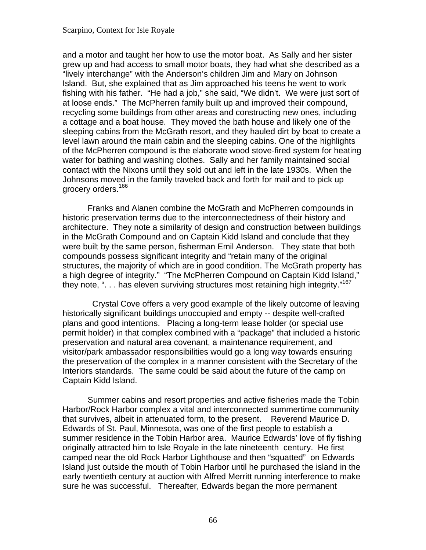and a motor and taught her how to use the motor boat. As Sally and her sister grew up and had access to small motor boats, they had what she described as a "lively interchange" with the Anderson's children Jim and Mary on Johnson Island. But, she explained that as Jim approached his teens he went to work fishing with his father. "He had a job," she said, "We didn't. We were just sort of at loose ends." The McPherren family built up and improved their compound, recycling some buildings from other areas and constructing new ones, including a cottage and a boat house. They moved the bath house and likely one of the sleeping cabins from the McGrath resort, and they hauled dirt by boat to create a level lawn around the main cabin and the sleeping cabins. One of the highlights of the McPherren compound is the elaborate wood stove-fired system for heating water for bathing and washing clothes. Sally and her family maintained social contact with the Nixons until they sold out and left in the late 1930s. When the Johnsons moved in the family traveled back and forth for mail and to pick up grocery orders.<sup>166</sup>

Franks and Alanen combine the McGrath and McPherren compounds in historic preservation terms due to the interconnectedness of their history and architecture. They note a similarity of design and construction between buildings in the McGrath Compound and on Captain Kidd Island and conclude that they were built by the same person, fisherman Emil Anderson. They state that both compounds possess significant integrity and "retain many of the original structures, the majority of which are in good condition. The McGrath property has a high degree of integrity." "The McPherren Compound on Captain Kidd Island," they note, "... has eleven surviving structures most retaining high integrity."<sup>[167](#page-110-0)</sup>

 Crystal Cove offers a very good example of the likely outcome of leaving historically significant buildings unoccupied and empty -- despite well-crafted plans and good intentions. Placing a long-term lease holder (or special use permit holder) in that complex combined with a "package" that included a historic preservation and natural area covenant, a maintenance requirement, and visitor/park ambassador responsibilities would go a long way towards ensuring the preservation of the complex in a manner consistent with the Secretary of the Interiors standards. The same could be said about the future of the camp on Captain Kidd Island.

Summer cabins and resort properties and active fisheries made the Tobin Harbor/Rock Harbor complex a vital and interconnected summertime community that survives, albeit in attenuated form, to the present. Reverend Maurice D. Edwards of St. Paul, Minnesota, was one of the first people to establish a summer residence in the Tobin Harbor area. Maurice Edwards' love of fly fishing originally attracted him to Isle Royale in the late nineteenth century. He first camped near the old Rock Harbor Lighthouse and then "squatted" on Edwards Island just outside the mouth of Tobin Harbor until he purchased the island in the early twentieth century at auction with Alfred Merritt running interference to make sure he was successful. Thereafter, Edwards began the more permanent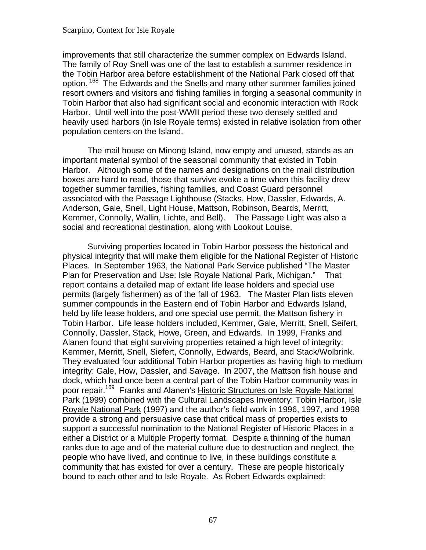improvements that still characterize the summer complex on Edwards Island. The family of Roy Snell was one of the last to establish a summer residence in the Tobin Harbor area before establishment of the National Park closed off that option. <sup>168</sup> The Edwards and the Snells and many other summer families joined resort owners and visitors and fishing families in forging a seasonal community in Tobin Harbor that also had significant social and economic interaction with Rock Harbor. Until well into the post-WWII period these two densely settled and heavily used harbors (in Isle Royale terms) existed in relative isolation from other population centers on the Island.

 Kemmer, Connolly, Wallin, Lichte, and Bell). The Passage Light was also a The mail house on Minong Island, now empty and unused, stands as an important material symbol of the seasonal community that existed in Tobin Harbor. Although some of the names and designations on the mail distribution boxes are hard to read, those that survive evoke a time when this facility drew together summer families, fishing families, and Coast Guard personnel associated with the Passage Lighthouse (Stacks, How, Dassler, Edwards, A. Anderson, Gale, Snell, Light House, Mattson, Robinson, Beards, Merritt, social and recreational destination, along with Lookout Louise.

 Plan for Preservation and Use: Isle Royale National Park, Michigan." That Surviving properties located in Tobin Harbor possess the historical and physical integrity that will make them eligible for the National Register of Historic Places. In September 1963, the National Park Service published "The Master report contains a detailed map of extant life lease holders and special use permits (largely fishermen) as of the fall of 1963. The Master Plan lists eleven summer compounds in the Eastern end of Tobin Harbor and Edwards Island, held by life lease holders, and one special use permit, the Mattson fishery in Tobin Harbor. Life lease holders included, Kemmer, Gale, Merritt, Snell, Seifert, Connolly, Dassler, Stack, Howe, Green, and Edwards. In 1999, Franks and Alanen found that eight surviving properties retained a high level of integrity: Kemmer, Merritt, Snell, Siefert, Connolly, Edwards, Beard, and Stack/Wolbrink. They evaluated four additional Tobin Harbor properties as having high to medium integrity: Gale, How, Dassler, and Savage. In 2007, the Mattson fish house and dock, which had once been a central part of the Tobin Harbor community was in poor repair[.169](#page-110-0) Franks and Alanen's Historic Structures on Isle Royale National Park (1999) combined with the Cultural Landscapes Inventory: Tobin Harbor, Isle Royale National Park (1997) and the author's field work in 1996, 1997, and 1998 provide a strong and persuasive case that critical mass of properties exists to support a successful nomination to the National Register of Historic Places in a either a District or a Multiple Property format. Despite a thinning of the human ranks due to age and of the material culture due to destruction and neglect, the people who have lived, and continue to live, in these buildings constitute a community that has existed for over a century. These are people historically bound to each other and to Isle Royale. As Robert Edwards explained: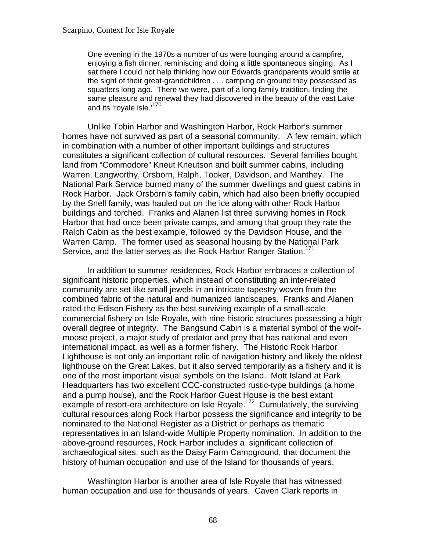One evening in the 1970s a number of us were lounging around a campfire, enjoying a fish dinner, reminiscing and doing a little spontaneous singing. As I sat there I could not help thinking how our Edwards grandparents would smile at the sight of their great-grandchildren . . . camping on ground they possessed as squatters long ago. There we were, part of a long family tradition, finding the same pleasure and renewal they had discovered in the beauty of the vast Lake and its 'royale isle.'<sup>[170](#page-110-0)</sup>

Unlike Tobin Harbor and Washington Harbor, Rock Harbor's summer homes have not survived as part of a seasonal community. A few remain, which in combination with a number of other important buildings and structures constitutes a significant collection of cultural resources. Several families bought land from "Commodore" Kneut Kneutson and built summer cabins, including Warren, Langworthy, Orsborn, Ralph, Tooker, Davidson, and Manthey. The National Park Service burned many of the summer dwellings and guest cabins in Rock Harbor. Jack Orsborn's family cabin, which had also been briefly occupied by the Snell family, was hauled out on the ice along with other Rock Harbor buildings and torched. Franks and Alanen list three surviving homes in Rock Harbor that had once been private camps, and among that group they rate the Ralph Cabin as the best example, followed by the Davidson House, and the Warren Camp. The former used as seasonal housing by the National Park Service, and the latter serves as the Rock Harbor Ranger Station.<sup>[171](#page-110-0)</sup>

In addition to summer residences, Rock Harbor embraces a collection of significant historic properties, which instead of constituting an inter-related community are set like small jewels in an intricate tapestry woven from the combined fabric of the natural and humanized landscapes. Franks and Alanen rated the Edisen Fishery as the best surviving example of a small-scale commercial fishery on Isle Royale, with nine historic structures possessing a high overall degree of integrity. The Bangsund Cabin is a material symbol of the wolfmoose project, a major study of predator and prey that has national and even international impact, as well as a former fishery. The Historic Rock Harbor Lighthouse is not only an important relic of navigation history and likely the oldest lighthouse on the Great Lakes, but it also served temporarily as a fishery and it is one of the most important visual symbols on the Island. Mott Island at Park Headquarters has two excellent CCC-constructed rustic-type buildings (a home and a pump house), and the Rock Harbor Guest House is the best extant example of resort-era architecture on Isle Royale.<sup>[172](#page-111-0)</sup> Cumulatively, the surviving cultural resources along Rock Harbor possess the significance and integrity to be nominated to the National Register as a District or perhaps as thematic representatives in an Island-wide Multiple Property nomination. In addition to the above-ground resources, Rock Harbor includes a significant collection of archaeological sites, such as the Daisy Farm Campground, that document the history of human occupation and use of the Island for thousands of years.

Washington Harbor is another area of Isle Royale that has witnessed human occupation and use for thousands of years. Caven Clark reports in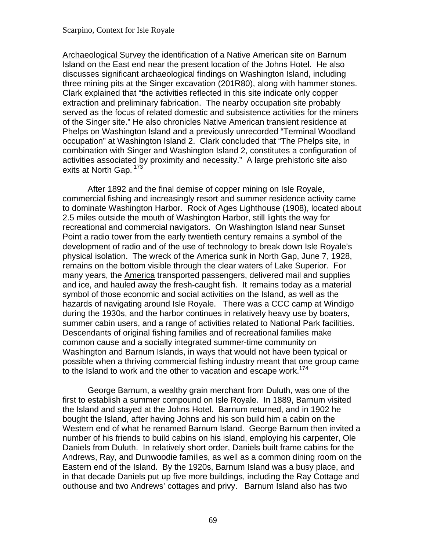Archaeological Survey the identification of a Native American site on Barnum Island on the East end near the present location of the Johns Hotel. He also discusses significant archaeological findings on Washington Island, including three mining pits at the Singer excavation (201R80), along with hammer stones. Clark explained that "the activities reflected in this site indicate only copper extraction and preliminary fabrication. The nearby occupation site probably served as the focus of related domestic and subsistence activities for the miners of the Singer site." He also chronicles Native American transient residence at Phelps on Washington Island and a previously unrecorded "Terminal Woodland occupation" at Washington Island 2. Clark concluded that "The Phelps site, in combination with Singer and Washington Island 2, constitutes a configuration of activities associated by proximity and necessity." A large prehistoric site also exits at North Gap. <sup>173</sup>

After 1892 and the final demise of copper mining on Isle Royale, commercial fishing and increasingly resort and summer residence activity came to dominate Washington Harbor. Rock of Ages Lighthouse (1908), located about 2.5 miles outside the mouth of Washington Harbor, still lights the way for recreational and commercial navigators. On Washington Island near Sunset Point a radio tower from the early twentieth century remains a symbol of the development of radio and of the use of technology to break down Isle Royale's physical isolation. The wreck of the America sunk in North Gap, June 7, 1928, remains on the bottom visible through the clear waters of Lake Superior. For many years, the America transported passengers, delivered mail and supplies and ice, and hauled away the fresh-caught fish. It remains today as a material symbol of those economic and social activities on the Island, as well as the hazards of navigating around Isle Royale. There was a CCC camp at Windigo during the 1930s, and the harbor continues in relatively heavy use by boaters, summer cabin users, and a range of activities related to National Park facilities. Descendants of original fishing families and of recreational families make common cause and a socially integrated summer-time community on Washington and Barnum Islands, in ways that would not have been typical or possible when a thriving commercial fishing industry meant that one group came to the Island to work and the other to vacation and escape work.<sup>174</sup>

George Barnum, a wealthy grain merchant from Duluth, was one of the first to establish a summer compound on Isle Royale. In 1889, Barnum visited the Island and stayed at the Johns Hotel. Barnum returned, and in 1902 he bought the Island, after having Johns and his son build him a cabin on the Western end of what he renamed Barnum Island. George Barnum then invited a number of his friends to build cabins on his island, employing his carpenter, Ole Daniels from Duluth. In relatively short order, Daniels built frame cabins for the Andrews, Ray, and Dunwoodie families, as well as a common dining room on the Eastern end of the Island. By the 1920s, Barnum Island was a busy place, and in that decade Daniels put up five more buildings, including the Ray Cottage and outhouse and two Andrews' cottages and privy. Barnum Island also has two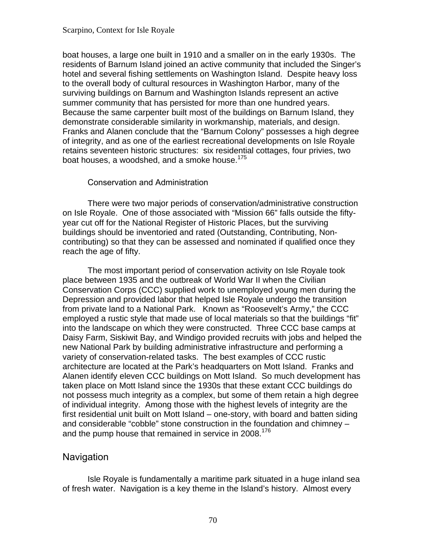boat houses, a large one built in 1910 and a smaller on in the early 1930s. The residents of Barnum Island joined an active community that included the Singer's hotel and several fishing settlements on Washington Island. Despite heavy loss to the overall body of cultural resources in Washington Harbor, many of the surviving buildings on Barnum and Washington Islands represent an active summer community that has persisted for more than one hundred years. Because the same carpenter built most of the buildings on Barnum Island, they demonstrate considerable similarity in workmanship, materials, and design. Franks and Alanen conclude that the "Barnum Colony" possesses a high degree of integrity, and as one of the earliest recreational developments on Isle Royale retains seventeen historic structures: six residential cottages, four privies, two boat houses, a woodshed, and a smoke house.<sup>175</sup>

### Conservation and Administration

There were two major periods of conservation/administrative construction on Isle Royale. One of those associated with "Mission 66" falls outside the fiftyyear cut off for the National Register of Historic Places, but the surviving buildings should be inventoried and rated (Outstanding, Contributing, Noncontributing) so that they can be assessed and nominated if qualified once they reach the age of fifty.

The most important period of conservation activity on Isle Royale took place between 1935 and the outbreak of World War II when the Civilian Conservation Corps (CCC) supplied work to unemployed young men during the Depression and provided labor that helped Isle Royale undergo the transition from private land to a National Park. Known as "Roosevelt's Army," the CCC employed a rustic style that made use of local materials so that the buildings "fit" into the landscape on which they were constructed. Three CCC base camps at Daisy Farm, Siskiwit Bay, and Windigo provided recruits with jobs and helped the new National Park by building administrative infrastructure and performing a variety of conservation-related tasks. The best examples of CCC rustic architecture are located at the Park's headquarters on Mott Island. Franks and Alanen identify eleven CCC buildings on Mott Island. So much development has taken place on Mott Island since the 1930s that these extant CCC buildings do not possess much integrity as a complex, but some of them retain a high degree of individual integrity. Among those with the highest levels of integrity are the first residential unit built on Mott Island – one-story, with board and batten siding and considerable "cobble" stone construction in the foundation and chimney – and the pump house that remained in service in 2008.<sup>[176](#page-111-0)</sup>

## Navigation

Isle Royale is fundamentally a maritime park situated in a huge inland sea of fresh water. Navigation is a key theme in the Island's history. Almost every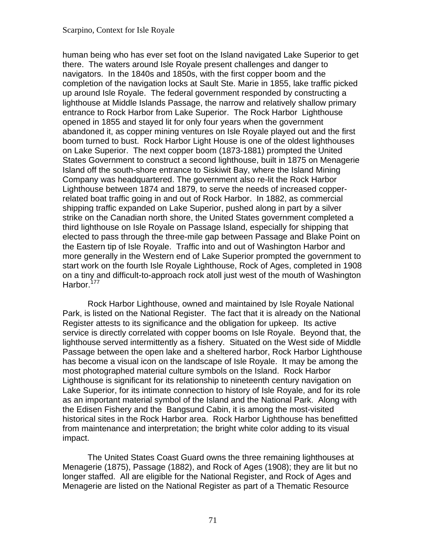human being who has ever set foot on the Island navigated Lake Superior to get there. The waters around Isle Royale present challenges and danger to navigators. In the 1840s and 1850s, with the first copper boom and the completion of the navigation locks at Sault Ste. Marie in 1855, lake traffic picked up around Isle Royale. The federal government responded by constructing a lighthouse at Middle Islands Passage, the narrow and relatively shallow primary entrance to Rock Harbor from Lake Superior. The Rock Harbor Lighthouse opened in 1855 and stayed lit for only four years when the government abandoned it, as copper mining ventures on Isle Royale played out and the first boom turned to bust. Rock Harbor Light House is one of the oldest lighthouses on Lake Superior. The next copper boom (1873-1881) prompted the United States Government to construct a second lighthouse, built in 1875 on Menagerie Island off the south-shore entrance to Siskiwit Bay, where the Island Mining Company was headquartered. The government also re-lit the Rock Harbor Lighthouse between 1874 and 1879, to serve the needs of increased copperrelated boat traffic going in and out of Rock Harbor. In 1882, as commercial shipping traffic expanded on Lake Superior, pushed along in part by a silver strike on the Canadian north shore, the United States government completed a third lighthouse on Isle Royale on Passage Island, especially for shipping that elected to pass through the three-mile gap between Passage and Blake Point on the Eastern tip of Isle Royale. Traffic into and out of Washington Harbor and more generally in the Western end of Lake Superior prompted the government to start work on the fourth Isle Royale Lighthouse, Rock of Ages, completed in 1908 on a tiny and difficult-to-approach rock atoll just west of the mouth of Washington Harbor.<sup>[177](#page-111-0)</sup>

Rock Harbor Lighthouse, owned and maintained by Isle Royale National Park, is listed on the National Register. The fact that it is already on the National Register attests to its significance and the obligation for upkeep. Its active service is directly correlated with copper booms on Isle Royale. Beyond that, the lighthouse served intermittently as a fishery. Situated on the West side of Middle Passage between the open lake and a sheltered harbor, Rock Harbor Lighthouse has become a visual icon on the landscape of Isle Royale. It may be among the most photographed material culture symbols on the Island. Rock Harbor Lighthouse is significant for its relationship to nineteenth century navigation on Lake Superior, for its intimate connection to history of Isle Royale, and for its role as an important material symbol of the Island and the National Park. Along with the Edisen Fishery and the Bangsund Cabin, it is among the most-visited historical sites in the Rock Harbor area. Rock Harbor Lighthouse has benefitted from maintenance and interpretation; the bright white color adding to its visual impact.

The United States Coast Guard owns the three remaining lighthouses at Menagerie (1875), Passage (1882), and Rock of Ages (1908); they are lit but no longer staffed. All are eligible for the National Register, and Rock of Ages and Menagerie are listed on the National Register as part of a Thematic Resource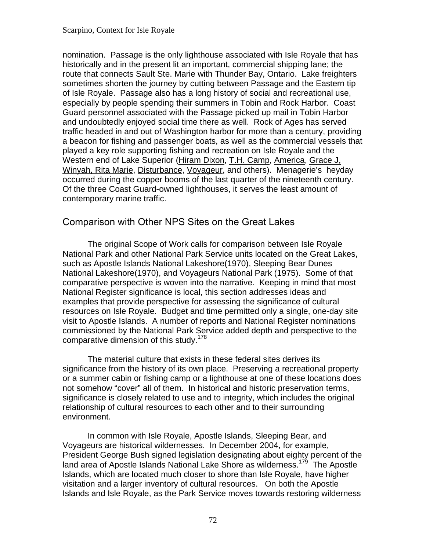nomination. Passage is the only lighthouse associated with Isle Royale that has historically and in the present lit an important, commercial shipping lane; the route that connects Sault Ste. Marie with Thunder Bay, Ontario. Lake freighters sometimes shorten the journey by cutting between Passage and the Eastern tip of Isle Royale. Passage also has a long history of social and recreational use, especially by people spending their summers in Tobin and Rock Harbor. Coast Guard personnel associated with the Passage picked up mail in Tobin Harbor and undoubtedly enjoyed social time there as well. Rock of Ages has served traffic headed in and out of Washington harbor for more than a century, providing a beacon for fishing and passenger boats, as well as the commercial vessels that played a key role supporting fishing and recreation on Isle Royale and the Western end of Lake Superior (Hiram Dixon, T.H. Camp, America, Grace J. Winyah, Rita Marie, Disturbance, Voyageur, and others). Menagerie's heyday occurred during the copper booms of the last quarter of the nineteenth century. Of the three Coast Guard-owned lighthouses, it serves the least amount of contemporary marine traffic.

### Comparison with Other NPS Sites on the Great Lakes

The original Scope of Work calls for comparison between Isle Royale National Park and other National Park Service units located on the Great Lakes, such as Apostle Islands National Lakeshore(1970), Sleeping Bear Dunes National Lakeshore(1970), and Voyageurs National Park (1975). Some of that comparative perspective is woven into the narrative. Keeping in mind that most National Register significance is local, this section addresses ideas and examples that provide perspective for assessing the significance of cultural resources on Isle Royale. Budget and time permitted only a single, one-day site visit to Apostle Islands. A number of reports and National Register nominations commissioned by the National Park Service added depth and perspective to the comparative dimension of this study.<sup>[178](#page-111-0)</sup>

The material culture that exists in these federal sites derives its significance from the history of its own place. Preserving a recreational property or a summer cabin or fishing camp or a lighthouse at one of these locations does not somehow "cover" all of them. In historical and historic preservation terms, significance is closely related to use and to integrity, which includes the original relationship of cultural resources to each other and to their surrounding environment.

In common with Isle Royale, Apostle Islands, Sleeping Bear, and Voyageurs are historical wildernesses. In December 2004, for example, President George Bush signed legislation designating about eighty percent of the land area of Apostle Islands National Lake Shore as wilderness.<sup>[179](#page-112-0)</sup> The Apostle Islands, which are located much closer to shore than Isle Royale, have higher visitation and a larger inventory of cultural resources. On both the Apostle Islands and Isle Royale, as the Park Service moves towards restoring wilderness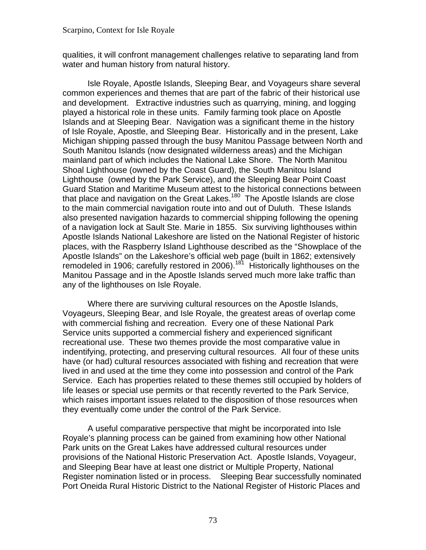qualities, it will confront management challenges relative to separating land from water and human history from natural history.

Isle Royale, Apostle Islands, Sleeping Bear, and Voyageurs share several common experiences and themes that are part of the fabric of their historical use and development. Extractive industries such as quarrying, mining, and logging played a historical role in these units. Family farming took place on Apostle Islands and at Sleeping Bear. Navigation was a significant theme in the history of Isle Royale, Apostle, and Sleeping Bear. Historically and in the present, Lake Michigan shipping passed through the busy Manitou Passage between North and South Manitou Islands (now designated wilderness areas) and the Michigan mainland part of which includes the National Lake Shore. The North Manitou Shoal Lighthouse (owned by the Coast Guard), the South Manitou Island Lighthouse (owned by the Park Service), and the Sleeping Bear Point Coast Guard Station and Maritime Museum attest to the historical connections between that place and navigation on the Great Lakes.<sup>[180](#page-112-0)</sup> The Apostle Islands are close to the main commercial navigation route into and out of Duluth. These Islands also presented navigation hazards to commercial shipping following the opening of a navigation lock at Sault Ste. Marie in 1855. Six surviving lighthouses within Apostle Islands National Lakeshore are listed on the National Register of historic places, with the Raspberry Island Lighthouse described as the "Showplace of the Apostle Islands" on the Lakeshore's official web page (built in 1862; extensively remodeled in 1906; carefully restored in 2006).<sup>181</sup> Historically lighthouses on the Manitou Passage and in the Apostle Islands served much more lake traffic than any of the lighthouses on Isle Royale.

Where there are surviving cultural resources on the Apostle Islands, Voyageurs, Sleeping Bear, and Isle Royale, the greatest areas of overlap come with commercial fishing and recreation. Every one of these National Park Service units supported a commercial fishery and experienced significant recreational use. These two themes provide the most comparative value in indentifying, protecting, and preserving cultural resources. All four of these units have (or had) cultural resources associated with fishing and recreation that were lived in and used at the time they come into possession and control of the Park Service. Each has properties related to these themes still occupied by holders of life leases or special use permits or that recently reverted to the Park Service, which raises important issues related to the disposition of those resources when they eventually come under the control of the Park Service.

A useful comparative perspective that might be incorporated into Isle Royale's planning process can be gained from examining how other National Park units on the Great Lakes have addressed cultural resources under provisions of the National Historic Preservation Act. Apostle Islands, Voyageur, and Sleeping Bear have at least one district or Multiple Property, National Register nomination listed or in process. Sleeping Bear successfully nominated Port Oneida Rural Historic District to the National Register of Historic Places and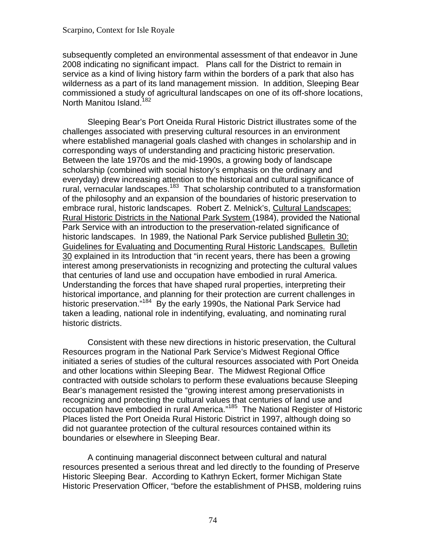subsequently completed an environmental assessment of that endeavor in June 2008 indicating no significant impact. Plans call for the District to remain in service as a kind of living history farm within the borders of a park that also has wilderness as a part of its land management mission. In addition, Sleeping Bear commissioned a study of agricultural landscapes on one of its off-shore locations, North Manitou Island.<sup>[182](#page-112-0)</sup>

Sleeping Bear's Port Oneida Rural Historic District illustrates some of the challenges associated with preserving cultural resources in an environment where established managerial goals clashed with changes in scholarship and in corresponding ways of understanding and practicing historic preservation. Between the late 1970s and the mid-1990s, a growing body of landscape scholarship (combined with social history's emphasis on the ordinary and everyday) drew increasing attention to the historical and cultural significance of rural, vernacular landscapes.<sup>[183](#page-112-0)</sup> That scholarship contributed to a transformation of the philosophy and an expansion of the boundaries of historic preservation to embrace rural, historic landscapes. Robert Z. Melnick's, Cultural Landscapes: Rural Historic Districts in the National Park System (1984), provided the National Park Service with an introduction to the preservation-related significance of historic landscapes. In 1989, the National Park Service published Bulletin 30: Guidelines for Evaluating and Documenting Rural Historic Landscapes. Bulletin 30 explained in its Introduction that "in recent years, there has been a growing interest among preservationists in recognizing and protecting the cultural values that centuries of land use and occupation have embodied in rural America. Understanding the forces that have shaped rural properties, interpreting their historical importance, and planning for their protection are current challenges in historic preservation."<sup>[184](#page-113-0)</sup> By the early 1990s, the National Park Service had taken a leading, national role in indentifying, evaluating, and nominating rural historic districts.

Consistent with these new directions in historic preservation, the Cultural Resources program in the National Park Service's Midwest Regional Office initiated a series of studies of the cultural resources associated with Port Oneida and other locations within Sleeping Bear. The Midwest Regional Office contracted with outside scholars to perform these evaluations because Sleeping Bear's management resisted the "growing interest among preservationists in recognizing and protecting the cultural values that centuries of land use and occupation have embodied in rural America."[185](#page-113-0) The National Register of Historic Places listed the Port Oneida Rural Historic District in 1997, although doing so did not guarantee protection of the cultural resources contained within its boundaries or elsewhere in Sleeping Bear.

A continuing managerial disconnect between cultural and natural resources presented a serious threat and led directly to the founding of Preserve Historic Sleeping Bear. According to Kathryn Eckert, former Michigan State Historic Preservation Officer, "before the establishment of PHSB, moldering ruins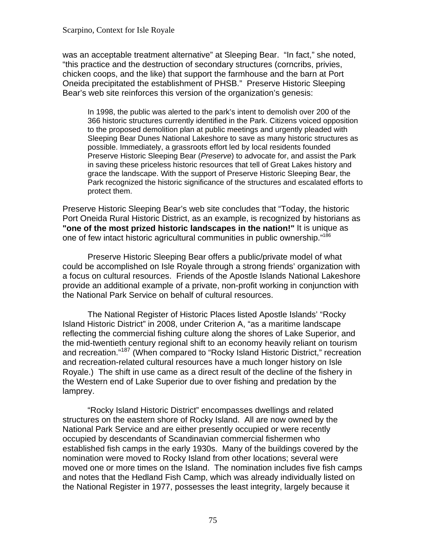#### Scarpino, Context for Isle Royale

was an acceptable treatment alternative" at Sleeping Bear. "In fact," she noted, "this practice and the destruction of secondary structures (corncribs, privies, chicken coops, and the like) that support the farmhouse and the barn at Port Oneida precipitated the establishment of PHSB." Preserve Historic Sleeping Bear's web site reinforces this version of the organization's genesis:

In 1998, the public was alerted to the park's intent to demolish over 200 of the 366 historic structures currently identified in the Park. Citizens voiced opposition to the proposed demolition plan at public meetings and urgently pleaded with Sleeping Bear Dunes National Lakeshore to save as many historic structures as possible. Immediately, a grassroots effort led by local residents founded Preserve Historic Sleeping Bear (*Preserve*) to advocate for, and assist the Park in saving these priceless historic resources that tell of Great Lakes history and grace the landscape. With the support of Preserve Historic Sleeping Bear, the Park recognized the historic significance of the structures and escalated efforts to protect them.

Preserve Historic Sleeping Bear's web site concludes that "Today, the historic Port Oneida Rural Historic District, as an example, is recognized by historians as **"one of the most prized historic landscapes in the nation!"** It is unique as one of few intact historic agricultural communities in public ownership.["186](#page-113-0) 

Preserve Historic Sleeping Bear offers a public/private model of what could be accomplished on Isle Royale through a strong friends' organization with a focus on cultural resources. Friends of the Apostle Islands National Lakeshore provide an additional example of a private, non-profit working in conjunction with the National Park Service on behalf of cultural resources.

The National Register of Historic Places listed Apostle Islands' "Rocky Island Historic District" in 2008, under Criterion A, "as a maritime landscape reflecting the commercial fishing culture along the shores of Lake Superior, and the mid-twentieth century regional shift to an economy heavily reliant on tourism and recreation."[187](#page-113-0) (When compared to "Rocky Island Historic District," recreation and recreation-related cultural resources have a much longer history on Isle Royale.) The shift in use came as a direct result of the decline of the fishery in the Western end of Lake Superior due to over fishing and predation by the lamprey.

"Rocky Island Historic District" encompasses dwellings and related structures on the eastern shore of Rocky Island. All are now owned by the National Park Service and are either presently occupied or were recently occupied by descendants of Scandinavian commercial fishermen who established fish camps in the early 1930s. Many of the buildings covered by the nomination were moved to Rocky Island from other locations; several were moved one or more times on the Island. The nomination includes five fish camps and notes that the Hedland Fish Camp, which was already individually listed on the National Register in 1977, possesses the least integrity, largely because it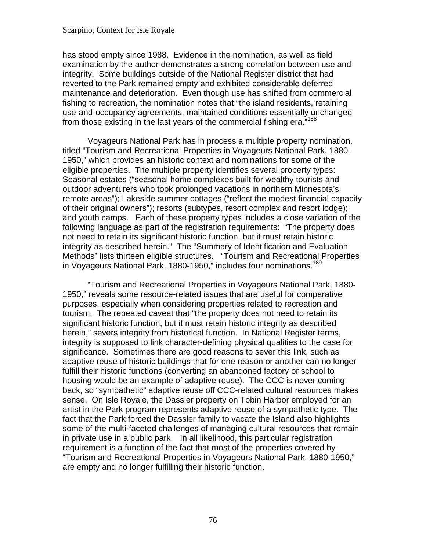from those existing in the last years of the commercial fishing era."<sup>[188](#page-113-0)</sup> has stood empty since 1988. Evidence in the nomination, as well as field examination by the author demonstrates a strong correlation between use and integrity. Some buildings outside of the National Register district that had reverted to the Park remained empty and exhibited considerable deferred maintenance and deterioration. Even though use has shifted from commercial fishing to recreation, the nomination notes that "the island residents, retaining use-and-occupancy agreements, maintained conditions essentially unchanged

Voyageurs National Park has in process a multiple property nomination, titled "Tourism and Recreational Properties in Voyageurs National Park, 1880 1950," which provides an historic context and nominations for some of the eligible properties. The multiple property identifies several property types: Seasonal estates ("seasonal home complexes built for wealthy tourists and outdoor adventurers who took prolonged vacations in northern Minnesota's remote areas"); Lakeside summer cottages ("reflect the modest financial capacity of their original owners"); resorts (subtypes, resort complex and resort lodge); and youth camps. Each of these property types includes a close variation of the following language as part of the registration requirements: "The property does not need to retain its significant historic function, but it must retain historic integrity as described herein." The "Summary of Identification and Evaluation Methods" lists thirteen eligible structures. "Tourism and Recreational Properties in Voyageurs National Park, 1880-1950," includes four nominations.<sup>189</sup>

"Tourism and Recreational Properties in Voyageurs National Park, 1880 1950," reveals some resource-related issues that are useful for comparative purposes, especially when considering properties related to recreation and tourism. The repeated caveat that "the property does not need to retain its significant historic function, but it must retain historic integrity as described herein," severs integrity from historical function. In National Register terms, integrity is supposed to link character-defining physical qualities to the case for significance. Sometimes there are good reasons to sever this link, such as adaptive reuse of historic buildings that for one reason or another can no longer fulfill their historic functions (converting an abandoned factory or school to housing would be an example of adaptive reuse). The CCC is never coming back, so "sympathetic" adaptive reuse off CCC-related cultural resources makes sense. On Isle Royale, the Dassler property on Tobin Harbor employed for an artist in the Park program represents adaptive reuse of a sympathetic type. The fact that the Park forced the Dassler family to vacate the Island also highlights some of the multi-faceted challenges of managing cultural resources that remain in private use in a public park. In all likelihood, this particular registration requirement is a function of the fact that most of the properties covered by "Tourism and Recreational Properties in Voyageurs National Park, 1880-1950," are empty and no longer fulfilling their historic function.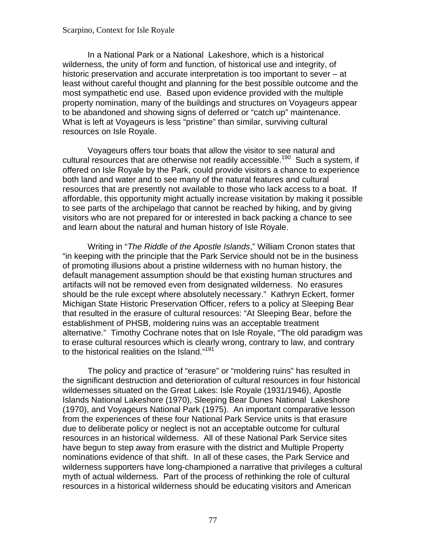#### Scarpino, Context for Isle Royale

In a National Park or a National Lakeshore, which is a historical wilderness, the unity of form and function, of historical use and integrity, of historic preservation and accurate interpretation is too important to sever – at least without careful thought and planning for the best possible outcome and the most sympathetic end use. Based upon evidence provided with the multiple property nomination, many of the buildings and structures on Voyageurs appear to be abandoned and showing signs of deferred or "catch up" maintenance. What is left at Voyageurs is less "pristine" than similar, surviving cultural resources on Isle Royale.

Voyageurs offers tour boats that allow the visitor to see natural and cultural resources that are otherwise not readily accessible.<sup>[190](#page-113-0)</sup> Such a system, if offered on Isle Royale by the Park, could provide visitors a chance to experience both land and water and to see many of the natural features and cultural resources that are presently not available to those who lack access to a boat. If affordable, this opportunity might actually increase visitation by making it possible to see parts of the archipelago that cannot be reached by hiking, and by giving visitors who are not prepared for or interested in back packing a chance to see and learn about the natural and human history of Isle Royale.

Writing in "*The Riddle of the Apostle Islands*," William Cronon states that "in keeping with the principle that the Park Service should not be in the business of promoting illusions about a pristine wilderness with no human history, the default management assumption should be that existing human structures and artifacts will not be removed even from designated wilderness. No erasures should be the rule except where absolutely necessary." Kathryn Eckert, former Michigan State Historic Preservation Officer, refers to a policy at Sleeping Bear that resulted in the erasure of cultural resources: "At Sleeping Bear, before the establishment of PHSB, moldering ruins was an acceptable treatment alternative." Timothy Cochrane notes that on Isle Royale, "The old paradigm was to erase cultural resources which is clearly wrong, contrary to law, and contrary to the historical realities on the Island."[191](#page-113-0)

The policy and practice of "erasure" or "moldering ruins" has resulted in the significant destruction and deterioration of cultural resources in four historical wildernesses situated on the Great Lakes: Isle Royale (1931/1946), Apostle Islands National Lakeshore (1970), Sleeping Bear Dunes National Lakeshore (1970), and Voyageurs National Park (1975). An important comparative lesson from the experiences of these four National Park Service units is that erasure due to deliberate policy or neglect is not an acceptable outcome for cultural resources in an historical wilderness. All of these National Park Service sites have begun to step away from erasure with the district and Multiple Property nominations evidence of that shift. In all of these cases, the Park Service and wilderness supporters have long-championed a narrative that privileges a cultural myth of actual wilderness. Part of the process of rethinking the role of cultural resources in a historical wilderness should be educating visitors and American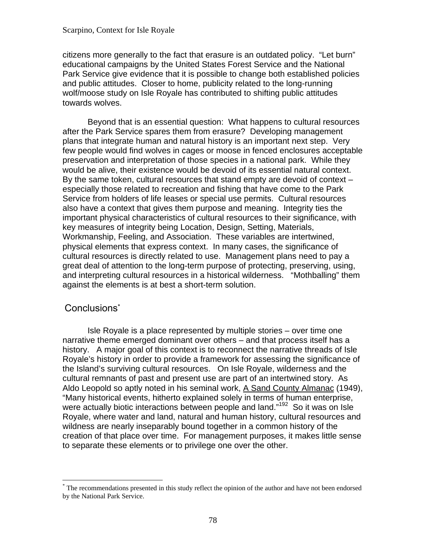citizens more generally to the fact that erasure is an outdated policy. "Let burn" educational campaigns by the United States Forest Service and the National Park Service give evidence that it is possible to change both established policies and public attitudes. Closer to home, publicity related to the long-running wolf/moose study on Isle Royale has contributed to shifting public attitudes towards wolves.

Beyond that is an essential question: What happens to cultural resources after the Park Service spares them from erasure? Developing management plans that integrate human and natural history is an important next step. Very few people would find wolves in cages or moose in fenced enclosures acceptable preservation and interpretation of those species in a national park. While they would be alive, their existence would be devoid of its essential natural context. By the same token, cultural resources that stand empty are devoid of context – especially those related to recreation and fishing that have come to the Park Service from holders of life leases or special use permits. Cultural resources also have a context that gives them purpose and meaning. Integrity ties the important physical characteristics of cultural resources to their significance, with key measures of integrity being Location, Design, Setting, Materials, Workmanship, Feeling, and Association. These variables are intertwined, physical elements that express context. In many cases, the significance of cultural resources is directly related to use. Management plans need to pay a great deal of attention to the long-term purpose of protecting, preserving, using, and interpreting cultural resources in a historical wilderness. "Mothballing" them against the elements is at best a short-term solution.

## Conclusions<sup>\*</sup>

 $\overline{a}$ 

Isle Royale is a place represented by multiple stories – over time one narrative theme emerged dominant over others – and that process itself has a history. A major goal of this context is to reconnect the narrative threads of Isle Royale's history in order to provide a framework for assessing the significance of the Island's surviving cultural resources. On Isle Royale, wilderness and the cultural remnants of past and present use are part of an intertwined story. As Aldo Leopold so aptly noted in his seminal work, A Sand County Almanac (1949), "Many historical events, hitherto explained solely in terms of human enterprise, were actually biotic interactions between people and land."<sup>[192](#page-113-0)</sup> So it was on Isle Royale, where water and land, natural and human history, cultural resources and wildness are nearly inseparably bound together in a common history of the creation of that place over time. For management purposes, it makes little sense to separate these elements or to privilege one over the other.

<sup>\*</sup> The recommendations presented in this study reflect the opinion of the author and have not been endorsed by the National Park Service.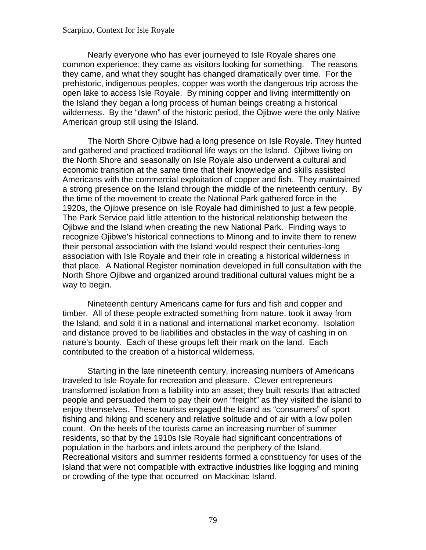#### Scarpino, Context for Isle Royale

Nearly everyone who has ever journeyed to Isle Royale shares one common experience; they came as visitors looking for something. The reasons they came, and what they sought has changed dramatically over time. For the prehistoric, indigenous peoples, copper was worth the dangerous trip across the open lake to access Isle Royale. By mining copper and living intermittently on the Island they began a long process of human beings creating a historical wilderness. By the "dawn" of the historic period, the Ojibwe were the only Native American group still using the Island.

The North Shore Ojibwe had a long presence on Isle Royale. They hunted and gathered and practiced traditional life ways on the Island. Ojibwe living on the North Shore and seasonally on Isle Royale also underwent a cultural and economic transition at the same time that their knowledge and skills assisted Americans with the commercial exploitation of copper and fish. They maintained a strong presence on the Island through the middle of the nineteenth century. By the time of the movement to create the National Park gathered force in the 1920s, the Ojibwe presence on Isle Royale had diminished to just a few people. The Park Service paid little attention to the historical relationship between the Ojibwe and the Island when creating the new National Park. Finding ways to recognize Ojibwe's historical connections to Minong and to invite them to renew their personal association with the Island would respect their centuries-long association with Isle Royale and their role in creating a historical wilderness in that place. A National Register nomination developed in full consultation with the North Shore Ojibwe and organized around traditional cultural values might be a way to begin.

Nineteenth century Americans came for furs and fish and copper and timber. All of these people extracted something from nature, took it away from the Island, and sold it in a national and international market economy. Isolation and distance proved to be liabilities and obstacles in the way of cashing in on nature's bounty. Each of these groups left their mark on the land. Each contributed to the creation of a historical wilderness.

Starting in the late nineteenth century, increasing numbers of Americans traveled to Isle Royale for recreation and pleasure. Clever entrepreneurs transformed isolation from a liability into an asset; they built resorts that attracted people and persuaded them to pay their own "freight" as they visited the island to enjoy themselves. These tourists engaged the Island as "consumers" of sport fishing and hiking and scenery and relative solitude and of air with a low pollen count. On the heels of the tourists came an increasing number of summer residents, so that by the 1910s Isle Royale had significant concentrations of population in the harbors and inlets around the periphery of the Island. Recreational visitors and summer residents formed a constituency for uses of the Island that were not compatible with extractive industries like logging and mining or crowding of the type that occurred on Mackinac Island.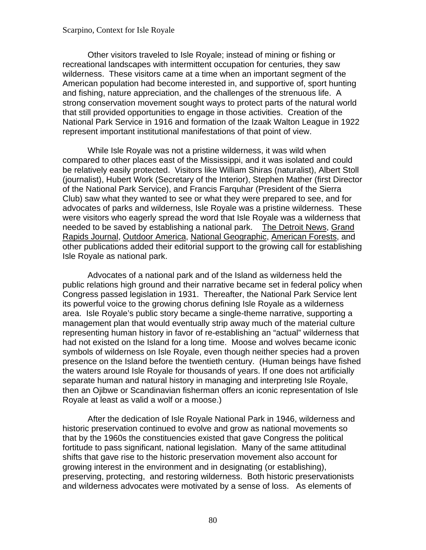#### Scarpino, Context for Isle Royale

Other visitors traveled to Isle Royale; instead of mining or fishing or recreational landscapes with intermittent occupation for centuries, they saw wilderness. These visitors came at a time when an important segment of the American population had become interested in, and supportive of, sport hunting and fishing, nature appreciation, and the challenges of the strenuous life. A strong conservation movement sought ways to protect parts of the natural world that still provided opportunities to engage in those activities. Creation of the National Park Service in 1916 and formation of the Izaak Walton League in 1922 represent important institutional manifestations of that point of view.

needed to be saved by establishing a national park. The Detroit News, Grand While Isle Royale was not a pristine wilderness, it was wild when compared to other places east of the Mississippi, and it was isolated and could be relatively easily protected. Visitors like William Shiras (naturalist), Albert Stoll (journalist), Hubert Work (Secretary of the Interior), Stephen Mather (first Director of the National Park Service), and Francis Farquhar (President of the Sierra Club) saw what they wanted to see or what they were prepared to see, and for advocates of parks and wilderness, Isle Royale was a pristine wilderness. These were visitors who eagerly spread the word that Isle Royale was a wilderness that Rapids Journal, Outdoor America, National Geographic, American Forests, and other publications added their editorial support to the growing call for establishing Isle Royale as national park.

Advocates of a national park and of the Island as wilderness held the public relations high ground and their narrative became set in federal policy when Congress passed legislation in 1931. Thereafter, the National Park Service lent its powerful voice to the growing chorus defining Isle Royale as a wilderness area. Isle Royale's public story became a single-theme narrative, supporting a management plan that would eventually strip away much of the material culture representing human history in favor of re-establishing an "actual" wilderness that had not existed on the Island for a long time. Moose and wolves became iconic symbols of wilderness on Isle Royale, even though neither species had a proven presence on the Island before the twentieth century. (Human beings have fished the waters around Isle Royale for thousands of years. If one does not artificially separate human and natural history in managing and interpreting Isle Royale, then an Ojibwe or Scandinavian fisherman offers an iconic representation of Isle Royale at least as valid a wolf or a moose.)

After the dedication of Isle Royale National Park in 1946, wilderness and historic preservation continued to evolve and grow as national movements so that by the 1960s the constituencies existed that gave Congress the political fortitude to pass significant, national legislation. Many of the same attitudinal shifts that gave rise to the historic preservation movement also account for growing interest in the environment and in designating (or establishing), preserving, protecting, and restoring wilderness. Both historic preservationists and wilderness advocates were motivated by a sense of loss. As elements of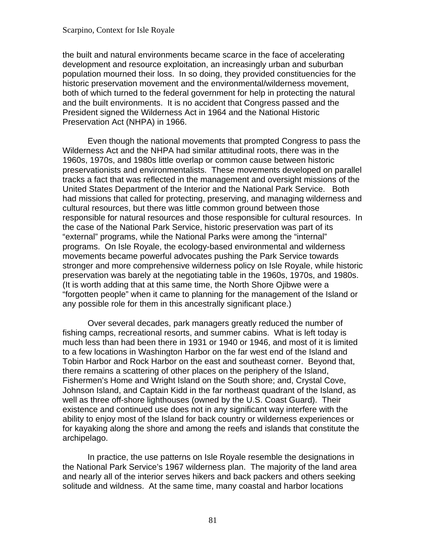the built and natural environments became scarce in the face of accelerating development and resource exploitation, an increasingly urban and suburban population mourned their loss. In so doing, they provided constituencies for the historic preservation movement and the environmental/wilderness movement, both of which turned to the federal government for help in protecting the natural and the built environments. It is no accident that Congress passed and the President signed the Wilderness Act in 1964 and the National Historic Preservation Act (NHPA) in 1966.

Even though the national movements that prompted Congress to pass the Wilderness Act and the NHPA had similar attitudinal roots, there was in the 1960s, 1970s, and 1980s little overlap or common cause between historic preservationists and environmentalists. These movements developed on parallel tracks a fact that was reflected in the management and oversight missions of the United States Department of the Interior and the National Park Service. Both had missions that called for protecting, preserving, and managing wilderness and cultural resources, but there was little common ground between those responsible for natural resources and those responsible for cultural resources. In the case of the National Park Service, historic preservation was part of its "external" programs, while the National Parks were among the "internal" programs. On Isle Royale, the ecology-based environmental and wilderness movements became powerful advocates pushing the Park Service towards stronger and more comprehensive wilderness policy on Isle Royale, while historic preservation was barely at the negotiating table in the 1960s, 1970s, and 1980s. (It is worth adding that at this same time, the North Shore Ojibwe were a "forgotten people" when it came to planning for the management of the Island or any possible role for them in this ancestrally significant place.)

Over several decades, park managers greatly reduced the number of fishing camps, recreational resorts, and summer cabins. What is left today is much less than had been there in 1931 or 1940 or 1946, and most of it is limited to a few locations in Washington Harbor on the far west end of the Island and Tobin Harbor and Rock Harbor on the east and southeast corner. Beyond that, there remains a scattering of other places on the periphery of the Island, Fishermen's Home and Wright Island on the South shore; and, Crystal Cove, Johnson Island, and Captain Kidd in the far northeast quadrant of the Island, as well as three off-shore lighthouses (owned by the U.S. Coast Guard). Their existence and continued use does not in any significant way interfere with the ability to enjoy most of the Island for back country or wilderness experiences or for kayaking along the shore and among the reefs and islands that constitute the archipelago.

In practice, the use patterns on Isle Royale resemble the designations in the National Park Service's 1967 wilderness plan. The majority of the land area and nearly all of the interior serves hikers and back packers and others seeking solitude and wildness. At the same time, many coastal and harbor locations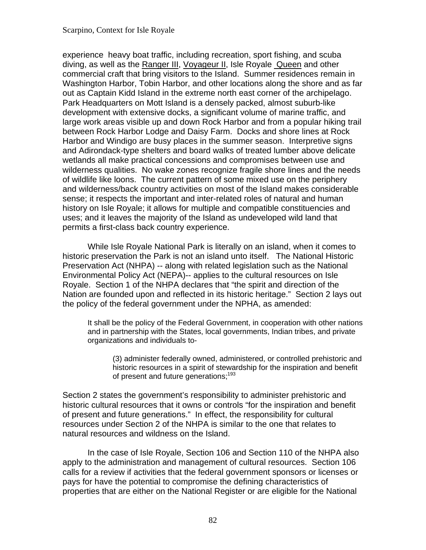experience heavy boat traffic, including recreation, sport fishing, and scuba diving, as well as the Ranger III, Voyageur II, Isle Royale Queen and other commercial craft that bring visitors to the Island. Summer residences remain in Washington Harbor, Tobin Harbor, and other locations along the shore and as far out as Captain Kidd Island in the extreme north east corner of the archipelago. Park Headquarters on Mott Island is a densely packed, almost suburb-like development with extensive docks, a significant volume of marine traffic, and large work areas visible up and down Rock Harbor and from a popular hiking trail between Rock Harbor Lodge and Daisy Farm. Docks and shore lines at Rock Harbor and Windigo are busy places in the summer season. Interpretive signs and Adirondack-type shelters and board walks of treated lumber above delicate wetlands all make practical concessions and compromises between use and wilderness qualities. No wake zones recognize fragile shore lines and the needs of wildlife like loons. The current pattern of some mixed use on the periphery and wilderness/back country activities on most of the Island makes considerable sense; it respects the important and inter-related roles of natural and human history on Isle Royale; it allows for multiple and compatible constituencies and uses; and it leaves the majority of the Island as undeveloped wild land that permits a first-class back country experience.

While Isle Royale National Park is literally on an island, when it comes to historic preservation the Park is not an island unto itself. The National Historic Preservation Act (NHPA) -- along with related legislation such as the National Environmental Policy Act (NEPA)-- applies to the cultural resources on Isle Royale. Section 1 of the NHPA declares that "the spirit and direction of the Nation are founded upon and reflected in its historic heritage." Section 2 lays out the policy of the federal government under the NPHA, as amended:

It shall be the policy of the Federal Government, in cooperation with other nations and in partnership with the States, local governments, Indian tribes, and private organizations and individuals to

(3) administer federally owned, administered, or controlled prehistoric and historic resources in a spirit of stewardship for the inspiration and benefit of present and future generations;<sup>193</sup>

Section 2 states the government's responsibility to administer prehistoric and historic cultural resources that it owns or controls "for the inspiration and benefit of present and future generations." In effect, the responsibility for cultural resources under Section 2 of the NHPA is similar to the one that relates to natural resources and wildness on the Island.

In the case of Isle Royale, Section 106 and Section 110 of the NHPA also apply to the administration and management of cultural resources. Section 106 calls for a review if activities that the federal government sponsors or licenses or pays for have the potential to compromise the defining characteristics of properties that are either on the National Register or are eligible for the National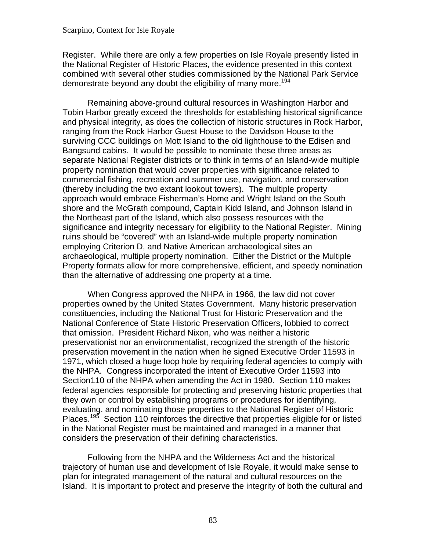#### Scarpino, Context for Isle Royale

Register. While there are only a few properties on Isle Royale presently listed in the National Register of Historic Places, the evidence presented in this context combined with several other studies commissioned by the National Park Service demonstrate beyond any doubt the eligibility of many more.<sup>194</sup>

Remaining above-ground cultural resources in Washington Harbor and Tobin Harbor greatly exceed the thresholds for establishing historical significance and physical integrity, as does the collection of historic structures in Rock Harbor, ranging from the Rock Harbor Guest House to the Davidson House to the surviving CCC buildings on Mott Island to the old lighthouse to the Edisen and Bangsund cabins. It would be possible to nominate these three areas as separate National Register districts or to think in terms of an Island-wide multiple property nomination that would cover properties with significance related to commercial fishing, recreation and summer use, navigation, and conservation (thereby including the two extant lookout towers). The multiple property approach would embrace Fisherman's Home and Wright Island on the South shore and the McGrath compound, Captain Kidd Island, and Johnson Island in the Northeast part of the Island, which also possess resources with the significance and integrity necessary for eligibility to the National Register. Mining ruins should be "covered" with an Island-wide multiple property nomination employing Criterion D, and Native American archaeological sites an archaeological, multiple property nomination. Either the District or the Multiple Property formats allow for more comprehensive, efficient, and speedy nomination than the alternative of addressing one property at a time.

When Congress approved the NHPA in 1966, the law did not cover properties owned by the United States Government. Many historic preservation constituencies, including the National Trust for Historic Preservation and the National Conference of State Historic Preservation Officers, lobbied to correct that omission. President Richard Nixon, who was neither a historic preservationist nor an environmentalist, recognized the strength of the historic preservation movement in the nation when he signed Executive Order 11593 in 1971, which closed a huge loop hole by requiring federal agencies to comply with the NHPA. Congress incorporated the intent of Executive Order 11593 into Section110 of the NHPA when amending the Act in 1980. Section 110 makes federal agencies responsible for protecting and preserving historic properties that they own or control by establishing programs or procedures for identifying, evaluating, and nominating those properties to the National Register of Historic Places.<sup>195</sup> Section 110 reinforces the directive that properties eligible for or listed in the National Register must be maintained and managed in a manner that considers the preservation of their defining characteristics.

Following from the NHPA and the Wilderness Act and the historical trajectory of human use and development of Isle Royale, it would make sense to plan for integrated management of the natural and cultural resources on the Island. It is important to protect and preserve the integrity of both the cultural and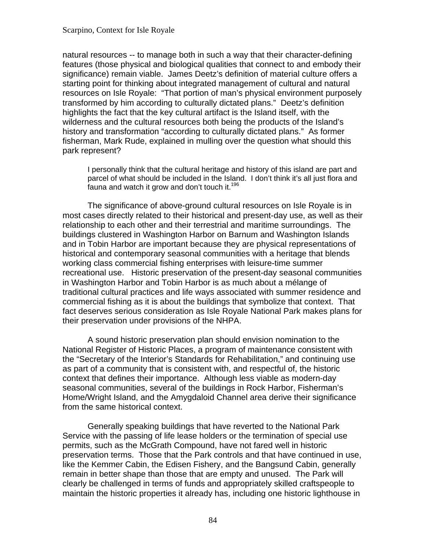natural resources -- to manage both in such a way that their character-defining features (those physical and biological qualities that connect to and embody their significance) remain viable. James Deetz's definition of material culture offers a starting point for thinking about integrated management of cultural and natural resources on Isle Royale: "That portion of man's physical environment purposely transformed by him according to culturally dictated plans." Deetz's definition highlights the fact that the key cultural artifact is the Island itself, with the wilderness and the cultural resources both being the products of the Island's history and transformation "according to culturally dictated plans." As former fisherman, Mark Rude, explained in mulling over the question what should this park represent?

I personally think that the cultural heritage and history of this island are part and parcel of what should be included in the Island. I don't think it's all just flora and fauna and watch it grow and don't touch it.<sup>196</sup>

The significance of above-ground cultural resources on Isle Royale is in most cases directly related to their historical and present-day use, as well as their relationship to each other and their terrestrial and maritime surroundings. The buildings clustered in Washington Harbor on Barnum and Washington Islands and in Tobin Harbor are important because they are physical representations of historical and contemporary seasonal communities with a heritage that blends working class commercial fishing enterprises with leisure-time summer recreational use. Historic preservation of the present-day seasonal communities in Washington Harbor and Tobin Harbor is as much about a mélange of traditional cultural practices and life ways associated with summer residence and commercial fishing as it is about the buildings that symbolize that context. That fact deserves serious consideration as Isle Royale National Park makes plans for their preservation under provisions of the NHPA.

A sound historic preservation plan should envision nomination to the National Register of Historic Places, a program of maintenance consistent with the "Secretary of the Interior's Standards for Rehabilitation," and continuing use as part of a community that is consistent with, and respectful of, the historic context that defines their importance. Although less viable as modern-day seasonal communities, several of the buildings in Rock Harbor, Fisherman's Home/Wright Island, and the Amygdaloid Channel area derive their significance from the same historical context.

Generally speaking buildings that have reverted to the National Park Service with the passing of life lease holders or the termination of special use permits, such as the McGrath Compound, have not fared well in historic preservation terms. Those that the Park controls and that have continued in use, like the Kemmer Cabin, the Edisen Fishery, and the Bangsund Cabin, generally remain in better shape than those that are empty and unused. The Park will clearly be challenged in terms of funds and appropriately skilled craftspeople to maintain the historic properties it already has, including one historic lighthouse in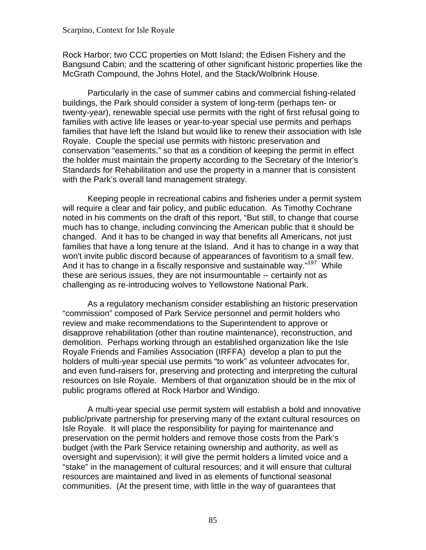Rock Harbor; two CCC properties on Mott Island; the Edisen Fishery and the Bangsund Cabin; and the scattering of other significant historic properties like the McGrath Compound, the Johns Hotel, and the Stack/Wolbrink House.

Particularly in the case of summer cabins and commercial fishing-related buildings, the Park should consider a system of long-term (perhaps ten- or twenty-year), renewable special use permits with the right of first refusal going to families with active life leases or year-to-year special use permits and perhaps families that have left the Island but would like to renew their association with Isle Royale. Couple the special use permits with historic preservation and conservation "easements," so that as a condition of keeping the permit in effect the holder must maintain the property according to the Secretary of the Interior's Standards for Rehabilitation and use the property in a manner that is consistent with the Park's overall land management strategy.

Keeping people in recreational cabins and fisheries under a permit system will require a clear and fair policy, and public education. As Timothy Cochrane noted in his comments on the draft of this report, "But still, to change that course much has to change, including convincing the American public that it should be changed. And it has to be changed in way that benefits all Americans, not just families that have a long tenure at the Island. And it has to change in a way that won't invite public discord because of appearances of favoritism to a small few. And it has to change in a fiscally responsive and sustainable way."<sup>197</sup> While these are serious issues, they are not insurmountable -- certainly not as challenging as re-introducing wolves to Yellowstone National Park.

As a regulatory mechanism consider establishing an historic preservation "commission" composed of Park Service personnel and permit holders who review and make recommendations to the Superintendent to approve or disapprove rehabilitation (other than routine maintenance), reconstruction, and demolition. Perhaps working through an established organization like the Isle Royale Friends and Families Association (IRFFA) develop a plan to put the holders of multi-year special use permits "to work" as volunteer advocates for, and even fund-raisers for, preserving and protecting and interpreting the cultural resources on Isle Royale. Members of that organization should be in the mix of public programs offered at Rock Harbor and Windigo.

A multi-year special use permit system will establish a bold and innovative public/private partnership for preserving many of the extant cultural resources on Isle Royale. It will place the responsibility for paying for maintenance and preservation on the permit holders and remove those costs from the Park's budget (with the Park Service retaining ownership and authority, as well as oversight and supervision); it will give the permit holders a limited voice and a "stake" in the management of cultural resources; and it will ensure that cultural resources are maintained and lived in as elements of functional seasonal communities. (At the present time, with little in the way of guarantees that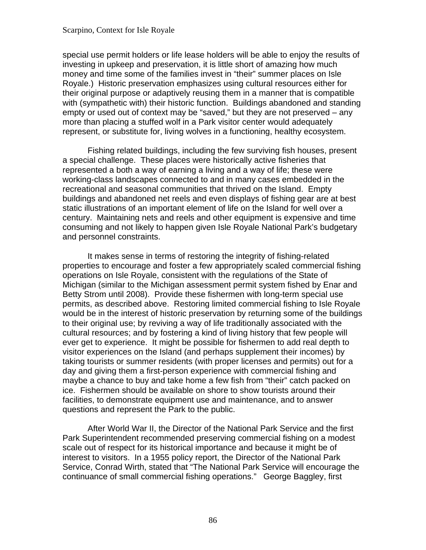#### Scarpino, Context for Isle Royale

special use permit holders or life lease holders will be able to enjoy the results of investing in upkeep and preservation, it is little short of amazing how much money and time some of the families invest in "their" summer places on Isle Royale.) Historic preservation emphasizes using cultural resources either for their original purpose or adaptively reusing them in a manner that is compatible with (sympathetic with) their historic function. Buildings abandoned and standing empty or used out of context may be "saved," but they are not preserved – any more than placing a stuffed wolf in a Park visitor center would adequately represent, or substitute for, living wolves in a functioning, healthy ecosystem.

Fishing related buildings, including the few surviving fish houses, present a special challenge. These places were historically active fisheries that represented a both a way of earning a living and a way of life; these were working-class landscapes connected to and in many cases embedded in the recreational and seasonal communities that thrived on the Island. Empty buildings and abandoned net reels and even displays of fishing gear are at best static illustrations of an important element of life on the Island for well over a century. Maintaining nets and reels and other equipment is expensive and time consuming and not likely to happen given Isle Royale National Park's budgetary and personnel constraints.

It makes sense in terms of restoring the integrity of fishing-related properties to encourage and foster a few appropriately scaled commercial fishing operations on Isle Royale, consistent with the regulations of the State of Michigan (similar to the Michigan assessment permit system fished by Enar and Betty Strom until 2008). Provide these fishermen with long-term special use permits, as described above. Restoring limited commercial fishing to Isle Royale would be in the interest of historic preservation by returning some of the buildings to their original use; by reviving a way of life traditionally associated with the cultural resources; and by fostering a kind of living history that few people will ever get to experience. It might be possible for fishermen to add real depth to visitor experiences on the Island (and perhaps supplement their incomes) by taking tourists or summer residents (with proper licenses and permits) out for a day and giving them a first-person experience with commercial fishing and maybe a chance to buy and take home a few fish from "their" catch packed on ice. Fishermen should be available on shore to show tourists around their facilities, to demonstrate equipment use and maintenance, and to answer questions and represent the Park to the public.

After World War II, the Director of the National Park Service and the first Park Superintendent recommended preserving commercial fishing on a modest scale out of respect for its historical importance and because it might be of interest to visitors. In a 1955 policy report, the Director of the National Park Service, Conrad Wirth, stated that "The National Park Service will encourage the continuance of small commercial fishing operations." George Baggley, first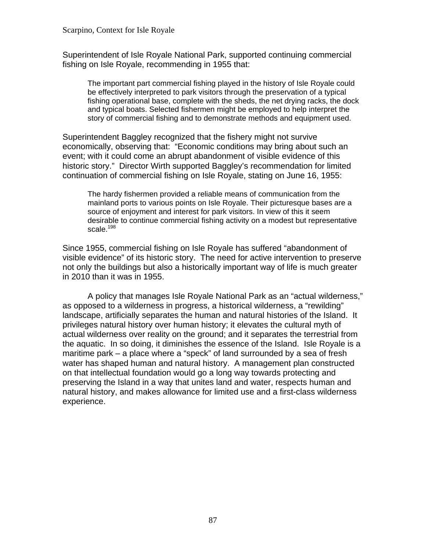Superintendent of Isle Royale National Park, supported continuing commercial fishing on Isle Royale, recommending in 1955 that:

The important part commercial fishing played in the history of Isle Royale could be effectively interpreted to park visitors through the preservation of a typical fishing operational base, complete with the sheds, the net drying racks, the dock and typical boats. Selected fishermen might be employed to help interpret the story of commercial fishing and to demonstrate methods and equipment used.

Superintendent Baggley recognized that the fishery might not survive economically, observing that: "Economic conditions may bring about such an event; with it could come an abrupt abandonment of visible evidence of this historic story." Director Wirth supported Baggley's recommendation for limited continuation of commercial fishing on Isle Royale, stating on June 16, 1955:

The hardy fishermen provided a reliable means of communication from the mainland ports to various points on Isle Royale. Their picturesque bases are a source of enjoyment and interest for park visitors. In view of this it seem desirable to continue commercial fishing activity on a modest but representative scale. $198$ 

Since 1955, commercial fishing on Isle Royale has suffered "abandonment of visible evidence" of its historic story. The need for active intervention to preserve not only the buildings but also a historically important way of life is much greater in 2010 than it was in 1955.

A policy that manages Isle Royale National Park as an "actual wilderness," as opposed to a wilderness in progress, a historical wilderness, a "rewilding" landscape, artificially separates the human and natural histories of the Island. It privileges natural history over human history; it elevates the cultural myth of actual wilderness over reality on the ground; and it separates the terrestrial from the aquatic. In so doing, it diminishes the essence of the Island. Isle Royale is a maritime park – a place where a "speck" of land surrounded by a sea of fresh water has shaped human and natural history. A management plan constructed on that intellectual foundation would go a long way towards protecting and preserving the Island in a way that unites land and water, respects human and natural history, and makes allowance for limited use and a first-class wilderness experience.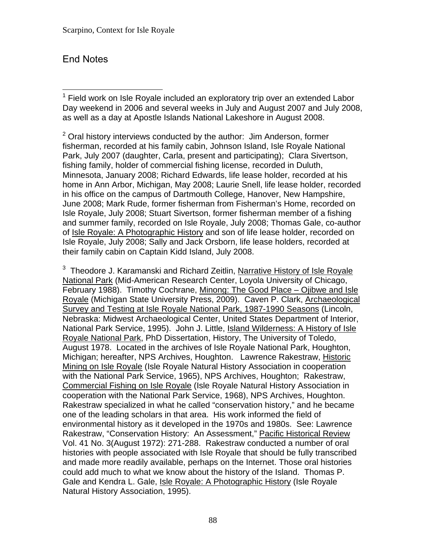# End Notes

 $\overline{a}$ <sup>1</sup> Field work on Isle Royale included an exploratory trip over an extended Labor Day weekend in 2006 and several weeks in July and August 2007 and July 2008, as well as a day at Apostle Islands National Lakeshore in August 2008.

 $2$  Oral history interviews conducted by the author: Jim Anderson, former fisherman, recorded at his family cabin, Johnson Island, Isle Royale National Park, July 2007 (daughter, Carla, present and participating); Clara Sivertson, fishing family, holder of commercial fishing license, recorded in Duluth, Minnesota, January 2008; Richard Edwards, life lease holder, recorded at his home in Ann Arbor, Michigan, May 2008; Laurie Snell, life lease holder, recorded in his office on the campus of Dartmouth College, Hanover, New Hampshire, June 2008; Mark Rude, former fisherman from Fisherman's Home, recorded on Isle Royale, July 2008; Stuart Sivertson, former fisherman member of a fishing and summer family, recorded on Isle Royale, July 2008; Thomas Gale, co-author of Isle Royale: A Photographic History and son of life lease holder, recorded on Isle Royale, July 2008; Sally and Jack Orsborn, life lease holders, recorded at their family cabin on Captain Kidd Island, July 2008.

<sup>3</sup> Theodore J. Karamanski and Richard Zeitlin, Narrative History of Isle Royale National Park (Mid-American Research Center, Loyola University of Chicago, February 1988). Timothy Cochrane, Minong: The Good Place – Ojibwe and Isle Royale (Michigan State University Press, 2009). Caven P. Clark, Archaeological Survey and Testing at Isle Royale National Park, 1987-1990 Seasons (Lincoln, Nebraska: Midwest Archaeological Center, United States Department of Interior, National Park Service, 1995). John J. Little, *Island Wilderness: A History of Isle* Royale National Park, PhD Dissertation, History, The University of Toledo, August 1978. Located in the archives of Isle Royale National Park, Houghton, Michigan; hereafter, NPS Archives, Houghton. Lawrence Rakestraw, Historic Mining on Isle Royale (Isle Royale Natural History Association in cooperation with the National Park Service, 1965), NPS Archives, Houghton; Rakestraw, Commercial Fishing on Isle Royale (Isle Royale Natural History Association in cooperation with the National Park Service, 1968), NPS Archives, Houghton. Rakestraw specialized in what he called "conservation history," and he became one of the leading scholars in that area. His work informed the field of environmental history as it developed in the 1970s and 1980s. See: Lawrence Rakestraw, "Conservation History: An Assessment," Pacific Historical Review Vol. 41 No. 3(August 1972): 271-288. Rakestraw conducted a number of oral histories with people associated with Isle Royale that should be fully transcribed and made more readily available, perhaps on the Internet. Those oral histories could add much to what we know about the history of the Island. Thomas P. Gale and Kendra L. Gale, Isle Royale: A Photographic History (Isle Royale Natural History Association, 1995).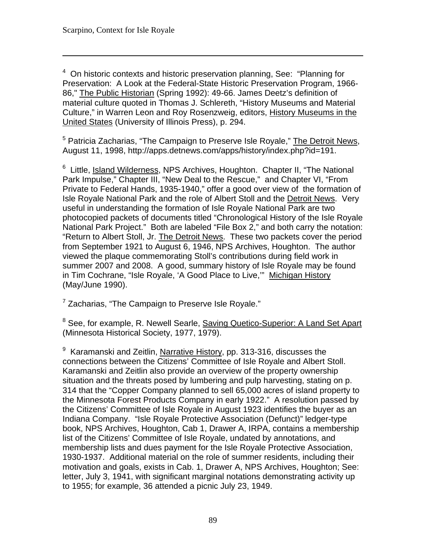$\overline{a}$ 

<sup>4</sup> On historic contexts and historic preservation planning, See: "Planning for Preservation: A Look at the Federal-State Historic Preservation Program, 1966 86," The Public Historian (Spring 1992): 49-66. James Deetz's definition of material culture quoted in Thomas J. Schlereth, "History Museums and Material Culture," in Warren Leon and Roy Rosenzweig, editors, History Museums in the United States (University of Illinois Press), p. 294.

<sup>5</sup> Patricia Zacharias, "The Campaign to Preserve Isle Royale," The Detroit News, August 11, 1998, http://apps.detnews.com/apps/history/index.php?id=191.

 $6$  Little, Island Wilderness, NPS Archives, Houghton. Chapter II, "The National Park Impulse," Chapter III, "New Deal to the Rescue," and Chapter VI, "From Private to Federal Hands, 1935-1940," offer a good over view of the formation of Isle Royale National Park and the role of Albert Stoll and the Detroit News. Very useful in understanding the formation of Isle Royale National Park are two photocopied packets of documents titled "Chronological History of the Isle Royale National Park Project." Both are labeled "File Box 2," and both carry the notation: "Return to Albert Stoll, Jr. The Detroit News. These two packets cover the period from September 1921 to August 6, 1946, NPS Archives, Houghton. The author viewed the plaque commemorating Stoll's contributions during field work in summer 2007 and 2008. A good, summary history of Isle Royale may be found in Tim Cochrane, "Isle Royale, 'A Good Place to Live,'" Michigan History (May/June 1990).

<sup>7</sup> Zacharias, "The Campaign to Preserve Isle Royale."

<sup>8</sup> See, for example, R. Newell Searle, Saving Quetico-Superior: A Land Set Apart (Minnesota Historical Society, 1977, 1979).

<sup>9</sup> Karamanski and Zeitlin, Narrative History, pp. 313-316, discusses the connections between the Citizens' Committee of Isle Royale and Albert Stoll. Karamanski and Zeitlin also provide an overview of the property ownership situation and the threats posed by lumbering and pulp harvesting, stating on p. 314 that the "Copper Company planned to sell 65,000 acres of island property to the Minnesota Forest Products Company in early 1922." A resolution passed by the Citizens' Committee of Isle Royale in August 1923 identifies the buyer as an Indiana Company. "Isle Royale Protective Association (Defunct)" ledger-type book, NPS Archives, Houghton, Cab 1, Drawer A, IRPA, contains a membership list of the Citizens' Committee of Isle Royale, undated by annotations, and membership lists and dues payment for the Isle Royale Protective Association, 1930-1937. Additional material on the role of summer residents, including their motivation and goals, exists in Cab. 1, Drawer A, NPS Archives, Houghton; See: letter, July 3, 1941, with significant marginal notations demonstrating activity up to 1955; for example, 36 attended a picnic July 23, 1949.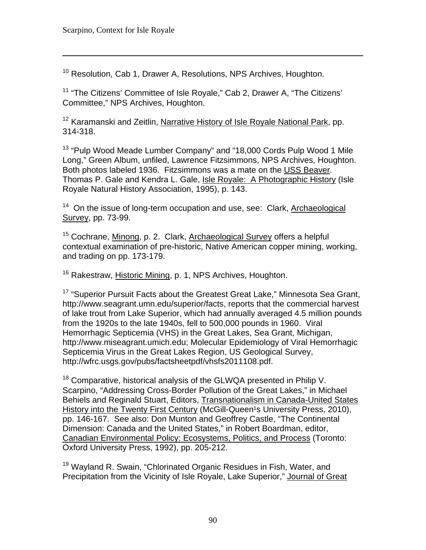$\overline{a}$ 

<sup>10</sup> Resolution, Cab 1, Drawer A, Resolutions, NPS Archives, Houghton.

<sup>11</sup> "The Citizens' Committee of Isle Royale," Cab 2, Drawer A, "The Citizens' Committee," NPS Archives, Houghton.

<sup>12</sup> Karamanski and Zeitlin, Narrative History of Isle Royale National Park, pp. 314-318.

13 "Pulp Wood Meade Lumber Company" and "18,000 Cords Pulp Wood 1 Mile Long," Green Album, unfiled, Lawrence Fitzsimmons, NPS Archives, Houghton. Both photos labeled 1936. Fitzsimmons was a mate on the USS Beaver. Thomas P. Gale and Kendra L. Gale, Isle Royale: A Photographic History (Isle Royale Natural History Association, 1995), p. 143.

<sup>14</sup> On the issue of long-term occupation and use, see: Clark, Archaeological Survey, pp. 73-99.

<sup>15</sup> Cochrane, Minong, p. 2. Clark, Archaeological Survey offers a helpful contextual examination of pre-historic, Native American copper mining, working, and trading on pp. 173-179.

<sup>16</sup> Rakestraw, Historic Mining, p. 1, NPS Archives, Houghton.

<sup>17</sup> "Superior Pursuit Facts about the Greatest Great Lake." Minnesota Sea Grant, http://www.seagrant.umn.edu/superior/facts, reports that the commercial harvest of lake trout from Lake Superior, which had annually averaged 4.5 million pounds from the 1920s to the late 1940s, fell to 500,000 pounds in 1960. Viral Hemorrhagic Septicemia (VHS) in the Great Lakes, Sea Grant, Michigan, http://www.miseagrant.umich.edu; Molecular Epidemiology of Viral Hemorrhagic Septicemia Virus in the Great Lakes Region, US Geological Survey, http://wfrc.usgs.gov/pubs/factsheetpdf/vhsfs2011108.pdf.

 $18$  Comparative, historical analysis of the GLWQA presented in Philip V. Scarpino, "Addressing Cross-Border Pollution of the Great Lakes," in Michael Behiels and Reginald Stuart, Editors, Transnationalism in Canada-United States History into the Twenty First Century (McGill-Queen<sup>1</sup>s University Press, 2010), pp. 146-167. See also: Don Munton and Geoffrey Castle, "The Continental Dimension: Canada and the United States," in Robert Boardman, editor, Canadian Environmental Policy: Ecosystems, Politics, and Process (Toronto: Oxford University Press, 1992), pp. 205-212.

<sup>19</sup> Wayland R. Swain, "Chlorinated Organic Residues in Fish, Water, and Precipitation from the Vicinity of Isle Royale, Lake Superior," Journal of Great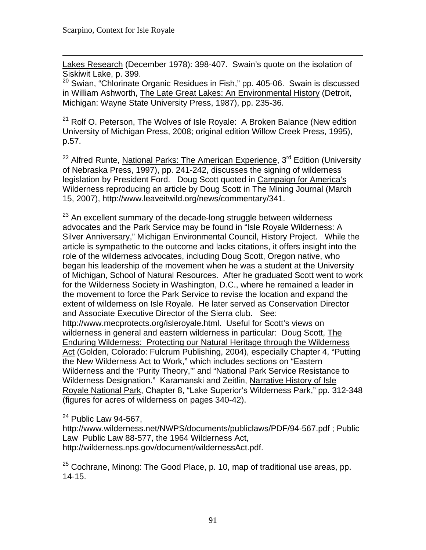$\overline{a}$ Lakes Research (December 1978): 398-407. Swain's quote on the isolation of Siskiwit Lake, p. 399.

 $20$  Swian, "Chlorinate Organic Residues in Fish," pp. 405-06. Swain is discussed in William Ashworth, The Late Great Lakes: An Environmental History (Detroit, Michigan: Wayne State University Press, 1987), pp. 235-36.

<sup>21</sup> Rolf O. Peterson, The Wolves of Isle Royale: A Broken Balance (New edition University of Michigan Press, 2008; original edition Willow Creek Press, 1995), p.57.

<sup>22</sup> Alfred Runte, National Parks: The American Experience, 3<sup>rd</sup> Edition (University of Nebraska Press, 1997), pp. 241-242, discusses the signing of wilderness legislation by President Ford. Doug Scott quoted in Campaign for America's Wilderness reproducing an article by Doug Scott in The Mining Journal (March 15, 2007), http://www.leaveitwild.org/news/commentary/341.

<sup>23</sup> An excellent summary of the decade-long struggle between wilderness advocates and the Park Service may be found in "Isle Royale Wilderness: A Silver Anniversary," Michigan Environmental Council, History Project. While the article is sympathetic to the outcome and lacks citations, it offers insight into the role of the wilderness advocates, including Doug Scott, Oregon native, who began his leadership of the movement when he was a student at the University of Michigan, School of Natural Resources. After he graduated Scott went to work for the Wilderness Society in Washington, D.C., where he remained a leader in the movement to force the Park Service to revise the location and expand the extent of wilderness on Isle Royale. He later served as Conservation Director and Associate Executive Director of the Sierra club. See: http://www.mecprotects.org/isleroyale.html. Useful for Scott's views on wilderness in general and eastern wilderness in particular: Doug Scott, The Enduring Wilderness: Protecting our Natural Heritage through the Wilderness Act (Golden, Colorado: Fulcrum Publishing, 2004), especially Chapter 4, "Putting the New Wilderness Act to Work," which includes sections on "Eastern Wilderness and the 'Purity Theory,'" and "National Park Service Resistance to Wilderness Designation." Karamanski and Zeitlin, Narrative History of Isle Royale National Park, Chapter 8, "Lake Superior's Wilderness Park," pp. 312-348 (figures for acres of wilderness on pages 340-42).

 $24$  Public Law 94-567,

http://www.wilderness.net/NWPS/documents/publiclaws/PDF/94-567.pdf ; Public Law Public Law 88-577, the 1964 Wilderness Act, http://wilderness.nps.gov/document/wildernessAct.pdf.

 $25$  Cochrane, Minong: The Good Place, p. 10, map of traditional use areas, pp. 14-15.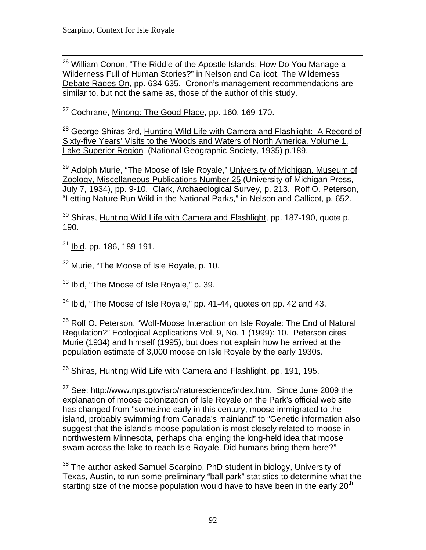$\overline{a}$ <sup>26</sup> William Conon, "The Riddle of the Apostle Islands: How Do You Manage a Wilderness Full of Human Stories?" in Nelson and Callicot, The Wilderness Debate Rages On, pp. 634-635. Cronon's management recommendations are similar to, but not the same as, those of the author of this study.

<sup>27</sup> Cochrane, Minong: The Good Place, pp. 160, 169-170.

 $^{28}$  George Shiras 3rd, Hunting Wild Life with Camera and Flashlight: A Record of Sixty-five Years' Visits to the Woods and Waters of North America, Volume 1, Lake Superior Region (National Geographic Society, 1935) p.189.

<sup>29</sup> Adolph Murie, "The Moose of Isle Royale," University of Michigan, Museum of Zoology, Miscellaneous Publications Number 25 (University of Michigan Press, July 7, 1934), pp. 9-10. Clark, Archaeological Survey, p. 213. Rolf O. Peterson, "Letting Nature Run Wild in the National Parks," in Nelson and Callicot, p. 652.

 $^{30}$  Shiras, <u>Hunting Wild Life with Camera and Flashlight</u>, pp. 187-190, quote p. 190.

31 Ibid, pp. 186, 189-191.

<sup>32</sup> Murie, "The Moose of Isle Royale, p. 10.

<sup>33</sup> Ibid, "The Moose of Isle Royale," p. 39.

 $34$  Ibid, "The Moose of Isle Royale," pp. 41-44, quotes on pp. 42 and 43.

<sup>35</sup> Rolf O. Peterson, "Wolf-Moose Interaction on Isle Royale: The End of Natural Regulation?" Ecological Applications Vol. 9, No. 1 (1999): 10. Peterson cites Murie (1934) and himself (1995), but does not explain how he arrived at the population estimate of 3,000 moose on Isle Royale by the early 1930s.

 $36$  Shiras, Hunting Wild Life with Camera and Flashlight, pp. 191, 195.

<sup>37</sup> See: http://www.nps.gov/isro/naturescience/index.htm. Since June 2009 the explanation of moose colonization of Isle Royale on the Park's official web site has changed from "sometime early in this century, moose immigrated to the island, probably swimming from Canada's mainland" to "Genetic information also suggest that the island's moose population is most closely related to moose in northwestern Minnesota, perhaps challenging the long-held idea that moose swam across the lake to reach Isle Royale. Did humans bring them here?"

<sup>38</sup> The author asked Samuel Scarpino, PhD student in biology, University of Texas, Austin, to run some preliminary "ball park" statistics to determine what the starting size of the moose population would have to have been in the early  $20<sup>th</sup>$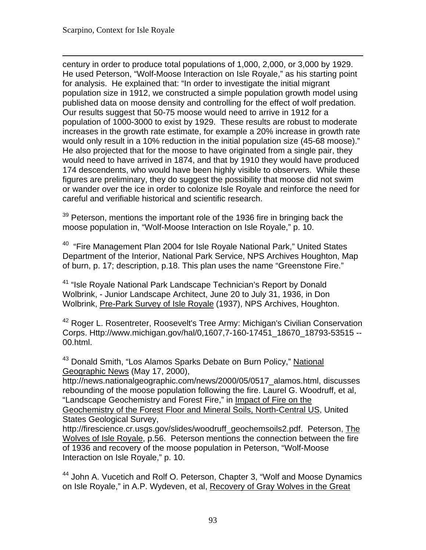$\overline{a}$ century in order to produce total populations of 1,000, 2,000, or 3,000 by 1929. He used Peterson, "Wolf-Moose Interaction on Isle Royale," as his starting point for analysis. He explained that: "In order to investigate the initial migrant population size in 1912, we constructed a simple population growth model using published data on moose density and controlling for the effect of wolf predation. Our results suggest that 50-75 moose would need to arrive in 1912 for a population of 1000-3000 to exist by 1929. These results are robust to moderate increases in the growth rate estimate, for example a 20% increase in growth rate would only result in a 10% reduction in the initial population size (45-68 moose)." He also projected that for the moose to have originated from a single pair, they would need to have arrived in 1874, and that by 1910 they would have produced 174 descendents, who would have been highly visible to observers. While these figures are preliminary, they do suggest the possibility that moose did not swim or wander over the ice in order to colonize Isle Royale and reinforce the need for careful and verifiable historical and scientific research.

<sup>39</sup> Peterson, mentions the important role of the 1936 fire in bringing back the moose population in, "Wolf-Moose Interaction on Isle Royale," p. 10.

<sup>40</sup> "Fire Management Plan 2004 for Isle Royale National Park," United States Department of the Interior, National Park Service, NPS Archives Houghton, Map of burn, p. 17; description, p.18. This plan uses the name "Greenstone Fire."

<sup>41</sup> "Isle Royale National Park Landscape Technician's Report by Donald Wolbrink, - Junior Landscape Architect, June 20 to July 31, 1936, in Don Wolbrink, Pre-Park Survey of Isle Royale (1937), NPS Archives, Houghton.

<sup>42</sup> Roger L. Rosentreter, Roosevelt's Tree Army: Michigan's Civilian Conservation Corps. Http://www.michigan.gov/hal/0,1607,7-160-17451\_18670\_18793-53515 -- 00.html.

<sup>43</sup> Donald Smith, "Los Alamos Sparks Debate on Burn Policy," National Geographic News (May 17, 2000),

http://news.nationalgeographic.com/news/2000/05/0517\_alamos.html, discusses rebounding of the moose population following the fire. Laurel G. Woodruff, et al, "Landscape Geochemistry and Forest Fire," in Impact of Fire on the

Geochemistry of the Forest Floor and Mineral Soils, North-Central US, United States Geological Survey,

http://firescience.cr.usgs.gov/slides/woodruff\_geochemsoils2.pdf. Peterson, The Wolves of Isle Royale, p.56. Peterson mentions the connection between the fire of 1936 and recovery of the moose population in Peterson, "Wolf-Moose Interaction on Isle Royale," p. 10.

<sup>44</sup> John A. Vucetich and Rolf O. Peterson, Chapter 3, "Wolf and Moose Dynamics on Isle Royale," in A.P. Wydeven, et al, Recovery of Gray Wolves in the Great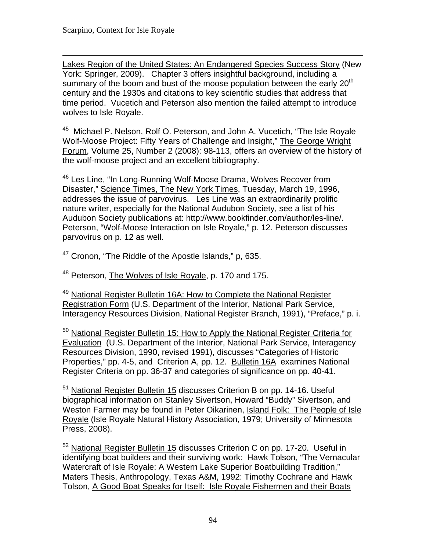$\overline{a}$ Lakes Region of the United States: An Endangered Species Success Story (New York: Springer, 2009). Chapter 3 offers insightful background, including a summary of the boom and bust of the moose population between the early  $20<sup>th</sup>$ century and the 1930s and citations to key scientific studies that address that time period. Vucetich and Peterson also mention the failed attempt to introduce wolves to Isle Royale.

<sup>45</sup> Michael P. Nelson, Rolf O. Peterson, and John A. Vucetich, "The Isle Royale Wolf-Moose Project: Fifty Years of Challenge and Insight," The George Wright Forum, Volume 25, Number 2 (2008): 98-113, offers an overview of the history of the wolf-moose project and an excellent bibliography.

<sup>46</sup> Les Line, "In Long-Running Wolf-Moose Drama, Wolves Recover from Disaster," Science Times, The New York Times, Tuesday, March 19, 1996, addresses the issue of parvovirus. Les Line was an extraordinarily prolific nature writer, especially for the National Audubon Society, see a list of his Audubon Society publications at: http://www.bookfinder.com/author/les-line/. Peterson, "Wolf-Moose Interaction on Isle Royale," p. 12. Peterson discusses parvovirus on p. 12 as well.

 $47$  Cronon, "The Riddle of the Apostle Islands," p, 635.

<sup>48</sup> Peterson, The Wolves of Isle Royale, p. 170 and 175.

<sup>49</sup> National Register Bulletin 16A: How to Complete the National Register Registration Form (U.S. Department of the Interior, National Park Service, Interagency Resources Division, National Register Branch, 1991), "Preface," p. i.

<sup>50</sup> National Register Bulletin 15: How to Apply the National Register Criteria for Evaluation (U.S. Department of the Interior, National Park Service, Interagency Resources Division, 1990, revised 1991), discusses "Categories of Historic Properties," pp. 4-5, and Criterion A, pp. 12. Bulletin 16A examines National Register Criteria on pp. 36-37 and categories of significance on pp. 40-41.

51 National Register Bulletin 15 discusses Criterion B on pp. 14-16. Useful biographical information on Stanley Sivertson, Howard "Buddy" Sivertson, and Weston Farmer may be found in Peter Oikarinen, Island Folk: The People of Isle Royale (Isle Royale Natural History Association, 1979; University of Minnesota Press, 2008).

<sup>52</sup> National Register Bulletin 15 discusses Criterion C on pp. 17-20. Useful in identifying boat builders and their surviving work: Hawk Tolson, "The Vernacular Watercraft of Isle Royale: A Western Lake Superior Boatbuilding Tradition," Maters Thesis, Anthropology, Texas A&M, 1992: Timothy Cochrane and Hawk Tolson, A Good Boat Speaks for Itself: Isle Royale Fishermen and their Boats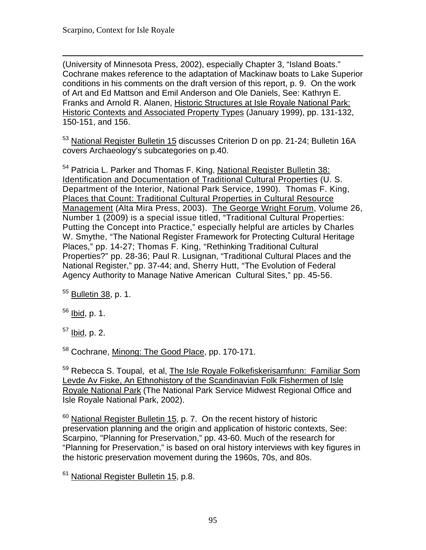$\overline{a}$ (University of Minnesota Press, 2002), especially Chapter 3, "Island Boats." Cochrane makes reference to the adaptation of Mackinaw boats to Lake Superior conditions in his comments on the draft version of this report, p. 9. On the work of Art and Ed Mattson and Emil Anderson and Ole Daniels, See: Kathryn E. Franks and Arnold R. Alanen, Historic Structures at Isle Royale National Park: Historic Contexts and Associated Property Types (January 1999), pp. 131-132, 150-151, and 156.

<sup>53</sup> National Register Bulletin 15 discusses Criterion D on pp. 21-24; Bulletin 16A covers Archaeology's subcategories on p.40.

<sup>54</sup> Patricia L. Parker and Thomas F. King, National Register Bulletin 38: W. Smythe, "The National Register Framework for Protecting Cultural Heritage Agency Authority to Manage Native American Cultural Sites," pp. 45-56. Identification and Documentation of Traditional Cultural Properties (U. S. Department of the Interior, National Park Service, 1990). Thomas F. King, Places that Count: Traditional Cultural Properties in Cultural Resource Management (Alta Mira Press, 2003). The George Wright Forum, Volume 26, Number 1 (2009) is a special issue titled, "Traditional Cultural Properties: Putting the Concept into Practice," especially helpful are articles by Charles Places," pp. 14-27; Thomas F. King, "Rethinking Traditional Cultural Properties?" pp. 28-36; Paul R. Lusignan, "Traditional Cultural Places and the National Register," pp. 37-44; and, Sherry Hutt, "The Evolution of Federal

55 Bulletin 38, p. 1.

 $56$  Ibid, p. 1.

 $57$  Ibid, p. 2.

58 Cochrane, Minong: The Good Place, pp. 170-171.

<sup>59</sup> Rebecca S. Toupal, et al, The Isle Royale Folkefiskerisamfunn: Familiar Som Levde Av Fiske, An Ethnohistory of the Scandinavian Folk Fishermen of Isle Royale National Park (The National Park Service Midwest Regional Office and Isle Royale National Park, 2002).

 $60$  National Register Bulletin 15, p. 7. On the recent history of historic preservation planning and the origin and application of historic contexts, See: Scarpino, "Planning for Preservation," pp. 43-60. Much of the research for "Planning for Preservation," is based on oral history interviews with key figures in the historic preservation movement during the 1960s, 70s, and 80s.

<sup>61</sup> National Register Bulletin 15, p.8.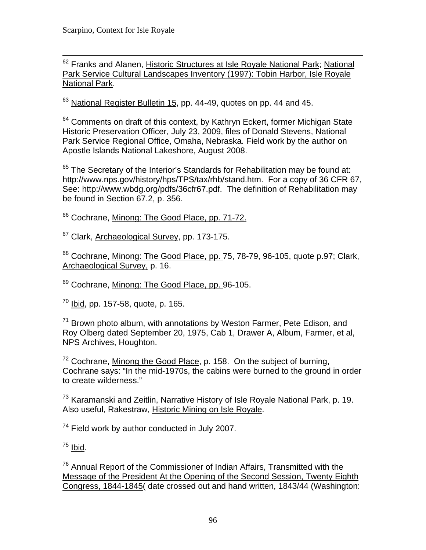$\overline{a}$ <sup>62</sup> Franks and Alanen, Historic Structures at Isle Royale National Park; National Park Service Cultural Landscapes Inventory (1997): Tobin Harbor, Isle Royale National Park.

 $63$  National Register Bulletin 15, pp. 44-49, quotes on pp. 44 and 45.

<sup>64</sup> Comments on draft of this context, by Kathryn Eckert, former Michigan State Historic Preservation Officer, July 23, 2009, files of Donald Stevens, National Park Service Regional Office, Omaha, Nebraska. Field work by the author on Apostle Islands National Lakeshore, August 2008.

 $65$  The Secretary of the Interior's Standards for Rehabilitation may be found at: http://www.nps.gov/history/hps/TPS/tax/rhb/stand.htm. For a copy of 36 CFR 67, See: http://www.wbdg.org/pdfs/36cfr67.pdf. The definition of Rehabilitation may be found in Section 67.2, p. 356.

<sup>66</sup> Cochrane, Minong: The Good Place, pp. 71-72.

<sup>67</sup> Clark, Archaeological Survey, pp. 173-175.

<sup>68</sup> Cochrane, Minong: The Good Place, pp. 75, 78-79, 96-105, quote p.97; Clark, Archaeological Survey, p. 16.

<sup>69</sup> Cochrane, Minong: The Good Place, pp. 96-105.

 $70$  Ibid, pp. 157-58, quote, p. 165.

 $71$  Brown photo album, with annotations by Weston Farmer, Pete Edison, and Roy Olberg dated September 20, 1975, Cab 1, Drawer A, Album, Farmer, et al, NPS Archives, Houghton.

 $72$  Cochrane, Minong the Good Place, p. 158. On the subject of burning, Cochrane says: "In the mid-1970s, the cabins were burned to the ground in order to create wilderness."

73 Karamanski and Zeitlin, Narrative History of Isle Royale National Park, p. 19. Also useful, Rakestraw, Historic Mining on Isle Royale.

 $74$  Field work by author conducted in July 2007.

 $75$  Ibid.

<sup>76</sup> Annual Report of the Commissioner of Indian Affairs, Transmitted with the Message of the President At the Opening of the Second Session, Twenty Eighth Congress, 1844-1845( date crossed out and hand written, 1843/44 (Washington: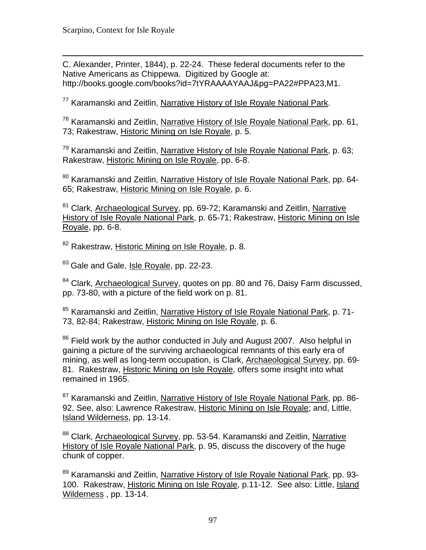$\overline{a}$ C. Alexander, Printer, 1844), p. 22-24. These federal documents refer to the Native Americans as Chippewa. Digitized by Google at: http://books.google.com/books?id=7tYRAAAAYAAJ&pg=PA22#PPA23,M1.

77 Karamanski and Zeitlin, Narrative History of Isle Royale National Park.

78 Karamanski and Zeitlin, Narrative History of Isle Royale National Park, pp. 61, 73; Rakestraw, Historic Mining on Isle Royale, p. 5.

 $79$  Karamanski and Zeitlin, Narrative History of Isle Rovale National Park, p. 63; Rakestraw, Historic Mining on Isle Royale, pp. 6-8.

<sup>80</sup> Karamanski and Zeitlin, Narrative History of Isle Royale National Park, pp. 64-65; Rakestraw, Historic Mining on Isle Royale, p. 6.

<sup>81</sup> Clark, Archaeological Survey, pp. 69-72; Karamanski and Zeitlin, Narrative History of Isle Royale National Park, p. 65-71; Rakestraw, Historic Mining on Isle Royale, pp. 6-8.

<sup>82</sup> Rakestraw, Historic Mining on Isle Royale, p. 8.

<sup>83</sup> Gale and Gale, Isle Royale, pp. 22-23.

 $84$  Clark, Archaeological Survey, quotes on pp. 80 and 76, Daisy Farm discussed, pp. 73-80, with a picture of the field work on p. 81.

<sup>85</sup> Karamanski and Zeitlin, Narrative History of Isle Royale National Park, p. 71-73, 82-84; Rakestraw, Historic Mining on Isle Royale, p. 6.

<sup>86</sup> Field work by the author conducted in July and August 2007. Also helpful in gaining a picture of the surviving archaeological remnants of this early era of mining, as well as long-term occupation, is Clark, Archaeological Survey, pp. 69 81. Rakestraw, Historic Mining on Isle Royale, offers some insight into what remained in 1965.

<sup>87</sup> Karamanski and Zeitlin, Narrative History of Isle Rovale National Park, pp. 86-92. See, also: Lawrence Rakestraw, Historic Mining on Isle Royale; and, Little, Island Wilderness, pp. 13-14.

<sup>88</sup> Clark, Archaeological Survey, pp. 53-54. Karamanski and Zeitlin, Narrative History of Isle Royale National Park, p. 95, discuss the discovery of the huge chunk of copper.

89 Karamanski and Zeitlin, Narrative History of Isle Royale National Park, pp. 93-100. Rakestraw, Historic Mining on Isle Royale, p.11-12. See also: Little, Island Wilderness , pp. 13-14.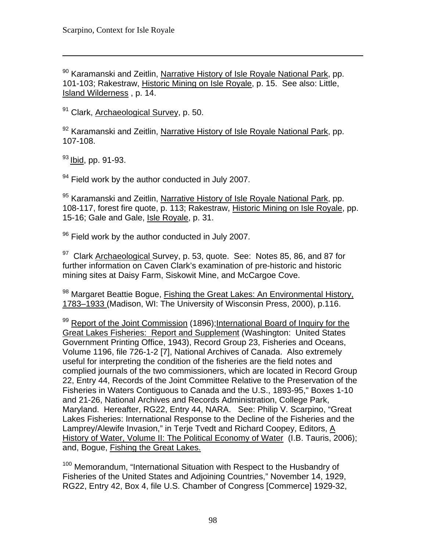90 Karamanski and Zeitlin, Narrative History of Isle Royale National Park, pp. 101-103; Rakestraw, Historic Mining on Isle Royale, p. 15. See also: Little, Island Wilderness , p. 14.

<sup>91</sup> Clark, Archaeological Survey, p. 50.

92 Karamanski and Zeitlin, Narrative History of Isle Royale National Park, pp. 107-108.

93 Ibid, pp. 91-93.

 $\overline{a}$ 

 $94$  Field work by the author conducted in July 2007.

95 Karamanski and Zeitlin, Narrative History of Isle Royale National Park, pp. 108-117, forest fire quote, p. 113; Rakestraw, Historic Mining on Isle Royale, pp. 15-16; Gale and Gale, Isle Royale, p. 31.

 $96$  Field work by the author conducted in July 2007.

<sup>97</sup> Clark Archaeological Survey, p. 53, quote. See: Notes 85, 86, and 87 for further information on Caven Clark's examination of pre-historic and historic mining sites at Daisy Farm, Siskowit Mine, and McCargoe Cove.

<sup>98</sup> Margaret Beattie Bogue, Fishing the Great Lakes: An Environmental History, 1783–1933 (Madison, WI: The University of Wisconsin Press, 2000), p.116.

99 Report of the Joint Commission (1896); International Board of Inquiry for the Great Lakes Fisheries: Report and Supplement (Washington: United States Government Printing Office, 1943), Record Group 23, Fisheries and Oceans, Volume 1196, file 726-1-2 [7], National Archives of Canada. Also extremely useful for interpreting the condition of the fisheries are the field notes and complied journals of the two commissioners, which are located in Record Group 22, Entry 44, Records of the Joint Committee Relative to the Preservation of the Fisheries in Waters Contiguous to Canada and the U.S., 1893-95," Boxes 1-10 and 21-26, National Archives and Records Administration, College Park, Maryland. Hereafter, RG22, Entry 44, NARA. See: Philip V. Scarpino, "Great Lakes Fisheries: International Response to the Decline of the Fisheries and the Lamprey/Alewife Invasion," in Terje Tvedt and Richard Coopey, Editors, A History of Water, Volume II: The Political Economy of Water (I.B. Tauris, 2006); and, Bogue, Fishing the Great Lakes.

<sup>100</sup> Memorandum, "International Situation with Respect to the Husbandry of Fisheries of the United States and Adjoining Countries," November 14, 1929, RG22, Entry 42, Box 4, file U.S. Chamber of Congress [Commerce] 1929-32,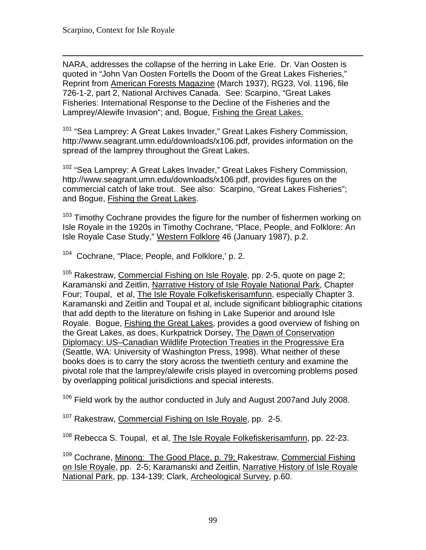$\overline{a}$ NARA, addresses the collapse of the herring in Lake Erie. Dr. Van Oosten is quoted in "John Van Oosten Fortells the Doom of the Great Lakes Fisheries," Reprint from American Forests Magazine (March 1937), RG23, Vol. 1196, file 726-1-2, part 2, National Archives Canada. See: Scarpino, "Great Lakes Fisheries: International Response to the Decline of the Fisheries and the Lamprey/Alewife Invasion"; and, Bogue, Fishing the Great Lakes.

<sup>101</sup> "Sea Lamprey: A Great Lakes Invader," Great Lakes Fishery Commission, http://www.seagrant.umn.edu/downloads/x106.pdf, provides information on the spread of the lamprey throughout the Great Lakes.

<sup>102</sup> "Sea Lamprey: A Great Lakes Invader," Great Lakes Fishery Commission, http://www.seagrant.umn.edu/downloads/x106.pdf, provides figures on the commercial catch of lake trout. See also: Scarpino, "Great Lakes Fisheries"; and Bogue, Fishing the Great Lakes.

<sup>103</sup> Timothy Cochrane provides the figure for the number of fishermen working on Isle Royale in the 1920s in Timothy Cochrane, "Place, People, and Folklore: An Isle Royale Case Study," Western Folklore 46 (January 1987), p.2.

104 Cochrane, "Place, People, and Folklore,' p. 2.

<sup>105</sup> Rakestraw, Commercial Fishing on Isle Royale, pp. 2-5, quote on page 2; Karamanski and Zeitlin, Narrative History of Isle Royale National Park, Chapter Four; Toupal, et al, The Isle Royale Folkefiskerisamfunn, especially Chapter 3. Karamanski and Zeitlin and Toupal et al, include significant bibliographic citations that add depth to the literature on fishing in Lake Superior and around Isle Royale. Bogue, Fishing the Great Lakes, provides a good overview of fishing on the Great Lakes, as does, Kurkpatrick Dorsey, The Dawn of Conservation Diplomacy: US–Canadian Wildlife Protection Treaties in the Progressive Era (Seattle, WA: University of Washington Press, 1998). What neither of these books does is to carry the story across the twentieth century and examine the pivotal role that the lamprey/alewife crisis played in overcoming problems posed by overlapping political jurisdictions and special interests.

 $106$  Field work by the author conducted in July and August 2007 and July 2008.

 $107$  Rakestraw, Commercial Fishing on Isle Royale, pp. 2-5.

<sup>108</sup> Rebecca S. Toupal, et al, The Isle Royale Folkefiskerisamfunn, pp. 22-23.

<sup>109</sup> Cochrane, Minong: The Good Place, p. 79; Rakestraw, Commercial Fishing on Isle Royale, pp. 2-5; Karamanski and Zeitlin, Narrative History of Isle Royale National Park, pp. 134-139; Clark, Archeological Survey, p.60.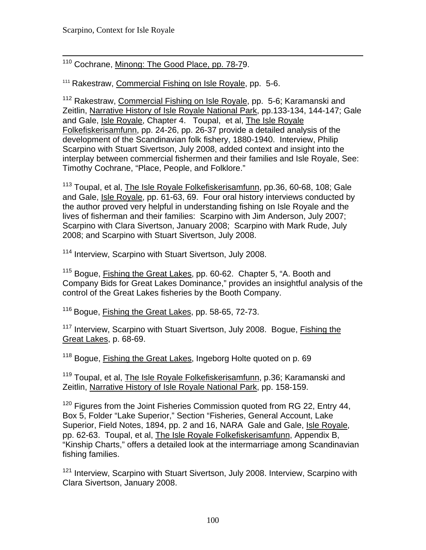#### $\overline{a}$ <sup>110</sup> Cochrane, Minong: The Good Place, pp. 78-79.

<sup>111</sup> Rakestraw, Commercial Fishing on Isle Royale, pp. 5-6.

112 Rakestraw, Commercial Fishing on Isle Royale, pp. 5-6; Karamanski and Zeitlin, Narrative History of Isle Royale National Park, pp.133-134, 144-147; Gale and Gale, Isle Royale, Chapter 4. Toupal, et al, The Isle Royale Folkefiskerisamfunn, pp. 24-26, pp. 26-37 provide a detailed analysis of the development of the Scandinavian folk fishery, 1880-1940. Interview, Philip Scarpino with Stuart Sivertson, July 2008, added context and insight into the interplay between commercial fishermen and their families and Isle Royale, See: Timothy Cochrane, "Place, People, and Folklore."

<sup>113</sup> Toupal, et al, The Isle Royale Folkefiskerisamfunn, pp.36, 60-68, 108; Gale and Gale, Isle Royale, pp. 61-63, 69. Four oral history interviews conducted by the author proved very helpful in understanding fishing on Isle Royale and the lives of fisherman and their families: Scarpino with Jim Anderson, July 2007; Scarpino with Clara Sivertson, January 2008; Scarpino with Mark Rude, July 2008; and Scarpino with Stuart Sivertson, July 2008.

<sup>114</sup> Interview, Scarpino with Stuart Sivertson, July 2008.

115 Bogue, Fishing the Great Lakes, pp. 60-62. Chapter 5, "A. Booth and Company Bids for Great Lakes Dominance," provides an insightful analysis of the control of the Great Lakes fisheries by the Booth Company.

116 Bogue, Fishing the Great Lakes, pp. 58-65, 72-73.

<sup>117</sup> Interview, Scarpino with Stuart Sivertson, July 2008. Boque, Fishing the Great Lakes, p. 68-69.

<sup>118</sup> Bogue, Fishing the Great Lakes, Ingeborg Holte guoted on p. 69

<sup>119</sup> Toupal, et al, The Isle Royale Folkefiskerisamfunn, p.36; Karamanski and Zeitlin, Narrative History of Isle Royale National Park, pp. 158-159.

<sup>120</sup> Figures from the Joint Fisheries Commission quoted from RG 22, Entry 44, Box 5, Folder "Lake Superior," Section "Fisheries, General Account, Lake Superior, Field Notes, 1894, pp. 2 and 16, NARA Gale and Gale, Isle Royale, pp. 62-63. Toupal, et al, The Isle Royale Folkefiskerisamfunn, Appendix B, "Kinship Charts," offers a detailed look at the intermarriage among Scandinavian fishing families.

<sup>121</sup> Interview, Scarpino with Stuart Sivertson, July 2008. Interview, Scarpino with Clara Sivertson, January 2008.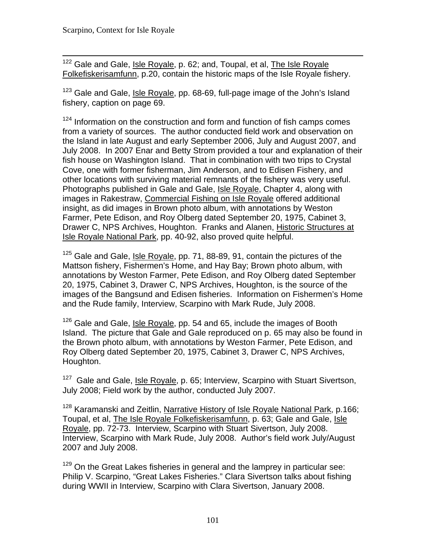$\overline{a}$ <sup>122</sup> Gale and Gale, *Isle Royale*, p. 62; and, Toupal, et al, *The Isle Royale* Folkefiskerisamfunn, p.20, contain the historic maps of the Isle Royale fishery.

<sup>123</sup> Gale and Gale, Isle Royale, pp. 68-69, full-page image of the John's Island fishery, caption on page 69.

 $124$  Information on the construction and form and function of fish camps comes from a variety of sources. The author conducted field work and observation on the Island in late August and early September 2006, July and August 2007, and July 2008. In 2007 Enar and Betty Strom provided a tour and explanation of their fish house on Washington Island. That in combination with two trips to Crystal Cove, one with former fisherman, Jim Anderson, and to Edisen Fishery, and other locations with surviving material remnants of the fishery was very useful. Photographs published in Gale and Gale, Isle Royale, Chapter 4, along with images in Rakestraw, Commercial Fishing on Isle Royale offered additional insight, as did images in Brown photo album, with annotations by Weston Farmer, Pete Edison, and Roy Olberg dated September 20, 1975, Cabinet 3, Drawer C, NPS Archives, Houghton. Franks and Alanen, Historic Structures at Isle Royale National Park, pp. 40-92, also proved quite helpful.

<sup>125</sup> Gale and Gale, Isle Royale, pp. 71, 88-89, 91, contain the pictures of the Mattson fishery, Fishermen's Home, and Hay Bay; Brown photo album, with annotations by Weston Farmer, Pete Edison, and Roy Olberg dated September 20, 1975, Cabinet 3, Drawer C, NPS Archives, Houghton, is the source of the images of the Bangsund and Edisen fisheries. Information on Fishermen's Home and the Rude family, Interview, Scarpino with Mark Rude, July 2008.

<sup>126</sup> Gale and Gale, Isle Royale, pp. 54 and 65, include the images of Booth Island. The picture that Gale and Gale reproduced on p. 65 may also be found in the Brown photo album, with annotations by Weston Farmer, Pete Edison, and Roy Olberg dated September 20, 1975, Cabinet 3, Drawer C, NPS Archives, Houghton.

<sup>127</sup> Gale and Gale, Isle Royale, p. 65; Interview, Scarpino with Stuart Sivertson, July 2008; Field work by the author, conducted July 2007.

<sup>128</sup> Karamanski and Zeitlin, Narrative History of Isle Royale National Park, p.166; Toupal, et al, The Isle Royale Folkefiskerisamfunn, p. 63; Gale and Gale, Isle Royale, pp. 72-73. Interview, Scarpino with Stuart Sivertson, July 2008. Interview, Scarpino with Mark Rude, July 2008. Author's field work July/August 2007 and July 2008.

 $129$  On the Great Lakes fisheries in general and the lamprey in particular see: Philip V. Scarpino, "Great Lakes Fisheries." Clara Sivertson talks about fishing during WWII in Interview, Scarpino with Clara Sivertson, January 2008.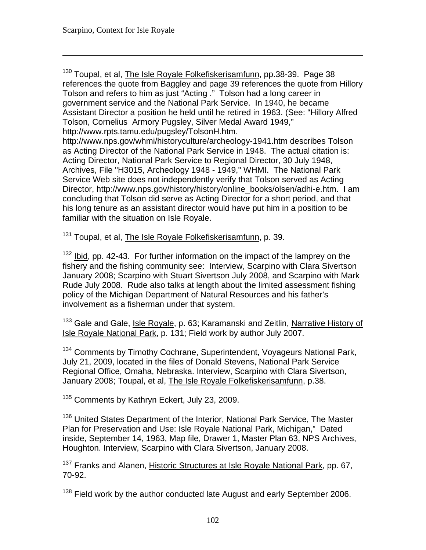$\overline{a}$ 

<sup>130</sup> Toupal, et al, The Isle Royale Folkefiskerisamfunn, pp.38-39. Page 38 references the quote from Baggley and page 39 references the quote from Hillory Tolson and refers to him as just "Acting ." Tolson had a long career in government service and the National Park Service. In 1940, he became Assistant Director a position he held until he retired in 1963. (See: "Hillory Alfred Tolson, Cornelius Armory Pugsley, Silver Medal Award 1949," http://www.rpts.tamu.edu/pugsley/TolsonH.htm.

http://www.nps.gov/whmi/historyculture/archeology-1941.htm describes Tolson as Acting Director of the National Park Service in 1948. The actual citation is: Acting Director, National Park Service to Regional Director, 30 July 1948, Archives, File "H3015, Archeology 1948 - 1949," WHMI. The National Park Service Web site does not independently verify that Tolson served as Acting Director, http://www.nps.gov/history/history/online\_books/olsen/adhi-e.htm. I am concluding that Tolson did serve as Acting Director for a short period, and that his long tenure as an assistant director would have put him in a position to be familiar with the situation on Isle Royale.

<sup>131</sup> Toupal, et al, The Isle Royale Folkefiskerisamfunn, p. 39.

 $132$  Ibid, pp. 42-43. For further information on the impact of the lamprey on the fishery and the fishing community see: Interview, Scarpino with Clara Sivertson January 2008; Scarpino with Stuart Sivertson July 2008, and Scarpino with Mark Rude July 2008. Rude also talks at length about the limited assessment fishing policy of the Michigan Department of Natural Resources and his father's involvement as a fisherman under that system.

<sup>133</sup> Gale and Gale, Isle Royale, p. 63; Karamanski and Zeitlin, Narrative History of Isle Royale National Park, p. 131; Field work by author July 2007.

<sup>134</sup> Comments by Timothy Cochrane, Superintendent, Voyageurs National Park, July 21, 2009, located in the files of Donald Stevens, National Park Service Regional Office, Omaha, Nebraska. Interview, Scarpino with Clara Sivertson, January 2008; Toupal, et al, The Isle Royale Folkefiskerisamfunn, p.38.

<sup>135</sup> Comments by Kathryn Eckert, July 23, 2009.

<sup>136</sup> United States Department of the Interior, National Park Service, The Master Plan for Preservation and Use: Isle Royale National Park, Michigan," Dated inside, September 14, 1963, Map file, Drawer 1, Master Plan 63, NPS Archives, Houghton. Interview, Scarpino with Clara Sivertson, January 2008.

<sup>137</sup> Franks and Alanen, Historic Structures at Isle Royale National Park, pp. 67, 70-92.

 $138$  Field work by the author conducted late August and early September 2006.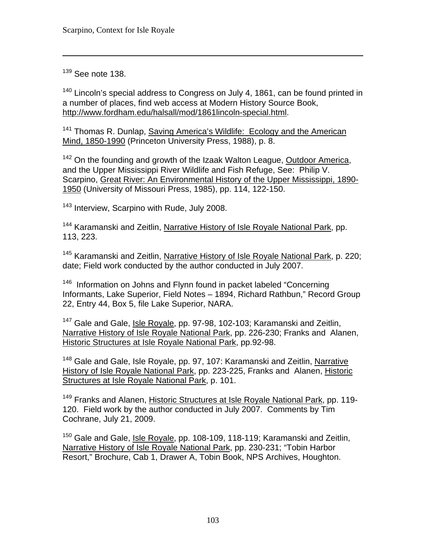<sup>139</sup> See note 138.

 $\overline{a}$ 

<sup>140</sup> Lincoln's special address to Congress on July 4, 1861, can be found printed in a number of places, find web access at Modern History Source Book, http://www.fordham.edu/halsall/mod/1861lincoln-special.html.

<sup>141</sup> Thomas R. Dunlap, Saving America's Wildlife: Ecology and the American Mind, 1850-1990 (Princeton University Press, 1988), p. 8.

<sup>142</sup> On the founding and growth of the Izaak Walton League, Outdoor America, and the Upper Mississippi River Wildlife and Fish Refuge, See: Philip V. Scarpino, Great River: An Environmental History of the Upper Mississippi, 1890 1950 (University of Missouri Press, 1985), pp. 114, 122-150.

<sup>143</sup> Interview, Scarpino with Rude, July 2008.

<sup>144</sup> Karamanski and Zeitlin, Narrative History of Isle Royale National Park, pp. 113, 223.

<sup>145</sup> Karamanski and Zeitlin, Narrative History of Isle Royale National Park, p. 220; date; Field work conducted by the author conducted in July 2007.

 $146$  Information on Johns and Flynn found in packet labeled "Concerning Informants, Lake Superior, Field Notes – 1894, Richard Rathbun," Record Group 22, Entry 44, Box 5, file Lake Superior, NARA.

<sup>147</sup> Gale and Gale, Isle Royale, pp. 97-98, 102-103; Karamanski and Zeitlin, Narrative History of Isle Royale National Park, pp. 226-230; Franks and Alanen, Historic Structures at Isle Royale National Park, pp.92-98.

<sup>148</sup> Gale and Gale, Isle Royale, pp. 97, 107: Karamanski and Zeitlin, Narrative History of Isle Royale National Park, pp. 223-225, Franks and Alanen, Historic Structures at Isle Royale National Park, p. 101.

<sup>149</sup> Franks and Alanen, Historic Structures at Isle Royale National Park, pp. 119-120. Field work by the author conducted in July 2007. Comments by Tim Cochrane, July 21, 2009.

<sup>150</sup> Gale and Gale, Isle Royale, pp. 108-109, 118-119; Karamanski and Zeitlin, Narrative History of Isle Royale National Park, pp. 230-231; "Tobin Harbor Resort," Brochure, Cab 1, Drawer A, Tobin Book, NPS Archives, Houghton.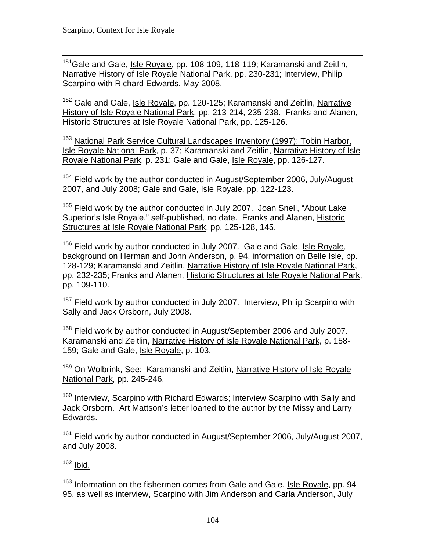$\overline{a}$ <sup>151</sup>Gale and Gale, <u>Isle Royale</u>, pp. 108-109, 118-119; Karamanski and Zeitlin, Narrative History of Isle Royale National Park, pp. 230-231; Interview, Philip Scarpino with Richard Edwards, May 2008.

<sup>152</sup> Gale and Gale, Isle Royale, pp. 120-125; Karamanski and Zeitlin, Narrative History of Isle Royale National Park, pp. 213-214, 235-238. Franks and Alanen, Historic Structures at Isle Royale National Park, pp. 125-126.

153 National Park Service Cultural Landscapes Inventory (1997): Tobin Harbor, Isle Royale National Park, p. 37; Karamanski and Zeitlin, Narrative History of Isle Royale National Park, p. 231; Gale and Gale, Isle Royale, pp. 126-127.

<sup>154</sup> Field work by the author conducted in August/September 2006, July/August 2007, and July 2008; Gale and Gale, Isle Royale, pp. 122-123.

<sup>155</sup> Field work by the author conducted in July 2007. Joan Snell, "About Lake Superior's Isle Royale," self-published, no date. Franks and Alanen, Historic Structures at Isle Royale National Park, pp. 125-128, 145.

<sup>156</sup> Field work by author conducted in July 2007. Gale and Gale, Isle Royale, background on Herman and John Anderson, p. 94, information on Belle Isle, pp. 128-129; Karamanski and Zeitlin, Narrative History of Isle Royale National Park, pp. 232-235; Franks and Alanen, Historic Structures at Isle Royale National Park, pp. 109-110.

<sup>157</sup> Field work by author conducted in July 2007. Interview, Philip Scarpino with Sally and Jack Orsborn, July 2008.

 $158$  Field work by author conducted in August/September 2006 and July 2007. Karamanski and Zeitlin, Narrative History of Isle Royale National Park, p. 158 159; Gale and Gale, Isle Royale, p. 103.

<sup>159</sup> On Wolbrink, See: Karamanski and Zeitlin, Narrative History of Isle Royale National Park, pp. 245-246.

<sup>160</sup> Interview, Scarpino with Richard Edwards; Interview Scarpino with Sally and Jack Orsborn. Art Mattson's letter loaned to the author by the Missy and Larry Edwards.

<sup>161</sup> Field work by author conducted in August/September 2006, July/August 2007, and July 2008.

 $162$  Ibid.

<sup>163</sup> Information on the fishermen comes from Gale and Gale, Isle Royale, pp. 94-95, as well as interview, Scarpino with Jim Anderson and Carla Anderson, July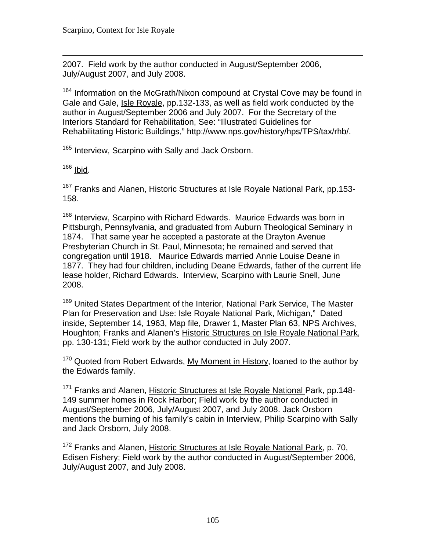$\overline{a}$ 2007. Field work by the author conducted in August/September 2006, July/August 2007, and July 2008.

<sup>164</sup> Information on the McGrath/Nixon compound at Crystal Cove may be found in Gale and Gale, Isle Royale, pp.132-133, as well as field work conducted by the author in August/September 2006 and July 2007. For the Secretary of the Interiors Standard for Rehabilitation, See: "Illustrated Guidelines for Rehabilitating Historic Buildings," http://www.nps.gov/history/hps/TPS/tax/rhb/.

<sup>165</sup> Interview, Scarpino with Sally and Jack Orsborn.

 $166$  <u>Ibid</u>.

<sup>167</sup> Franks and Alanen, Historic Structures at Isle Royale National Park, pp.153-158.

<sup>168</sup> Interview, Scarpino with Richard Edwards. Maurice Edwards was born in Pittsburgh, Pennsylvania, and graduated from Auburn Theological Seminary in 1874. That same year he accepted a pastorate at the Drayton Avenue Presbyterian Church in St. Paul, Minnesota; he remained and served that congregation until 1918. Maurice Edwards married Annie Louise Deane in 1877. They had four children, including Deane Edwards, father of the current life lease holder, Richard Edwards. Interview, Scarpino with Laurie Snell, June 2008.

<sup>169</sup> United States Department of the Interior, National Park Service, The Master Plan for Preservation and Use: Isle Royale National Park, Michigan," Dated inside, September 14, 1963, Map file, Drawer 1, Master Plan 63, NPS Archives, Houghton; Franks and Alanen's Historic Structures on Isle Royale National Park, pp. 130-131; Field work by the author conducted in July 2007.

 $170$  Quoted from Robert Edwards, My Moment in History, loaned to the author by the Edwards family.

<sup>171</sup> Franks and Alanen, Historic Structures at Isle Royale National Park, pp.148-149 summer homes in Rock Harbor; Field work by the author conducted in August/September 2006, July/August 2007, and July 2008. Jack Orsborn mentions the burning of his family's cabin in Interview, Philip Scarpino with Sally and Jack Orsborn, July 2008.

<sup>172</sup> Franks and Alanen, Historic Structures at Isle Royale National Park, p. 70, Edisen Fishery; Field work by the author conducted in August/September 2006, July/August 2007, and July 2008.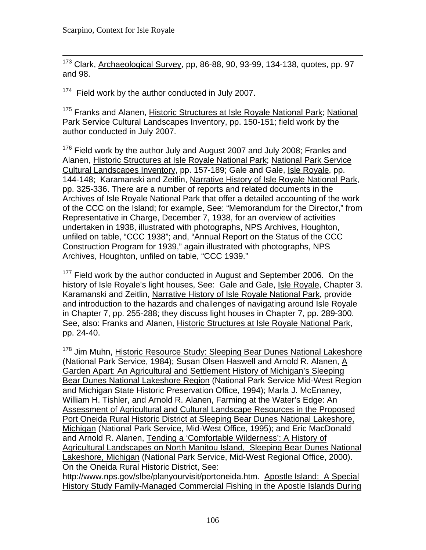$\overline{a}$ <sup>173</sup> Clark, Archaeological Survey, pp, 86-88, 90, 93-99, 134-138, quotes, pp. 97 and 98.

<sup>174</sup> Field work by the author conducted in July 2007.

<sup>175</sup> Franks and Alanen, Historic Structures at Isle Rovale National Park: National Park Service Cultural Landscapes Inventory, pp. 150-151; field work by the author conducted in July 2007.

 $176$  Field work by the author July and August 2007 and July 2008; Franks and Alanen, Historic Structures at Isle Royale National Park; National Park Service Cultural Landscapes Inventory, pp. 157-189; Gale and Gale, Isle Royale, pp. 144-148; Karamanski and Zeitlin, Narrative History of Isle Royale National Park, pp. 325-336. There are a number of reports and related documents in the Archives of Isle Royale National Park that offer a detailed accounting of the work of the CCC on the Island; for example, See: "Memorandum for the Director," from Representative in Charge, December 7, 1938, for an overview of activities undertaken in 1938, illustrated with photographs, NPS Archives, Houghton, unfiled on table, "CCC 1938"; and, "Annual Report on the Status of the CCC Construction Program for 1939," again illustrated with photographs, NPS Archives, Houghton, unfiled on table, "CCC 1939."

<sup>177</sup> Field work by the author conducted in August and September 2006. On the history of Isle Royale's light houses, See: Gale and Gale, Isle Royale, Chapter 3. Karamanski and Zeitlin, Narrative History of Isle Royale National Park, provide and introduction to the hazards and challenges of navigating around Isle Royale in Chapter 7, pp. 255-288; they discuss light houses in Chapter 7, pp. 289-300. See, also: Franks and Alanen, Historic Structures at Isle Royale National Park, pp. 24-40.

<sup>178</sup> Jim Muhn, Historic Resource Study: Sleeping Bear Dunes National Lakeshore (National Park Service, 1984); Susan Olsen Haswell and Arnold R. Alanen, A Garden Apart: An Agricultural and Settlement History of Michigan's Sleeping Bear Dunes National Lakeshore Region (National Park Service Mid-West Region and Michigan State Historic Preservation Office, 1994); Marla J. McEnaney, William H. Tishler, and Arnold R. Alanen, Farming at the Water's Edge: An Assessment of Agricultural and Cultural Landscape Resources in the Proposed Port Oneida Rural Historic District at Sleeping Bear Dunes National Lakeshore, Michigan (National Park Service, Mid-West Office, 1995); and Eric MacDonald and Arnold R. Alanen, Tending a 'Comfortable Wilderness': A History of Agricultural Landscapes on North Manitou Island, Sleeping Bear Dunes National Lakeshore, Michigan (National Park Service, Mid-West Regional Office, 2000). On the Oneida Rural Historic District, See:

http://www.nps.gov/slbe/planyourvisit/portoneida.htm. Apostle Island: A Special History Study Family-Managed Commercial Fishing in the Apostle Islands During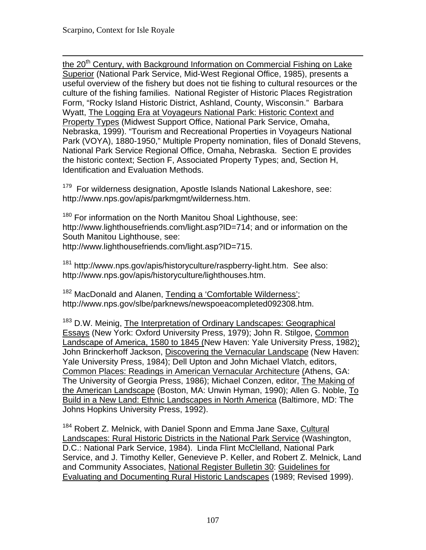$\overline{a}$ the 20<sup>th</sup> Century, with Background Information on Commercial Fishing on Lake Superior (National Park Service, Mid-West Regional Office, 1985), presents a useful overview of the fishery but does not tie fishing to cultural resources or the culture of the fishing families. National Register of Historic Places Registration Form, "Rocky Island Historic District, Ashland, County, Wisconsin." Barbara Wyatt, The Logging Era at Voyageurs National Park: Historic Context and Property Types (Midwest Support Office, National Park Service, Omaha, Nebraska, 1999). "Tourism and Recreational Properties in Voyageurs National Park (VOYA), 1880-1950," Multiple Property nomination, files of Donald Stevens, National Park Service Regional Office, Omaha, Nebraska. Section E provides the historic context; Section F, Associated Property Types; and, Section H, Identification and Evaluation Methods.

<sup>179</sup> For wilderness designation, Apostle Islands National Lakeshore, see: http://www.nps.gov/apis/parkmgmt/wilderness.htm.

<sup>180</sup> For information on the North Manitou Shoal Lighthouse, see: http://www.lighthousefriends.com/light.asp?ID=714; and or information on the South Manitou Lighthouse, see: http://www.lighthousefriends.com/light.asp?ID=715.

<sup>181</sup> http://www.nps.gov/apis/historyculture/raspberry-light.htm. See also: http://www.nps.gov/apis/historyculture/lighthouses.htm.

<sup>182</sup> MacDonald and Alanen, Tending a 'Comfortable Wilderness'; http://www.nps.gov/slbe/parknews/newspoeacompleted092308.htm.

183 D.W. Meinig, The Interpretation of Ordinary Landscapes: Geographical Essays (New York: Oxford University Press, 1979); John R. Stilgoe, Common Landscape of America, 1580 to 1845 (New Haven: Yale University Press, 1982); John Brinckerhoff Jackson, Discovering the Vernacular Landscape (New Haven: Yale University Press, 1984); Dell Upton and John Michael Vlatch, editors, Common Places: Readings in American Vernacular Architecture (Athens, GA: The University of Georgia Press, 1986); Michael Conzen, editor, The Making of the American Landscape (Boston, MA: Unwin Hyman, 1990); Allen G. Noble, To Build in a New Land: Ethnic Landscapes in North America (Baltimore, MD: The Johns Hopkins University Press, 1992).

<sup>184</sup> Robert Z. Melnick, with Daniel Sponn and Emma Jane Saxe, Cultural Landscapes: Rural Historic Districts in the National Park Service (Washington, D.C.: National Park Service, 1984). Linda Flint McClelland, National Park Service, and J. Timothy Keller, Genevieve P. Keller, and Robert Z. Melnick, Land and Community Associates, National Register Bulletin 30: Guidelines for Evaluating and Documenting Rural Historic Landscapes (1989; Revised 1999).